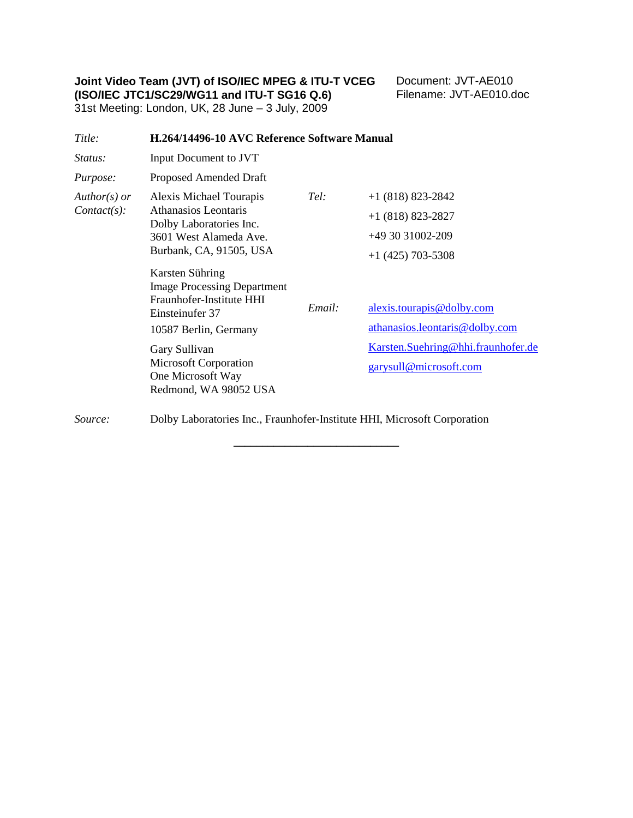**Joint Video Team (JVT) of ISO/IEC MPEG & ITU-T VCEG (ISO/IEC JTC1/SC29/WG11 and ITU-T SG16 Q.6)**

Document: JVT-AE010 Filename: JVT-AE010.doc

31st Meeting: London, UK, 28 June – 3 July, 2009

| Title:                           | H.264/14496-10 AVC Reference Software Manual                                                                                           |        |                                                                                       |
|----------------------------------|----------------------------------------------------------------------------------------------------------------------------------------|--------|---------------------------------------------------------------------------------------|
| <i>Status:</i>                   | Input Document to JVT                                                                                                                  |        |                                                                                       |
| <i>Purpose:</i>                  | Proposed Amended Draft                                                                                                                 |        |                                                                                       |
| $Author(s)$ or<br>$Context(s)$ : | Alexis Michael Tourapis<br><b>Athanasios Leontaris</b><br>Dolby Laboratories Inc.<br>3601 West Alameda Ave.<br>Burbank, CA, 91505, USA | Tel:   | $+1$ (818) 823-2842<br>$+1$ (818) 823-2827<br>+49 30 31002-209<br>$+1$ (425) 703-5308 |
|                                  | Karsten Sühring<br><b>Image Processing Department</b><br>Fraunhofer-Institute HHI<br>Einsteinufer 37<br>10587 Berlin, Germany          | Email: | alexis.tourapis@dolby.com<br>athanasios.leontaris@dolby.com                           |
|                                  | Gary Sullivan<br><b>Microsoft Corporation</b><br>One Microsoft Way<br>Redmond, WA 98052 USA                                            |        | Karsten.Suehring@hhi.fraunhofer.de<br>garysull@microsoft.com                          |
| Source:                          | Dolby Laboratories Inc., Fraunhofer-Institute HHI, Microsoft Corporation                                                               |        |                                                                                       |

\_\_\_\_\_\_\_\_\_\_\_\_\_\_\_\_\_\_\_\_\_\_\_\_\_\_\_\_\_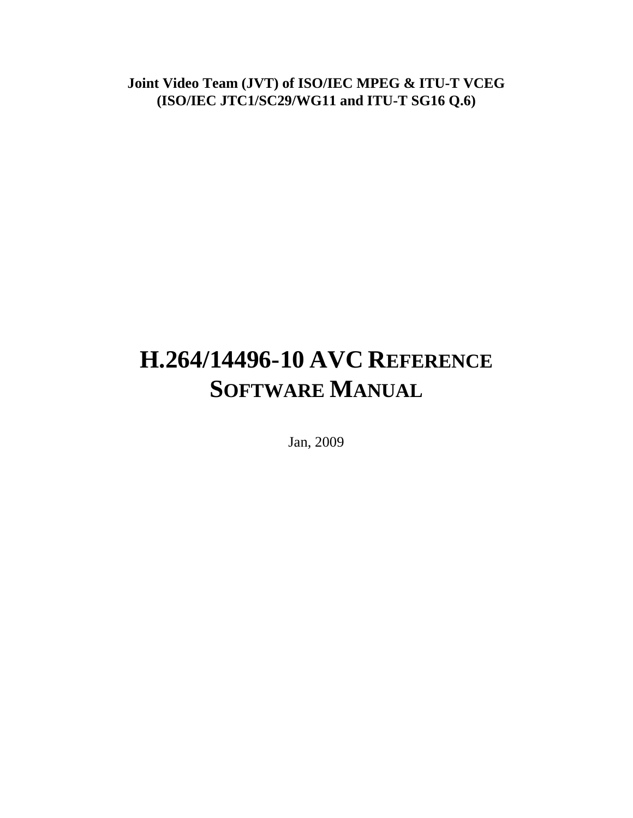**Joint Video Team (JVT) of ISO/IEC MPEG & ITU-T VCEG (ISO/IEC JTC1/SC29/WG11 and ITU-T SG16 Q.6)**

# **H.264/14496-10 AVC REFERENCE SOFTWARE MANUAL**

Jan, 2009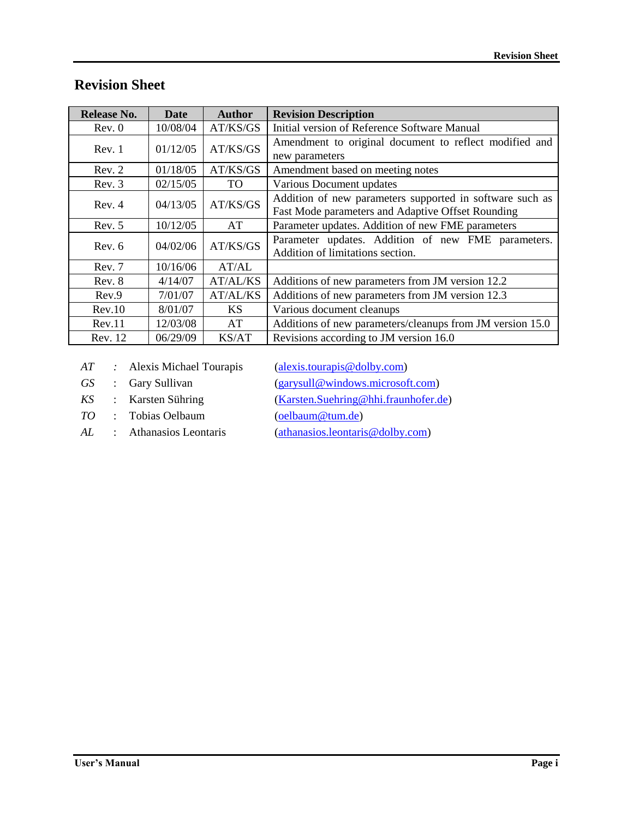| Release No. | Date     | <b>Author</b> | <b>Revision Description</b>                                                                                   |
|-------------|----------|---------------|---------------------------------------------------------------------------------------------------------------|
| Rev. 0      | 10/08/04 | AT/KS/GS      | Initial version of Reference Software Manual                                                                  |
| Rev. 1      | 01/12/05 | AT/KS/GS      | Amendment to original document to reflect modified and<br>new parameters                                      |
| Rev. 2      | 01/18/05 | AT/KS/GS      | Amendment based on meeting notes                                                                              |
| Rev. 3      | 02/15/05 | TO.           | Various Document updates                                                                                      |
| Rev. 4      | 04/13/05 | AT/KS/GS      | Addition of new parameters supported in software such as<br>Fast Mode parameters and Adaptive Offset Rounding |
| Rev. 5      | 10/12/05 | AT            | Parameter updates. Addition of new FME parameters                                                             |
| Rev. 6      | 04/02/06 | AT/KS/GS      | Parameter updates. Addition of new FME parameters.<br>Addition of limitations section.                        |
| Rev. 7      | 10/16/06 | AT/AL         |                                                                                                               |
| Rev. 8      | 4/14/07  | AT/AL/KS      | Additions of new parameters from JM version 12.2                                                              |
| Rev.9       | 7/01/07  | AT/AL/KS      | Additions of new parameters from JM version 12.3                                                              |
| Rev.10      | 8/01/07  | <b>KS</b>     | Various document cleanups                                                                                     |
| Rev.11      | 12/03/08 | AT            | Additions of new parameters/cleanups from JM version 15.0                                                     |
| Rev. 12     | 06/29/09 | KS/AT         | Revisions according to JM version 16.0                                                                        |

## **Revision Sheet**

*AT* : Alexis Michael Tourapis [\(alexis.tourapis@dolby.com\)](mailto:alexismt@ieee.org)

*TO* : Tobias Oelbaum [\(oelbaum@tum.de\)](mailto:oelbaum@tum.de)

*GS* : Gary Sullivan [\(garysull@windows.microsoft.com\)](mailto:garysull@windows.microsoft.com)

*KS* : Karsten Sühring [\(Karsten.Suehring@hhi.fraunhofer.de\)](mailto:Karsten.Suehring@hhi.fraunhofer.de)

*AL* : Athanasios Leontaris [\(athanasios.leontaris@dolby.com\)](mailto:athanasios.leontaris@dolby.com)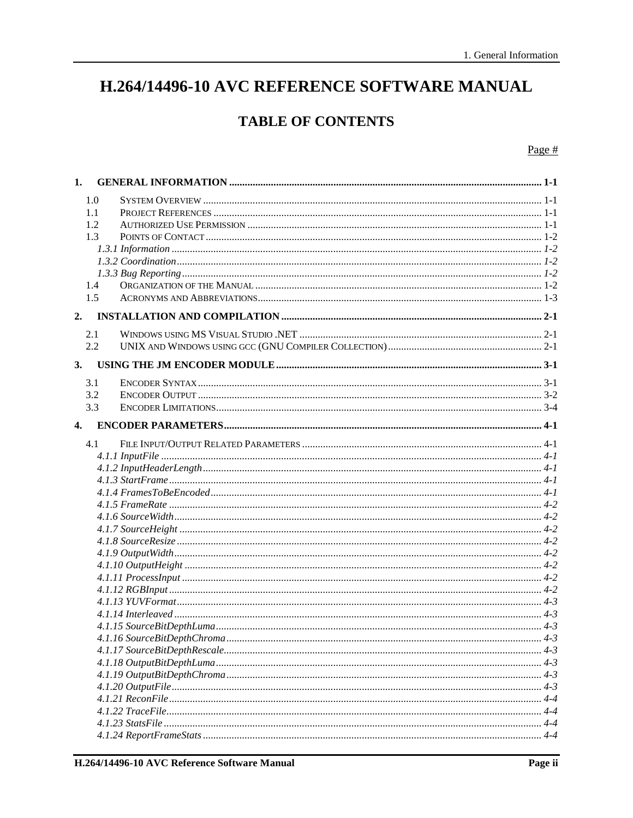## H.264/14496-10 AVC REFERENCE SOFTWARE MANUAL

## **TABLE OF CONTENTS**

#### Page  $#$

| 1.           |     |  |
|--------------|-----|--|
|              | 1.0 |  |
|              | 1.1 |  |
|              | 1.2 |  |
|              | 1.3 |  |
|              |     |  |
|              |     |  |
|              |     |  |
|              | 1.4 |  |
|              | 1.5 |  |
| 2.           |     |  |
|              | 2.1 |  |
|              | 2.2 |  |
| 3.           |     |  |
|              | 3.1 |  |
|              | 3.2 |  |
|              | 3.3 |  |
| $\mathbf{4}$ |     |  |
|              | 4.1 |  |
|              |     |  |
|              |     |  |
|              |     |  |
|              |     |  |
|              |     |  |
|              |     |  |
|              |     |  |
|              |     |  |
|              |     |  |
|              |     |  |
|              |     |  |
|              |     |  |
|              |     |  |
|              |     |  |
|              |     |  |
|              |     |  |
|              |     |  |
|              |     |  |
|              |     |  |
|              |     |  |
|              |     |  |
|              |     |  |
|              |     |  |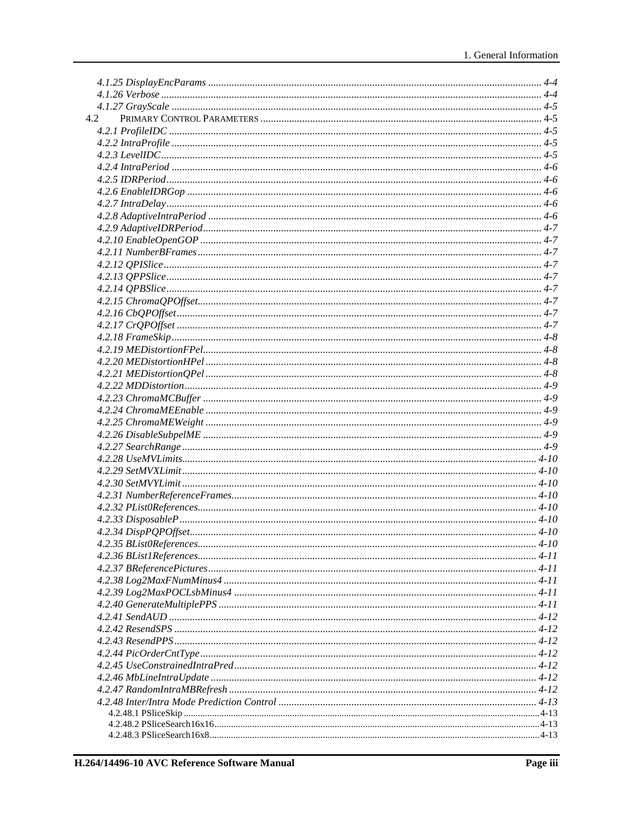| 4.2 |  |
|-----|--|
|     |  |
|     |  |
|     |  |
|     |  |
|     |  |
|     |  |
|     |  |
|     |  |
|     |  |
|     |  |
|     |  |
|     |  |
|     |  |
|     |  |
|     |  |
|     |  |
|     |  |
|     |  |
|     |  |
|     |  |
|     |  |
|     |  |
|     |  |
|     |  |
|     |  |
|     |  |
|     |  |
|     |  |
|     |  |
|     |  |
|     |  |
|     |  |
|     |  |
|     |  |
|     |  |
|     |  |
|     |  |
|     |  |
|     |  |
|     |  |
|     |  |
|     |  |
|     |  |
|     |  |
|     |  |
|     |  |
|     |  |
|     |  |
|     |  |
|     |  |
|     |  |
|     |  |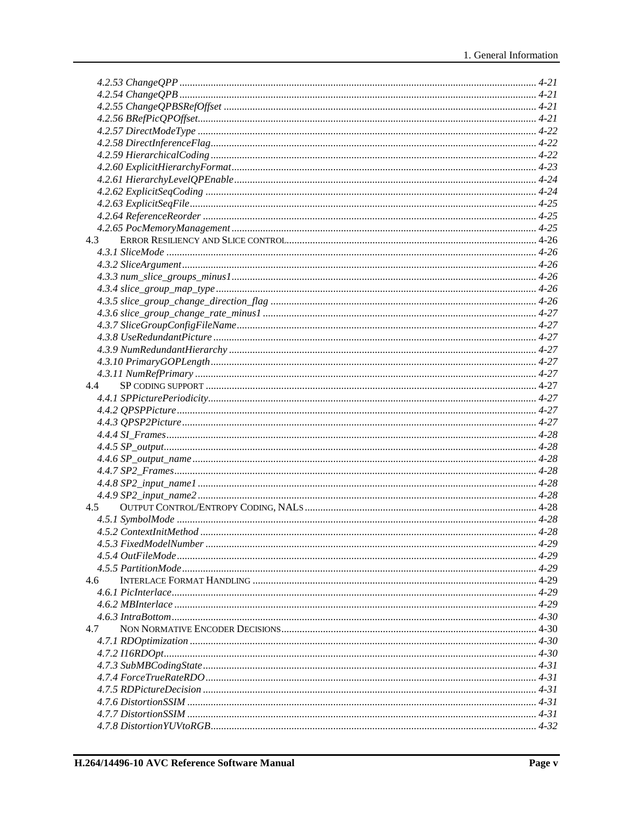| 4.3           |  |
|---------------|--|
|               |  |
|               |  |
|               |  |
|               |  |
|               |  |
|               |  |
|               |  |
|               |  |
|               |  |
|               |  |
|               |  |
|               |  |
| 4.4           |  |
|               |  |
|               |  |
|               |  |
|               |  |
|               |  |
|               |  |
|               |  |
|               |  |
|               |  |
| 4.5           |  |
|               |  |
|               |  |
|               |  |
|               |  |
|               |  |
| $4.6^{\circ}$ |  |
|               |  |
|               |  |
|               |  |
|               |  |
| 4.7           |  |
|               |  |
|               |  |
|               |  |
|               |  |
|               |  |
|               |  |
|               |  |
|               |  |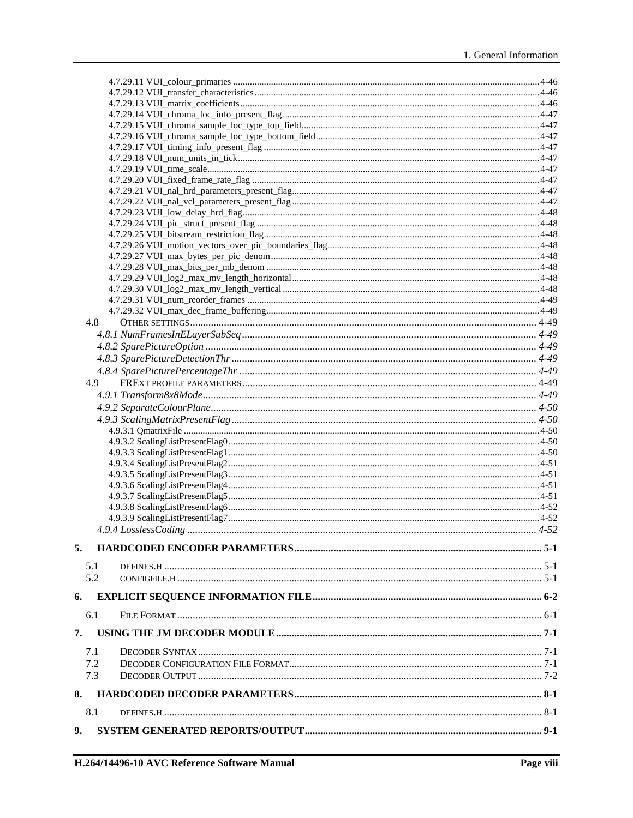|    | 4.8 |  |
|----|-----|--|
|    |     |  |
|    |     |  |
|    |     |  |
|    |     |  |
|    |     |  |
|    | 4.9 |  |
|    |     |  |
|    |     |  |
|    |     |  |
|    |     |  |
|    |     |  |
|    |     |  |
|    |     |  |
|    |     |  |
|    |     |  |
|    |     |  |
|    |     |  |
|    |     |  |
|    |     |  |
| 5. |     |  |
|    | 5.1 |  |
|    | 5.2 |  |
|    |     |  |
| 6. |     |  |
|    | 6.1 |  |
| 7. |     |  |
|    |     |  |
|    | 7.1 |  |
|    | 7.2 |  |
|    | 7.3 |  |
| 8. |     |  |
|    | 8.1 |  |
| 9. |     |  |
|    |     |  |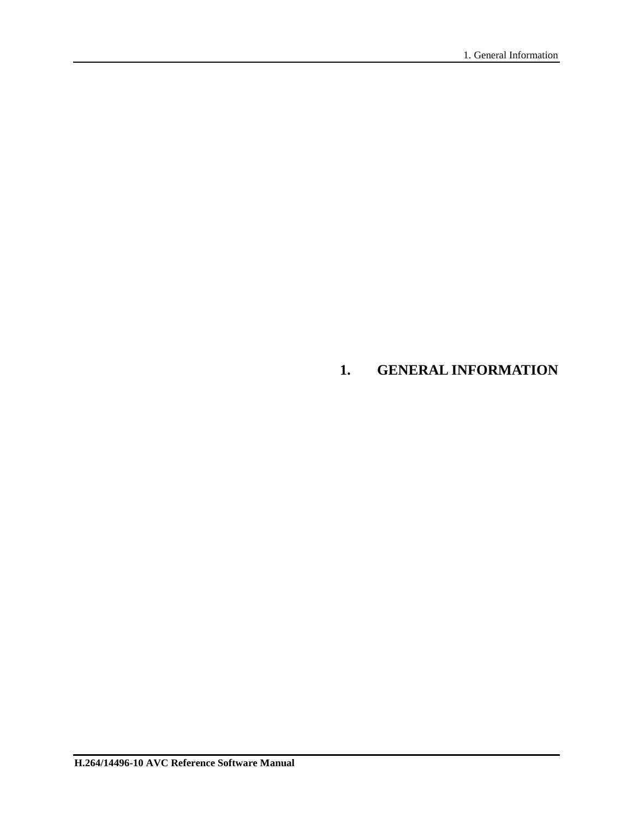## **1. GENERAL INFORMATION**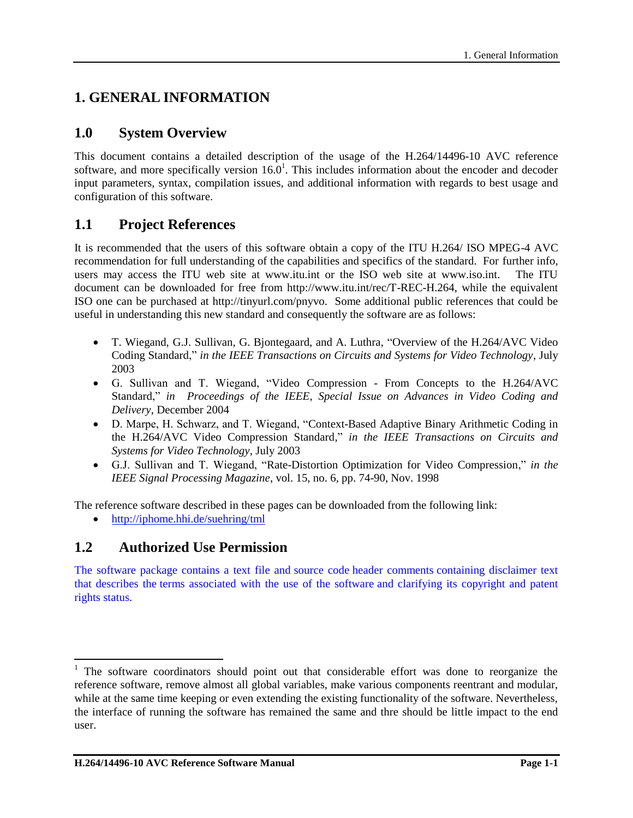## **1. GENERAL INFORMATION**

## **1.0 System Overview**

This document contains a detailed description of the usage of the H.264/14496-10 AVC reference software, and more specifically version  $16.0<sup>1</sup>$ . This includes information about the encoder and decoder input parameters, syntax, compilation issues, and additional information with regards to best usage and configuration of this software.

## **1.1 Project References**

It is recommended that the users of this software obtain a copy of the ITU H.264/ ISO MPEG-4 AVC recommendation for full understanding of the capabilities and specifics of the standard. For further info, users may access the ITU web site at www.itu.int or the ISO web site at www.iso.int. The ITU document can be downloaded for free from http://www.itu.int/rec/T-REC-H.264, while the equivalent ISO one can be purchased at http://tinyurl.com/pnyvo. Some additional public references that could be useful in understanding this new standard and consequently the software are as follows:

- T. Wiegand, G.J. Sullivan, G. Bjontegaard, and A. Luthra, "Overview of the H.264/AVC Video Coding Standard," *in the IEEE Transactions on Circuits and Systems for Video Technology*, July 2003
- G. Sullivan and T. Wiegand, "Video Compression From Concepts to the H.264/AVC Standard," *in Proceedings of the IEEE, Special Issue on Advances in Video Coding and Delivery*, December 2004
- D. Marpe, H. Schwarz, and T. Wiegand, "Context-Based Adaptive Binary Arithmetic Coding in the H.264/AVC Video Compression Standard," *in the IEEE Transactions on Circuits and Systems for Video Technology*, July 2003
- G.J. Sullivan and T. Wiegand, "Rate-Distortion Optimization for Video Compression," *in the IEEE Signal Processing Magazine*, vol. 15, no. 6, pp. 74-90, Nov. 1998

The reference software described in these pages can be downloaded from the following link:

<http://iphome.hhi.de/suehring/tml>

## **1.2 Authorized Use Permission**

l

The software package contains a text file and source code header comments containing disclaimer text that describes the terms associated with the use of the software and clarifying its copyright and patent rights status.

<sup>&</sup>lt;sup>1</sup> The software coordinators should point out that considerable effort was done to reorganize the reference software, remove almost all global variables, make various components reentrant and modular, while at the same time keeping or even extending the existing functionality of the software. Nevertheless, the interface of running the software has remained the same and thre should be little impact to the end user.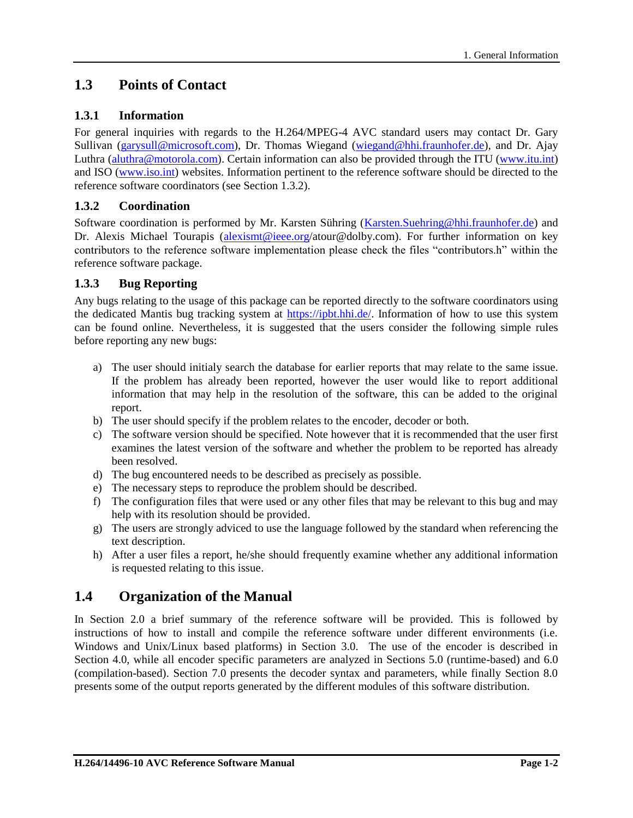## **1.3 Points of Contact**

## **1.3.1 Information**

For general inquiries with regards to the H.264/MPEG-4 AVC standard users may contact Dr. Gary Sullivan [\(garysull@microsoft.com\)](mailto:garysull@microsoft.com), Dr. Thomas Wiegand [\(wiegand@hhi.fraunhofer.de\)](mailto:wiegand@hhi.fraunhofer.de), and Dr. Ajay Luthra [\(aluthra@motorola.com\)](mailto:aluthra@motorola.com). Certain information can also be provided through the ITU [\(www.itu.int\)](../Local%20Settings/Temporary%20Internet%20Files/documents/Organize/Dokumente%20und%20Einstellungen/oelbaum/Lokale%20Einstellungen/Temp/Rar$DI00.734/www.itu.int) and ISO [\(www.iso.int\)](../Local%20Settings/Temporary%20Internet%20Files/documents/Organize/Dokumente%20und%20Einstellungen/oelbaum/Lokale%20Einstellungen/Temp/Rar$DI00.734/www.iso.int) websites. Information pertinent to the reference software should be directed to the reference software coordinators (see Section [1.3.2\)](#page-13-0).

## <span id="page-13-0"></span>**1.3.2 Coordination**

Software coordination is performed by Mr. Karsten Sühring [\(Karsten.Suehring@hhi.fraunhofer.de\)](mailto:Karsten.Suehring@hhi.fraunhofer.de) and Dr. Alexis Michael Tourapis [\(alexismt@ieee.org/](mailto:alexismt@ieee.org)atour@dolby.com). For further information on key contributors to the reference software implementation please check the files "contributors.h" within the reference software package.

## **1.3.3 Bug Reporting**

Any bugs relating to the usage of this package can be reported directly to the software coordinators using the dedicated Mantis bug tracking system at [https://ipbt.hhi.de/.](https://ipbt.hhi.de/) Information of how to use this system can be found online. Nevertheless, it is suggested that the users consider the following simple rules before reporting any new bugs:

- a) The user should initialy search the database for earlier reports that may relate to the same issue. If the problem has already been reported, however the user would like to report additional information that may help in the resolution of the software, this can be added to the original report.
- b) The user should specify if the problem relates to the encoder, decoder or both.
- c) The software version should be specified. Note however that it is recommended that the user first examines the latest version of the software and whether the problem to be reported has already been resolved.
- d) The bug encountered needs to be described as precisely as possible.
- e) The necessary steps to reproduce the problem should be described.
- f) The configuration files that were used or any other files that may be relevant to this bug and may help with its resolution should be provided.
- g) The users are strongly adviced to use the language followed by the standard when referencing the text description.
- h) After a user files a report, he/she should frequently examine whether any additional information is requested relating to this issue.

## **1.4 Organization of the Manual**

In Section 2.0 a brief summary of the reference software will be provided. This is followed by instructions of how to install and compile the reference software under different environments (i.e. Windows and Unix/Linux based platforms) in Section 3.0. The use of the encoder is described in Section 4.0, while all encoder specific parameters are analyzed in Sections 5.0 (runtime-based) and 6.0 (compilation-based). Section 7.0 presents the decoder syntax and parameters, while finally Section 8.0 presents some of the output reports generated by the different modules of this software distribution.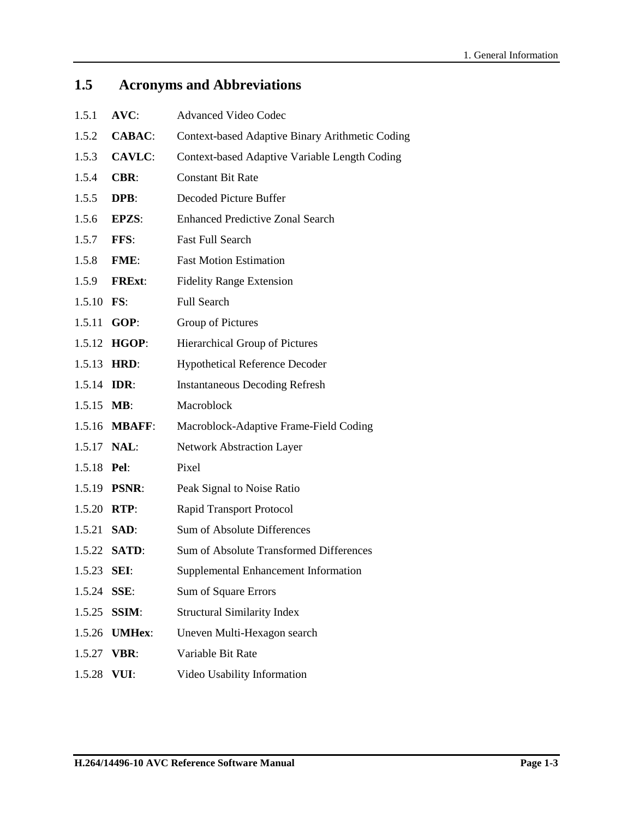## **1.5 Acronyms and Abbreviations**

| 1.5.1               | $AVC$ :             | <b>Advanced Video Codec</b>                     |
|---------------------|---------------------|-------------------------------------------------|
| 1.5.2               | <b>CABAC:</b>       | Context-based Adaptive Binary Arithmetic Coding |
| 1.5.3               | <b>CAVLC:</b>       | Context-based Adaptive Variable Length Coding   |
| 1.5.4               | <b>CBR:</b>         | <b>Constant Bit Rate</b>                        |
| 1.5.5               | DPB:                | Decoded Picture Buffer                          |
| 1.5.6               | <b>EPZS:</b>        | <b>Enhanced Predictive Zonal Search</b>         |
| 1.5.7               | FFS:                | <b>Fast Full Search</b>                         |
| 1.5.8               | FME:                | <b>Fast Motion Estimation</b>                   |
| 1.5.9               | <b>FRExt:</b>       | <b>Fidelity Range Extension</b>                 |
| 1.5.10 FS:          |                     | <b>Full Search</b>                              |
| 1.5.11              | GOP:                | Group of Pictures                               |
|                     | 1.5.12 HGOP:        | Hierarchical Group of Pictures                  |
| 1.5.13              | HRD:                | <b>Hypothetical Reference Decoder</b>           |
| 1.5.14 <b>IDR</b> : |                     | <b>Instantaneous Decoding Refresh</b>           |
| $1.5.15$ MB:        |                     | Macroblock                                      |
|                     | 1.5.16 MBAFF:       | Macroblock-Adaptive Frame-Field Coding          |
|                     | 1.5.17 <b>NAL</b> : | <b>Network Abstraction Layer</b>                |
| 1.5.18 <b>Pel:</b>  |                     | Pixel                                           |
|                     | 1.5.19 <b>PSNR:</b> | Peak Signal to Noise Ratio                      |
| 1.5.20 RTP:         |                     | <b>Rapid Transport Protocol</b>                 |
| 1.5.21              | SAD:                | Sum of Absolute Differences                     |
|                     | 1.5.22 <b>SATD:</b> | Sum of Absolute Transformed Differences         |
| 1.5.23 <b>SEI:</b>  |                     | Supplemental Enhancement Information            |
| 1.5.24              | SSE:                | Sum of Square Errors                            |
| 1.5.25              | <b>SSIM:</b>        | <b>Structural Similarity Index</b>              |
| 1.5.26              | <b>UMHex:</b>       | Uneven Multi-Hexagon search                     |
| 1.5.27              | <b>VBR:</b>         | Variable Bit Rate                               |
| 1.5.28              | VUI:                | Video Usability Information                     |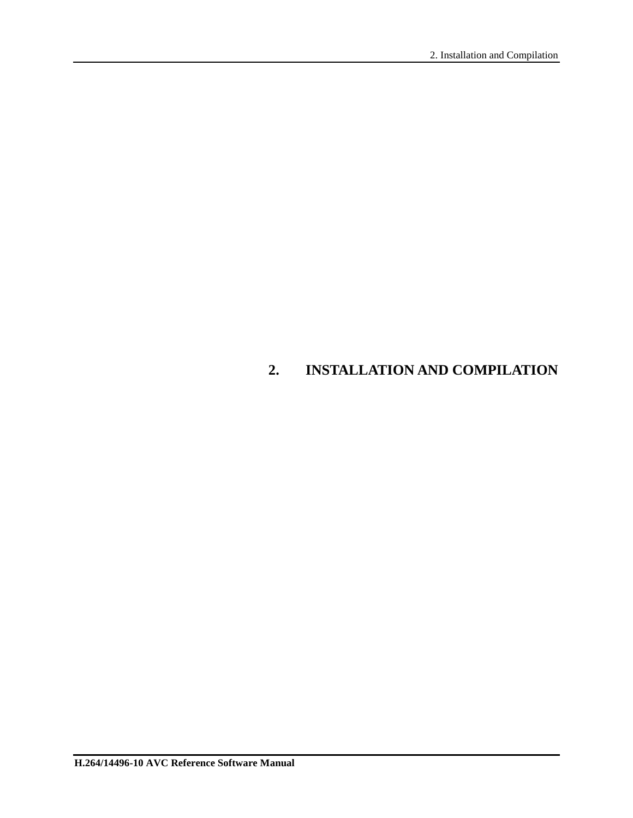## **2. INSTALLATION AND COMPILATION**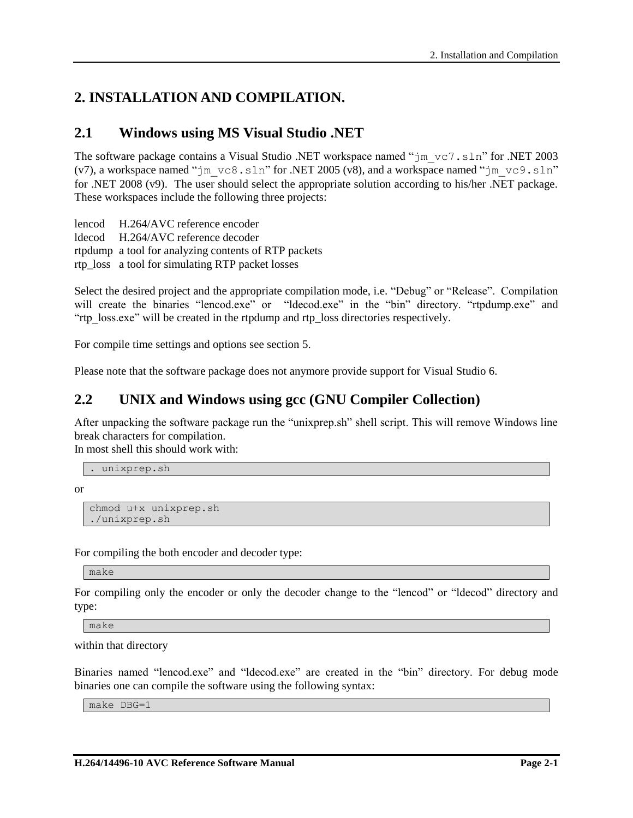## **2. INSTALLATION AND COMPILATION.**

## **2.1 Windows using MS Visual Studio .NET**

The software package contains a Visual Studio .NET workspace named " $jm$  vc7.sln" for .NET 2003 (v7), a workspace named "jm\_vc8.sln" for .NET 2005 (v8), and a workspace named "jm\_vc9.sln" for .NET 2008 (v9). The user should select the appropriate solution according to his/her .NET package. These workspaces include the following three projects:

lencod H.264/AVC reference encoder ldecod H.264/AVC reference decoder rtpdump a tool for analyzing contents of RTP packets rtp\_loss a tool for simulating RTP packet losses

Select the desired project and the appropriate compilation mode, i.e. "Debug" or "Release". Compilation will create the binaries "lencod.exe" or "ldecod.exe" in the "bin" directory. "rtpdump.exe" and "rtp\_loss.exe" will be created in the rtpdump and rtp\_loss directories respectively.

For compile time settings and options see section [5.](#page-76-0)

Please note that the software package does not anymore provide support for Visual Studio 6.

## **2.2 UNIX and Windows using gcc (GNU Compiler Collection)**

After unpacking the software package run the "unixprep.sh" shell script. This will remove Windows line break characters for compilation.

In most shell this should work with:

. unixprep.sh

or

```
chmod u+x unixprep.sh
./unixprep.sh
```
For compiling the both encoder and decoder type:

make

For compiling only the encoder or only the decoder change to the "lencod" or "ldecod" directory and type:

make

within that directory

Binaries named "lencod.exe" and "ldecod.exe" are created in the "bin" directory. For debug mode binaries one can compile the software using the following syntax:

make DBG=1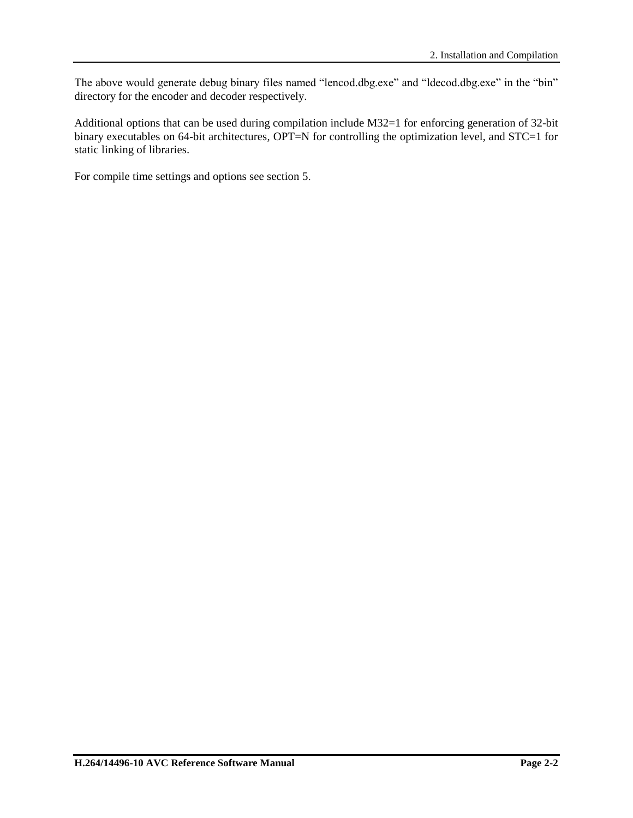The above would generate debug binary files named "lencod.dbg.exe" and "ldecod.dbg.exe" in the "bin" directory for the encoder and decoder respectively.

Additional options that can be used during compilation include M32=1 for enforcing generation of 32-bit binary executables on 64-bit architectures, OPT=N for controlling the optimization level, and STC=1 for static linking of libraries.

For compile time settings and options see section [5.](#page-76-0)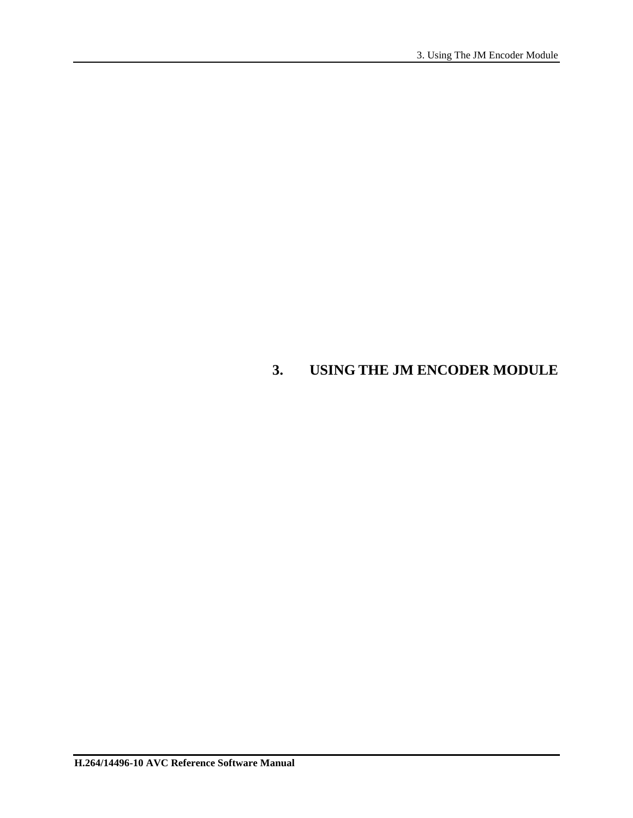## **3. USING THE JM ENCODER MODULE**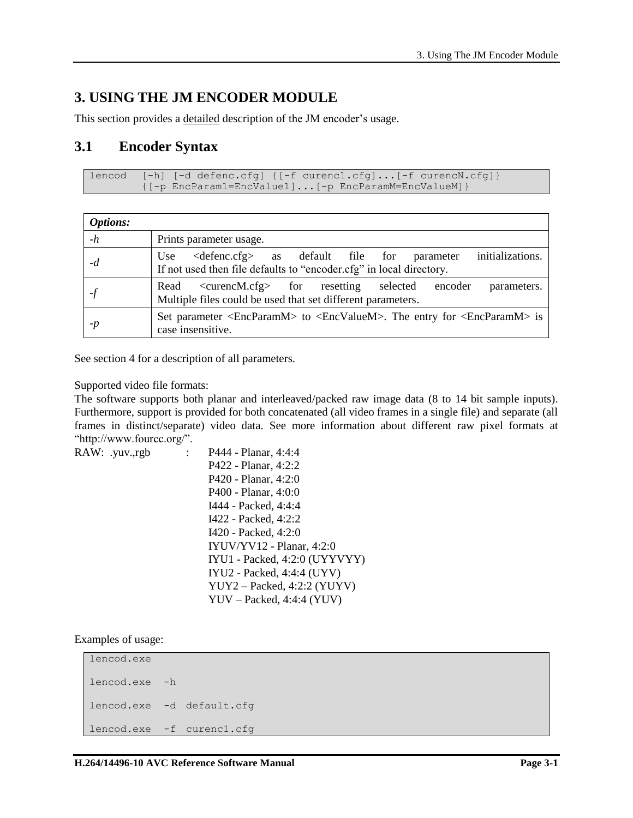## **3. USING THE JM ENCODER MODULE**

This section provides a detailed description of the JM encoder's usage.

## **3.1 Encoder Syntax**

```
lencod [-h] [-d defenc.cfg] {[-f curenc1.cfg]...[-f curencN.cfg]}
        {[-p EncParam1=EncValue1]...[-p EncParamM=EncValueM]}
```

| <b>Options:</b> |                                                                                                                                                            |
|-----------------|------------------------------------------------------------------------------------------------------------------------------------------------------------|
| $-h$            | Prints parameter usage.                                                                                                                                    |
| -d              | initializations.<br>$\langle$ defenc.cfg> as default file for<br>parameter<br>Use  <br>If not used then file defaults to "encoder.cfg" in local directory. |
|                 | <curencm.cfg> for resetting selected<br/>encoder<br/>Read<br/>parameters.<br/>Multiple files could be used that set different parameters.</curencm.cfg>    |
| $-p$            | Set parameter <encparamm> to <encvaluem>. The entry for <encparamm> is<br/>case insensitive.</encparamm></encvaluem></encparamm>                           |

See section [4](#page-23-0) for a description of all parameters.

#### Supported video file formats:

The software supports both planar and interleaved/packed raw image data (8 to 14 bit sample inputs). Furthermore, support is provided for both concatenated (all video frames in a single file) and separate (all frames in distinct/separate) video data. See more information about different raw pixel formats at "http://www.fourcc.org/".

```
RAW: .yuv.,rgb : P444 - Planar, 4:4:4
                          P422 - Planar, 4:2:2 
                          P420 - Planar, 4:2:0 
                          P400 - Planar, 4:0:0
                          I444 - Packed, 4:4:4
                          I422 - Packed, 4:2:2
                          I420 - Packed, 4:2:0
                          IYUV/YV12 - Planar, 4:2:0
                          IYU1 - Packed, 4:2:0 (UYYVYY)
                          IYU2 - Packed, 4:4:4 (UYV)
                          YUY2 – Packed, 4:2:2 (YUYV)
                          YUV – Packed, 4:4:4 (YUV)
```
Examples of usage:

```
lencod.exe
lencod.exe -h
lencod.exe -d default.cfg
lencod.exe -f curenc1.cfg
```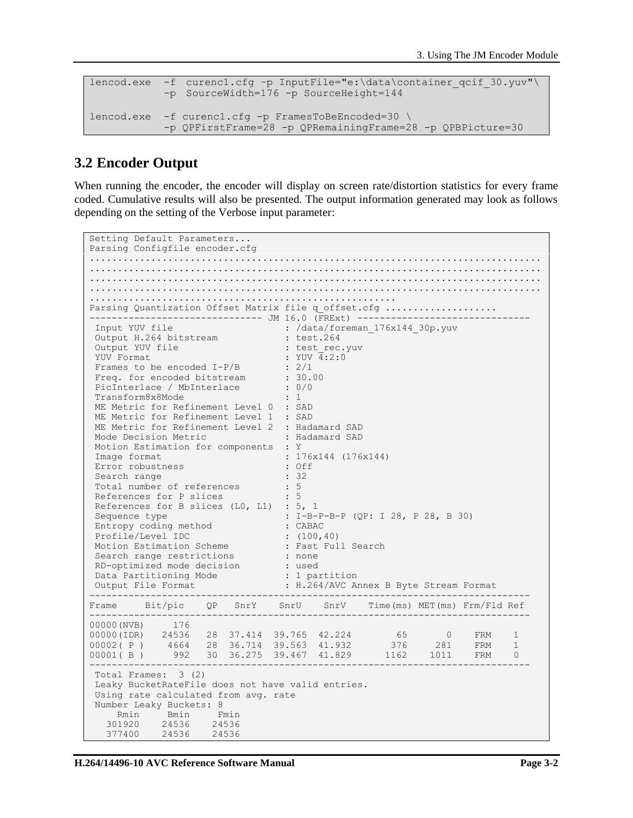```
lencod.exe -f curencl.cfg -p InputFile="e:\data\container qcif 30.yuv"\
           -p SourceWidth=176 -p SourceHeight=144
lencod.exe -f curenc1.cfg -p FramesToBeEncoded=30 \
          -p QPFirstFrame=28 -p QPRemainingFrame=28 -p QPBPicture=30
```
## **3.2 Encoder Output**

When running the encoder, the encoder will display on screen rate/distortion statistics for every frame coded. Cumulative results will also be presented. The output information generated may look as follows depending on the setting of the Verbose input parameter:

```
Setting Default Parameters...
Parsing Configfile encoder.cfg 
.................................................................................
.................................................................................
.................................................................................
        .................................................................................
.......................................................
Parsing Quantization Offset Matrix file q offset.cfg ....................
--------------------------------- JM 16.0 (FRExt) --<br>Input YUV file : /data/foreman
                               : /data/foreman_176x144_30p.yuv
 Output H.264 bitstream : test.264
 Output YUV file : test rec.yuv
 YUV Format : YUV \overline{4:2:0}Frames to be encoded I-P/B : 2/1
Freq. for encoded bitstream : 30.00<br>PicInterlace / MbInterlace : 0/0<br>Transform8x8Mode : 1
PicInterlace / MbInterlace
Transform8x8Mode
ME Metric for Refinement Level 0 : SAD
ME Metric for Refinement Level 1 : SAD
ME Metric for Refinement Level 2 : Hadamard SAD
 Mode Decision Metric : Hadamard SAD
 Motion Estimation for components : Y
 Image format : 176x144 (176x144)
FIGULION ESCIMBLISH IST SURFORCELLE : 176x144 (176x144)<br>
Error robustness : Off<br>
Search range : 32
 Search range : 32
 Total number of references : 5
 References for P slices : 5
 References for B slices (LO, L1) : 5, 1
 Sequence type : I-B-P-B-P (QP: I 28, P 28, B 30)
 Entropy coding method : CABAC
 Profile/Level IDC : (100,40)
 Motion Estimation Scheme . Fast Full Search
 Search range restrictions : none
 RD-optimized mode decision : used
 Data Partitioning Mode : 1 partition
 Output File Format : H.264/AVC Annex B Byte Stream Format
                               -------------------------------------------------------------------------------
Frame Bit/pic OP SnrY SnrU SnrV Time(ms) MET(ms) Frm/Fld Ref
-------------------------------------------------------------------------------
00000(NVB) 176
00000(IDR) 24536 28 37.414 39.765 42.224 65 0 FRM 1
00002( P )  4664  28  36.714  39.563  41.932  376  281  FRM  1
00001(B) 992 30 36.275 39.467 41.829 1162 1011 FRM 0
-------------------------------------------------------------------------------
Total Frames: 3 (2)
Leaky BucketRateFile does not have valid entries.
Using rate calculated from avg. rate
Number Leaky Buckets: 8
             Rmin Bmin Fmin
   301920 24536 24536
   377400 24536 24536
```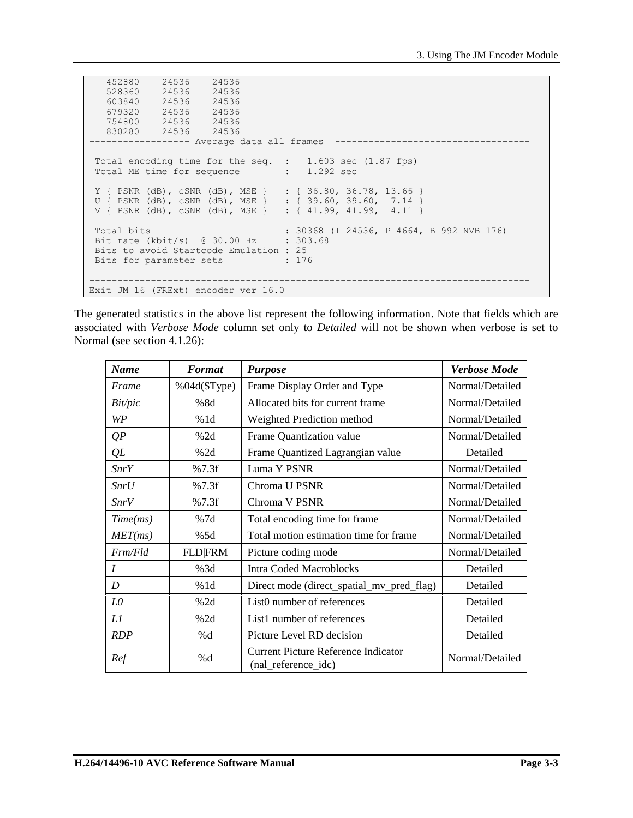```
 452880 24536 24536
    528360 24536 24536
          24536
    679320 24536 24536
    754800 24536 24536
            830280 24536 24536
   ------------------ Average data all frames -----------------------------------
Total encoding time for the seq. : 1.603 sec (1.87 fps)
Total ME time for sequence : 1.292 sec
 Y { PSNR (dB), cSNR (dB), MSE } : { 36.80, 36.78, 13.66 }
 U { PSNR (dB), cSNR (dB), MSE } : { 39.60, 39.60, 7.14 }
 V { PSNR (dB), cSNR (dB), MSE } : { 41.99, 41.99, 4.11 }
Total bits : 30368 (I 24536, P 4664, B 992 NVB 176)
Bit rate (kbit/s) @ 30.00 HzBits to avoid Startcode Emulation : 25<br>Bits for parameter sets : 176
Bits for parameter sets
          -------------------------------------------------------------------------------
Exit JM 16 (FRExt) encoder ver 16.0
```
The generated statistics in the above list represent the following information. Note that fields which are associated with *Verbose Mode* column set only to *Detailed* will not be shown when verbose is set to Normal (see section [4.1.26\)](#page-27-0):

| <b>Name</b>      | <b>Format</b>  | <b>Purpose</b>                                                    | <b>Verbose Mode</b> |
|------------------|----------------|-------------------------------------------------------------------|---------------------|
| Frame            | %04d(\$Type)   | Frame Display Order and Type                                      | Normal/Detailed     |
| Bit/pic          | %8d            | Allocated bits for current frame                                  | Normal/Detailed     |
| WP               | %1d            | Weighted Prediction method                                        | Normal/Detailed     |
| QP               | %2d            | Frame Quantization value                                          | Normal/Detailed     |
| QL               | %2d            | Frame Quantized Lagrangian value                                  | Detailed            |
| SnrY             | %7.3f          | Luma Y PSNR                                                       | Normal/Detailed     |
| SnrU             | %7.3f          | Chroma U PSNR                                                     | Normal/Detailed     |
| SnrV             | %7.3f          | Chroma V PSNR                                                     | Normal/Detailed     |
| Time(ms)         | %7d            | Total encoding time for frame                                     | Normal/Detailed     |
| MET(ms)          | %5d            | Total motion estimation time for frame                            | Normal/Detailed     |
| Frm/4            | <b>FLD FRM</b> | Picture coding mode                                               | Normal/Detailed     |
| $\boldsymbol{I}$ | %3d            | <b>Intra Coded Macroblocks</b>                                    | Detailed            |
| D                | %1d            | Direct mode (direct_spatial_mv_pred_flag)                         | Detailed            |
| LO               | %2d            | List0 number of references                                        | Detailed            |
| Ll               | %2d            | List1 number of references                                        | Detailed            |
| <b>RDP</b>       | %d             | Picture Level RD decision                                         | Detailed            |
| Ref              | %d             | <b>Current Picture Reference Indicator</b><br>(nal_reference_idc) | Normal/Detailed     |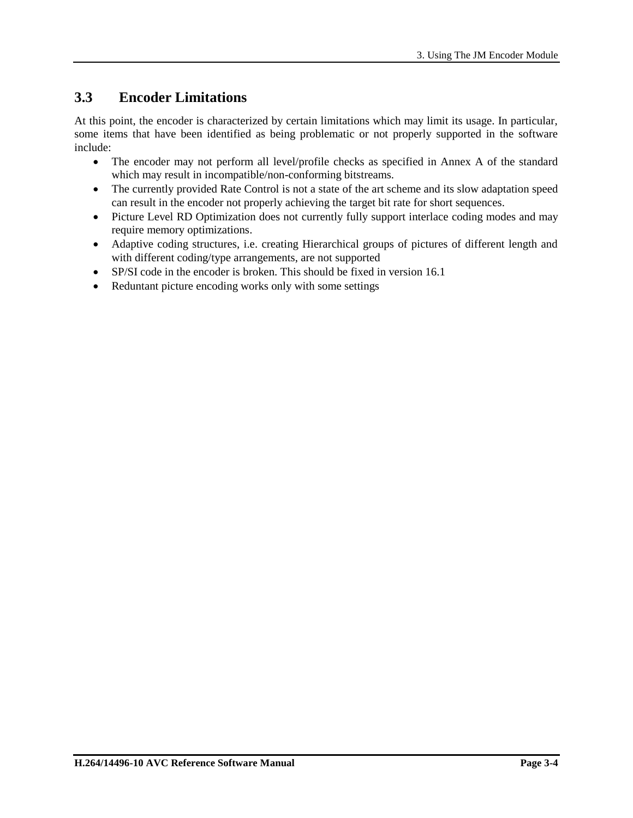## **3.3 Encoder Limitations**

At this point, the encoder is characterized by certain limitations which may limit its usage. In particular, some items that have been identified as being problematic or not properly supported in the software include:

- The encoder may not perform all level/profile checks as specified in Annex A of the standard which may result in incompatible/non-conforming bitstreams.
- The currently provided Rate Control is not a state of the art scheme and its slow adaptation speed can result in the encoder not properly achieving the target bit rate for short sequences.
- Picture Level RD Optimization does not currently fully support interlace coding modes and may require memory optimizations.
- Adaptive coding structures, i.e. creating Hierarchical groups of pictures of different length and with different coding/type arrangements, are not supported
- SP/SI code in the encoder is broken. This should be fixed in version 16.1
- Reduntant picture encoding works only with some settings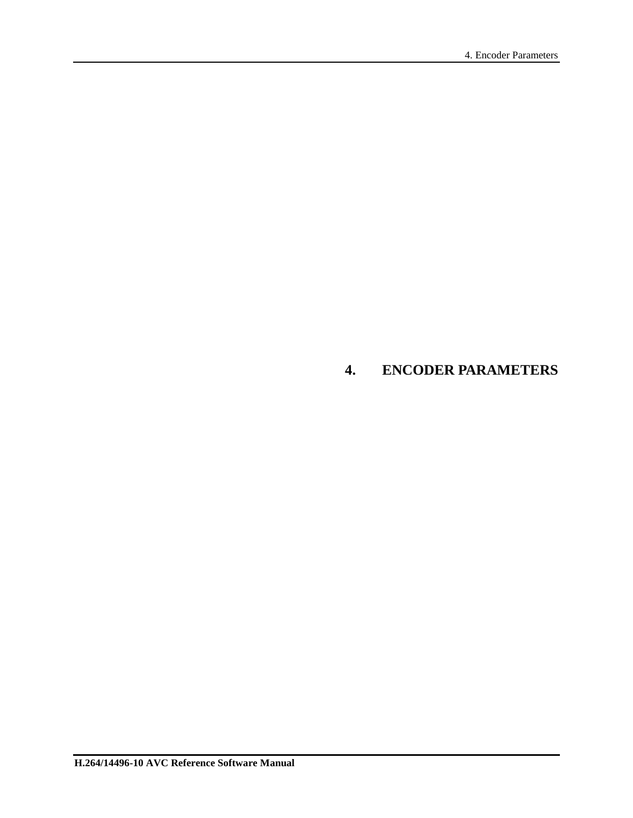## <span id="page-23-0"></span>**4. ENCODER PARAMETERS**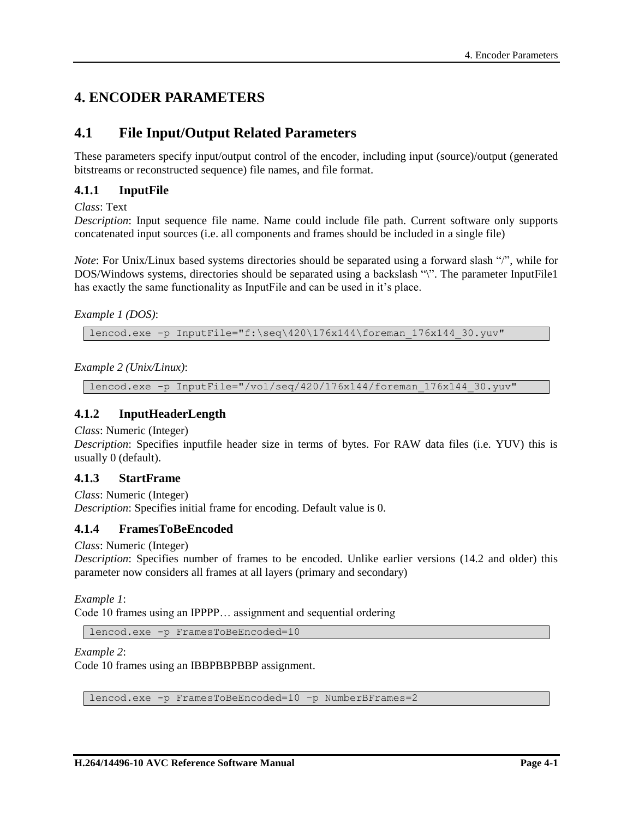## **4. ENCODER PARAMETERS**

## **4.1 File Input/Output Related Parameters**

These parameters specify input/output control of the encoder, including input (source)/output (generated bitstreams or reconstructed sequence) file names, and file format.

## **4.1.1 InputFile**

*Class*: Text

*Description*: Input sequence file name. Name could include file path. Current software only supports concatenated input sources (i.e. all components and frames should be included in a single file)

*Note*: For Unix/Linux based systems directories should be separated using a forward slash "/", while for DOS/Windows systems, directories should be separated using a backslash "\". The parameter InputFile1 has exactly the same functionality as InputFile and can be used in it's place.

## *Example 1 (DOS)*:

lencod.exe -p InputFile="f:\seq\420\176x144\foreman 176x144 30.yuv"

*Example 2 (Unix/Linux)*:

lencod.exe -p InputFile="/vol/seq/420/176x144/foreman\_176x144\_30.yuv"

## **4.1.2 InputHeaderLength**

*Class*: Numeric (Integer)

*Description*: Specifies inputfile header size in terms of bytes. For RAW data files (i.e. YUV) this is usually 0 (default).

## **4.1.3 StartFrame**

*Class*: Numeric (Integer) *Description*: Specifies initial frame for encoding. Default value is 0.

## **4.1.4 FramesToBeEncoded**

*Class*: Numeric (Integer)

*Description*: Specifies number of frames to be encoded. Unlike earlier versions (14.2 and older) this parameter now considers all frames at all layers (primary and secondary)

*Example 1*:

Code 10 frames using an IPPPP… assignment and sequential ordering

lencod.exe -p FramesToBeEncoded=10

#### *Example 2*:

Code 10 frames using an IBBPBBPBBP assignment.

lencod.exe -p FramesToBeEncoded=10 –p NumberBFrames=2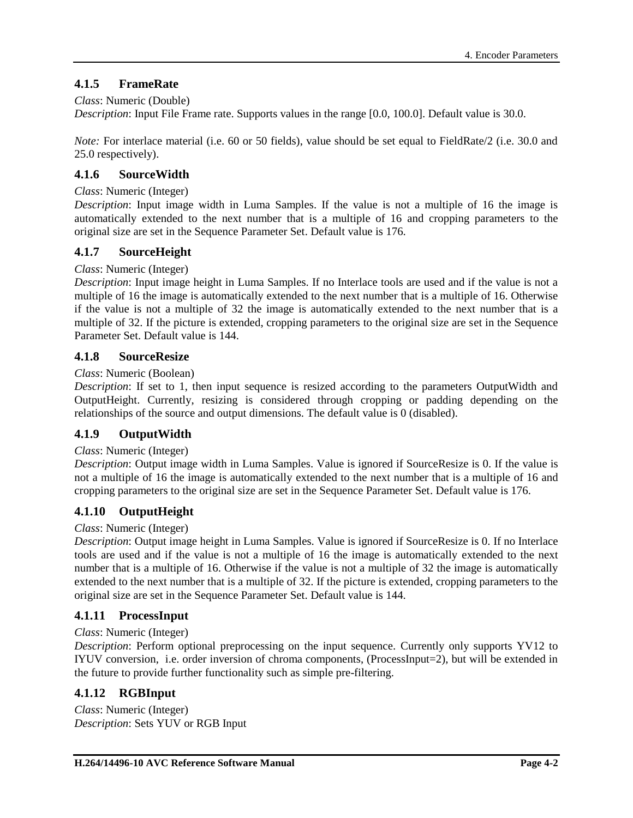## **4.1.5 FrameRate**

## *Class*: Numeric (Double)

*Description*: Input File Frame rate. Supports values in the range [0.0, 100.0]. Default value is 30.0.

*Note:* For interlace material (i.e. 60 or 50 fields), value should be set equal to FieldRate/2 (i.e. 30.0 and 25.0 respectively).

## **4.1.6 SourceWidth**

#### *Class*: Numeric (Integer)

*Description*: Input image width in Luma Samples. If the value is not a multiple of 16 the image is automatically extended to the next number that is a multiple of 16 and cropping parameters to the original size are set in the Sequence Parameter Set. Default value is 176.

## **4.1.7 SourceHeight**

## *Class*: Numeric (Integer)

*Description*: Input image height in Luma Samples. If no Interlace tools are used and if the value is not a multiple of 16 the image is automatically extended to the next number that is a multiple of 16. Otherwise if the value is not a multiple of 32 the image is automatically extended to the next number that is a multiple of 32. If the picture is extended, cropping parameters to the original size are set in the Sequence Parameter Set. Default value is 144.

## **4.1.8 SourceResize**

#### *Class*: Numeric (Boolean)

*Description*: If set to 1, then input sequence is resized according to the parameters OutputWidth and OutputHeight. Currently, resizing is considered through cropping or padding depending on the relationships of the source and output dimensions. The default value is 0 (disabled).

## **4.1.9 OutputWidth**

#### *Class*: Numeric (Integer)

*Description*: Output image width in Luma Samples. Value is ignored if SourceResize is 0. If the value is not a multiple of 16 the image is automatically extended to the next number that is a multiple of 16 and cropping parameters to the original size are set in the Sequence Parameter Set. Default value is 176.

## **4.1.10 OutputHeight**

#### *Class*: Numeric (Integer)

*Description*: Output image height in Luma Samples. Value is ignored if SourceResize is 0. If no Interlace tools are used and if the value is not a multiple of 16 the image is automatically extended to the next number that is a multiple of 16. Otherwise if the value is not a multiple of 32 the image is automatically extended to the next number that is a multiple of 32. If the picture is extended, cropping parameters to the original size are set in the Sequence Parameter Set. Default value is 144.

## **4.1.11 ProcessInput**

#### *Class*: Numeric (Integer)

*Description*: Perform optional preprocessing on the input sequence. Currently only supports YV12 to IYUV conversion, i.e. order inversion of chroma components, (ProcessInput=2), but will be extended in the future to provide further functionality such as simple pre-filtering.

## **4.1.12 RGBInput**

*Class*: Numeric (Integer) *Description*: Sets YUV or RGB Input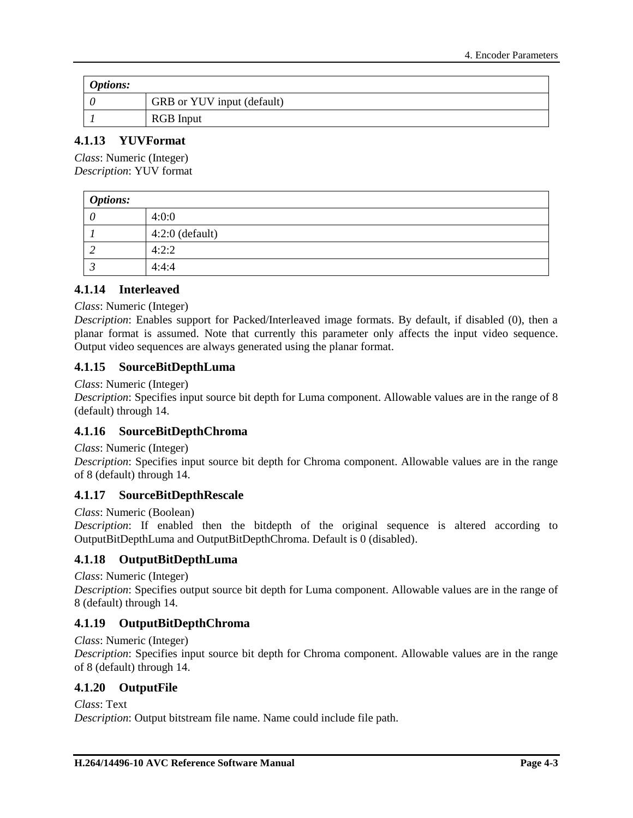| <b>Options:</b> |                            |
|-----------------|----------------------------|
|                 | GRB or YUV input (default) |
|                 | <b>RGB</b> Input           |

## **4.1.13 YUVFormat**

*Class*: Numeric (Integer) *Description*: YUV format

| <b>Options:</b> |                   |
|-----------------|-------------------|
|                 | 4:0:0             |
|                 | $4:2:0$ (default) |
|                 | 4:2:2             |
|                 | 4:4:4             |

## **4.1.14 Interleaved**

#### *Class*: Numeric (Integer)

*Description*: Enables support for Packed/Interleaved image formats. By default, if disabled (0), then a planar format is assumed. Note that currently this parameter only affects the input video sequence. Output video sequences are always generated using the planar format.

## **4.1.15 SourceBitDepthLuma**

#### *Class*: Numeric (Integer)

*Description*: Specifies input source bit depth for Luma component. Allowable values are in the range of 8 (default) through 14.

## **4.1.16 SourceBitDepthChroma**

#### *Class*: Numeric (Integer)

*Description*: Specifies input source bit depth for Chroma component. Allowable values are in the range of 8 (default) through 14.

## **4.1.17 SourceBitDepthRescale**

#### *Class*: Numeric (Boolean)

*Description*: If enabled then the bitdepth of the original sequence is altered according to OutputBitDepthLuma and OutputBitDepthChroma. Default is 0 (disabled).

## **4.1.18 OutputBitDepthLuma**

#### *Class*: Numeric (Integer)

*Description*: Specifies output source bit depth for Luma component. Allowable values are in the range of 8 (default) through 14.

## **4.1.19 OutputBitDepthChroma**

#### *Class*: Numeric (Integer)

*Description*: Specifies input source bit depth for Chroma component. Allowable values are in the range of 8 (default) through 14.

## **4.1.20 OutputFile**

*Class*: Text

*Description*: Output bitstream file name. Name could include file path.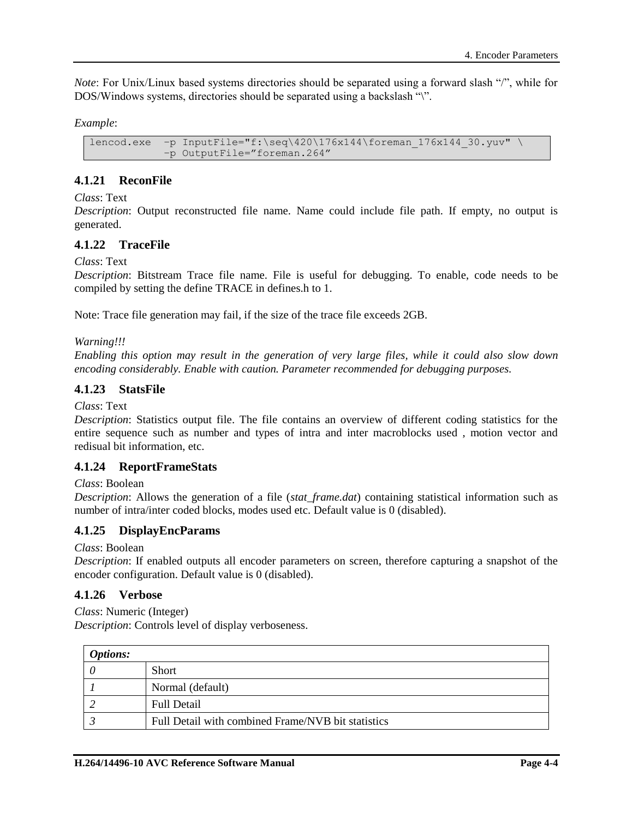*Note*: For Unix/Linux based systems directories should be separated using a forward slash "/", while for DOS/Windows systems, directories should be separated using a backslash "\".

*Example*:

```
lencod.exe -p InputFile="f:\seq\420\176x144\foreman 176x144 30.yuv" \
           –p OutputFile="foreman.264"
```
## **4.1.21 ReconFile**

#### *Class*: Text

*Description*: Output reconstructed file name. Name could include file path. If empty, no output is generated.

## **4.1.22 TraceFile**

*Class*: Text

*Description*: Bitstream Trace file name. File is useful for debugging. To enable, code needs to be compiled by setting the define TRACE in defines.h to 1.

Note: Trace file generation may fail, if the size of the trace file exceeds 2GB.

*Warning!!!*

*Enabling this option may result in the generation of very large files, while it could also slow down encoding considerably. Enable with caution. Parameter recommended for debugging purposes.*

## **4.1.23 StatsFile**

*Class*: Text

*Description*: Statistics output file. The file contains an overview of different coding statistics for the entire sequence such as number and types of intra and inter macroblocks used , motion vector and redisual bit information, etc.

## **4.1.24 ReportFrameStats**

*Class*: Boolean

*Description*: Allows the generation of a file (*stat\_frame.dat*) containing statistical information such as number of intra/inter coded blocks, modes used etc. Default value is 0 (disabled).

## **4.1.25 DisplayEncParams**

*Class*: Boolean

*Description*: If enabled outputs all encoder parameters on screen, therefore capturing a snapshot of the encoder configuration. Default value is 0 (disabled).

## <span id="page-27-0"></span>**4.1.26 Verbose**

*Class*: Numeric (Integer)

*Description*: Controls level of display verboseness.

| <b>Options:</b> |                                                    |
|-----------------|----------------------------------------------------|
|                 | Short                                              |
|                 | Normal (default)                                   |
|                 | <b>Full Detail</b>                                 |
|                 | Full Detail with combined Frame/NVB bit statistics |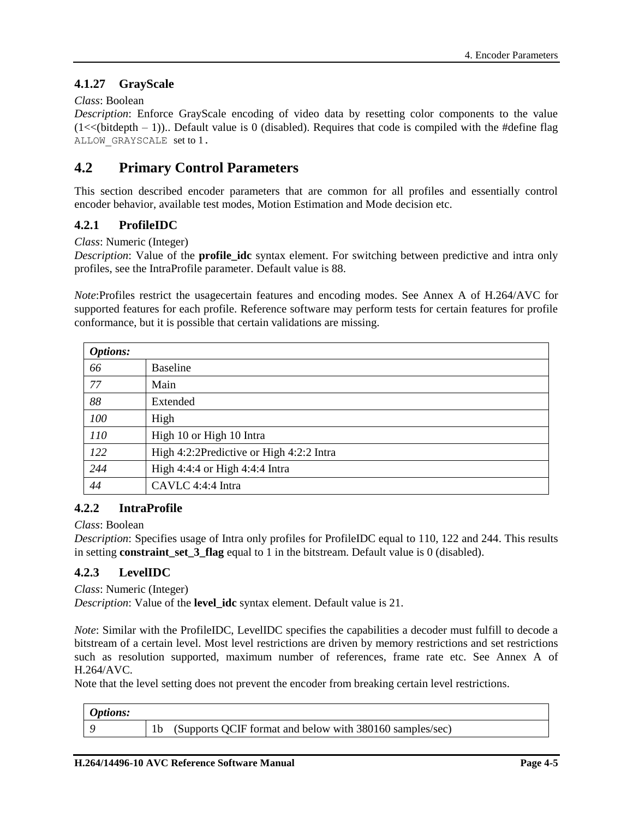## **4.1.27 GrayScale**

## *Class*: Boolean

*Description*: Enforce GrayScale encoding of video data by resetting color components to the value  $(1\ll\text{ (bitdepth } - 1))$ .. Default value is 0 (disabled). Requires that code is compiled with the #define flag ALLOW\_GRAYSCALE set to 1.

## **4.2 Primary Control Parameters**

This section described encoder parameters that are common for all profiles and essentially control encoder behavior, available test modes, Motion Estimation and Mode decision etc.

## **4.2.1 ProfileIDC**

*Class*: Numeric (Integer)

*Description*: Value of the **profile\_idc** syntax element. For switching between predictive and intra only profiles, see the IntraProfile parameter. Default value is 88.

*Note*:Profiles restrict the usagecertain features and encoding modes. See Annex A of H.264/AVC for supported features for each profile. Reference software may perform tests for certain features for profile conformance, but it is possible that certain validations are missing.

| <b>Options:</b> |                                          |
|-----------------|------------------------------------------|
| 66              | <b>Baseline</b>                          |
| 77              | Main                                     |
| 88              | Extended                                 |
| 100             | High                                     |
| 110             | High 10 or High 10 Intra                 |
| 122             | High 4:2:2Predictive or High 4:2:2 Intra |
| 244             | High 4:4:4 or High 4:4:4 Intra           |
| 44              | CAVLC 4:4:4 Intra                        |

## **4.2.2 IntraProfile**

#### *Class*: Boolean

*Description*: Specifies usage of Intra only profiles for ProfileIDC equal to 110, 122 and 244. This results in setting **constraint\_set\_3\_flag** equal to 1 in the bitstream. Default value is 0 (disabled).

## **4.2.3 LevelIDC**

*Class*: Numeric (Integer) *Description*: Value of the **level\_idc** syntax element. Default value is 21.

*Note*: Similar with the ProfileIDC, LevelIDC specifies the capabilities a decoder must fulfill to decode a bitstream of a certain level. Most level restrictions are driven by memory restrictions and set restrictions such as resolution supported, maximum number of references, frame rate etc. See Annex A of H.264/AVC.

Note that the level setting does not prevent the encoder from breaking certain level restrictions.

| <b>Options:</b> |                                                          |
|-----------------|----------------------------------------------------------|
|                 | (Supports QCIF format and below with 380160 samples/sec) |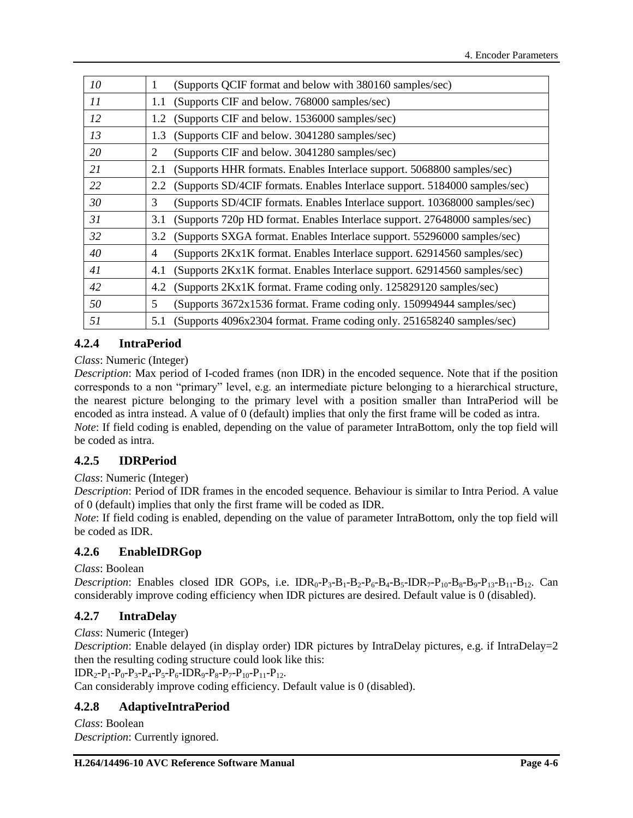| 10 | (Supports QCIF format and below with 380160 samples/sec)<br>1                              |
|----|--------------------------------------------------------------------------------------------|
| 11 | (Supports CIF and below. 768000 samples/sec)<br>1.1                                        |
| 12 | (Supports CIF and below. 1536000 samples/sec)<br>1.2                                       |
| 13 | (Supports CIF and below. 3041280 samples/sec)<br>1.3                                       |
| 20 | 2<br>(Supports CIF and below. 3041280 samples/sec)                                         |
| 21 | (Supports HHR formats. Enables Interlace support. 5068800 samples/sec)<br>2.1              |
| 22 | (Supports SD/4CIF formats. Enables Interlace support. 5184000 samples/sec)<br>2.2          |
| 30 | 3<br>(Supports SD/4CIF formats. Enables Interlace support. 10368000 samples/sec)           |
| 31 | (Supports 720p HD format. Enables Interlace support. 27648000 samples/sec)<br>3.1          |
| 32 | (Supports SXGA format. Enables Interlace support. 55296000 samples/sec)<br>3.2             |
| 40 | (Supports 2Kx1K format. Enables Interlace support. 62914560 samples/sec)<br>$\overline{4}$ |
| 41 | (Supports 2Kx1K format. Enables Interlace support. 62914560 samples/sec)<br>4.1            |
| 42 | (Supports 2Kx1K format. Frame coding only. 125829120 samples/sec)<br>4.2                   |
| 50 | 5<br>(Supports 3672x1536 format. Frame coding only. 150994944 samples/sec)                 |
| 51 | (Supports 4096x2304 format. Frame coding only. 251658240 samples/sec)<br>5.1               |

## **4.2.4 IntraPeriod**

## *Class*: Numeric (Integer)

*Description*: Max period of I-coded frames (non IDR) in the encoded sequence. Note that if the position corresponds to a non "primary" level, e.g. an intermediate picture belonging to a hierarchical structure, the nearest picture belonging to the primary level with a position smaller than IntraPeriod will be encoded as intra instead. A value of 0 (default) implies that only the first frame will be coded as intra. *Note*: If field coding is enabled, depending on the value of parameter IntraBottom, only the top field will be coded as intra.

## **4.2.5 IDRPeriod**

## *Class*: Numeric (Integer)

*Description*: Period of IDR frames in the encoded sequence. Behaviour is similar to Intra Period. A value of 0 (default) implies that only the first frame will be coded as IDR.

*Note*: If field coding is enabled, depending on the value of parameter IntraBottom, only the top field will be coded as IDR.

## **4.2.6 EnableIDRGop**

*Class*: Boolean

*Description*: Enables closed IDR GOPs, i.e.  $IDR_0-P_3-B_1-B_2-P_6-B_4-B_5-IDR_7-P_{10}-B_8-B_9-P_{13}-B_{11}-B_{12}$ . Can considerably improve coding efficiency when IDR pictures are desired. Default value is 0 (disabled).

## **4.2.7 IntraDelay**

*Class*: Numeric (Integer)

*Description*: Enable delayed (in display order) IDR pictures by IntraDelay pictures, e.g. if IntraDelay=2 then the resulting coding structure could look like this:

 $IDR_2-P_1-P_0-P_3-P_4-P_5-P_6-IDR_9-P_8-P_7-P_{10}-P_{11}-P_{12}$ .

Can considerably improve coding efficiency. Default value is 0 (disabled).

## **4.2.8 AdaptiveIntraPeriod**

*Class*: Boolean *Description*: Currently ignored.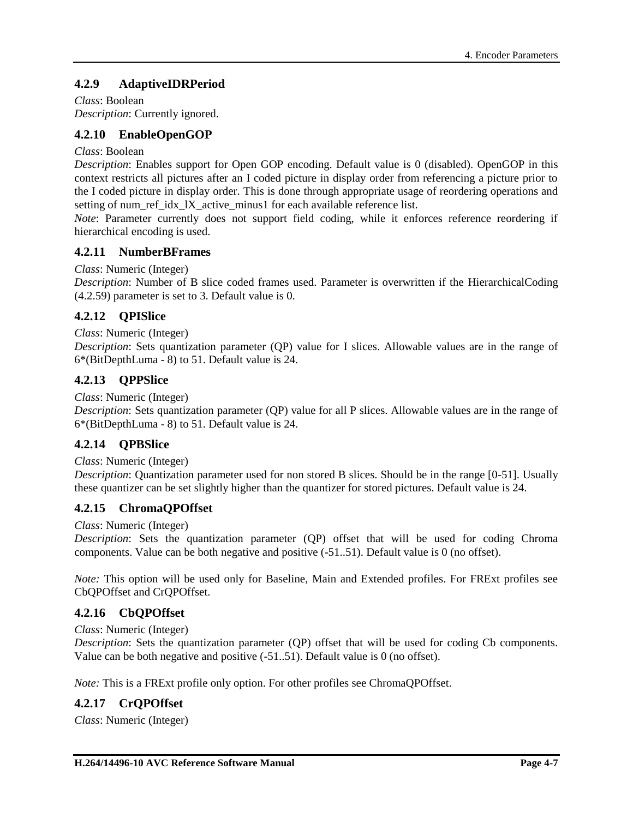## **4.2.9 AdaptiveIDRPeriod**

*Class*: Boolean *Description*: Currently ignored.

## **4.2.10 EnableOpenGOP**

#### *Class*: Boolean

*Description*: Enables support for Open GOP encoding. Default value is 0 (disabled). OpenGOP in this context restricts all pictures after an I coded picture in display order from referencing a picture prior to the I coded picture in display order. This is done through appropriate usage of reordering operations and setting of num\_ref\_idx\_lX\_active\_minus1 for each available reference list.

*Note*: Parameter currently does not support field coding, while it enforces reference reordering if hierarchical encoding is used.

## **4.2.11 NumberBFrames**

#### *Class*: Numeric (Integer)

*Description*: Number of B slice coded frames used. Parameter is overwritten if the HierarchicalCoding [\(4.2.59\)](#page-45-0) parameter is set to 3. Default value is 0.

## **4.2.12 QPISlice**

#### *Class*: Numeric (Integer)

*Description*: Sets quantization parameter (QP) value for I slices. Allowable values are in the range of 6\*(BitDepthLuma - 8) to 51. Default value is 24.

## **4.2.13 QPPSlice**

#### *Class*: Numeric (Integer)

*Description*: Sets quantization parameter (QP) value for all P slices. Allowable values are in the range of 6\*(BitDepthLuma - 8) to 51. Default value is 24.

## **4.2.14 QPBSlice**

#### *Class*: Numeric (Integer)

*Description*: Quantization parameter used for non stored B slices. Should be in the range [0-51]. Usually these quantizer can be set slightly higher than the quantizer for stored pictures. Default value is 24.

## **4.2.15 ChromaQPOffset**

#### *Class*: Numeric (Integer)

*Description*: Sets the quantization parameter (QP) offset that will be used for coding Chroma components. Value can be both negative and positive (-51..51). Default value is 0 (no offset).

*Note:* This option will be used only for Baseline, Main and Extended profiles. For FRExt profiles see CbQPOffset and CrQPOffset.

## **4.2.16 CbQPOffset**

#### *Class*: Numeric (Integer)

*Description*: Sets the quantization parameter (QP) offset that will be used for coding Cb components. Value can be both negative and positive (-51..51). Default value is 0 (no offset).

*Note:* This is a FRExt profile only option. For other profiles see ChromaQPOffset.

## **4.2.17 CrQPOffset**

*Class*: Numeric (Integer)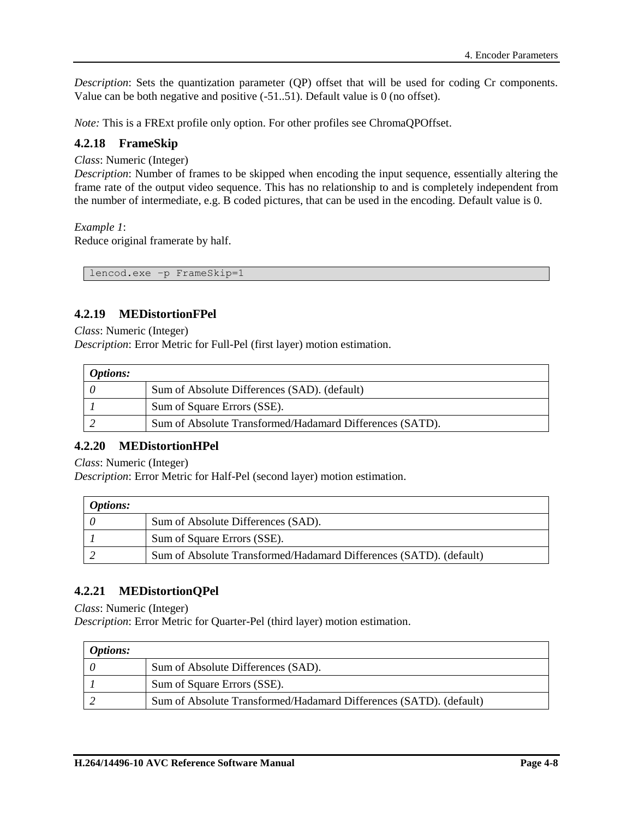*Description*: Sets the quantization parameter (QP) offset that will be used for coding Cr components. Value can be both negative and positive (-51..51). Default value is 0 (no offset).

*Note:* This is a FRExt profile only option. For other profiles see ChromaQPOffset.

## **4.2.18 FrameSkip**

*Class*: Numeric (Integer)

*Description*: Number of frames to be skipped when encoding the input sequence, essentially altering the frame rate of the output video sequence. This has no relationship to and is completely independent from the number of intermediate, e.g. B coded pictures, that can be used in the encoding. Default value is 0.

#### *Example 1*:

Reduce original framerate by half.

lencod.exe –p FrameSkip=1

## **4.2.19 MEDistortionFPel**

*Class*: Numeric (Integer)

*Description*: Error Metric for Full-Pel (first layer) motion estimation.

| <i>Options:</i> |                                                          |
|-----------------|----------------------------------------------------------|
|                 | Sum of Absolute Differences (SAD). (default)             |
|                 | Sum of Square Errors (SSE).                              |
|                 | Sum of Absolute Transformed/Hadamard Differences (SATD). |

## **4.2.20 MEDistortionHPel**

*Class*: Numeric (Integer)

*Description*: Error Metric for Half-Pel (second layer) motion estimation.

| <i>Options:</i> |                                                                    |
|-----------------|--------------------------------------------------------------------|
|                 | Sum of Absolute Differences (SAD).                                 |
|                 | Sum of Square Errors (SSE).                                        |
|                 | Sum of Absolute Transformed/Hadamard Differences (SATD). (default) |

## **4.2.21 MEDistortionQPel**

*Class*: Numeric (Integer)

*Description*: Error Metric for Quarter-Pel (third layer) motion estimation.

| <b>Options:</b> |                                                                    |
|-----------------|--------------------------------------------------------------------|
|                 | Sum of Absolute Differences (SAD).                                 |
|                 | Sum of Square Errors (SSE).                                        |
|                 | Sum of Absolute Transformed/Hadamard Differences (SATD). (default) |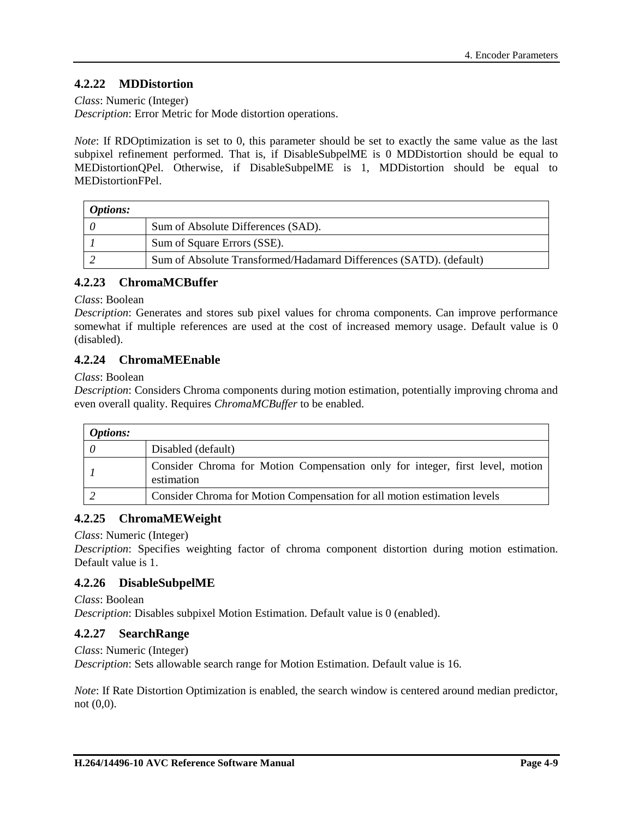## **4.2.22 MDDistortion**

*Class*: Numeric (Integer)

*Description*: Error Metric for Mode distortion operations.

*Note*: If RDOptimization is set to 0, this parameter should be set to exactly the same value as the last subpixel refinement performed. That is, if DisableSubpelME is 0 MDDistortion should be equal to MEDistortionQPel. Otherwise, if DisableSubpelME is 1, MDDistortion should be equal to MEDistortionFPel.

| <i>Options:</i> |                                                                    |
|-----------------|--------------------------------------------------------------------|
|                 | Sum of Absolute Differences (SAD).                                 |
|                 | Sum of Square Errors (SSE).                                        |
|                 | Sum of Absolute Transformed/Hadamard Differences (SATD). (default) |

## **4.2.23 ChromaMCBuffer**

*Class*: Boolean

*Description*: Generates and stores sub pixel values for chroma components. Can improve performance somewhat if multiple references are used at the cost of increased memory usage. Default value is 0 (disabled).

## **4.2.24 ChromaMEEnable**

*Class*: Boolean

*Description*: Considers Chroma components during motion estimation, potentially improving chroma and even overall quality. Requires *ChromaMCBuffer* to be enabled.

| <b>Options:</b> |                                                                                             |
|-----------------|---------------------------------------------------------------------------------------------|
|                 | Disabled (default)                                                                          |
|                 | Consider Chroma for Motion Compensation only for integer, first level, motion<br>estimation |
|                 | Consider Chroma for Motion Compensation for all motion estimation levels                    |

## **4.2.25 ChromaMEWeight**

*Class*: Numeric (Integer)

*Description*: Specifies weighting factor of chroma component distortion during motion estimation. Default value is 1.

## **4.2.26 DisableSubpelME**

*Class*: Boolean *Description*: Disables subpixel Motion Estimation. Default value is 0 (enabled).

## **4.2.27 SearchRange**

*Class*: Numeric (Integer)

*Description*: Sets allowable search range for Motion Estimation. Default value is 16.

*Note*: If Rate Distortion Optimization is enabled, the search window is centered around median predictor, not (0,0).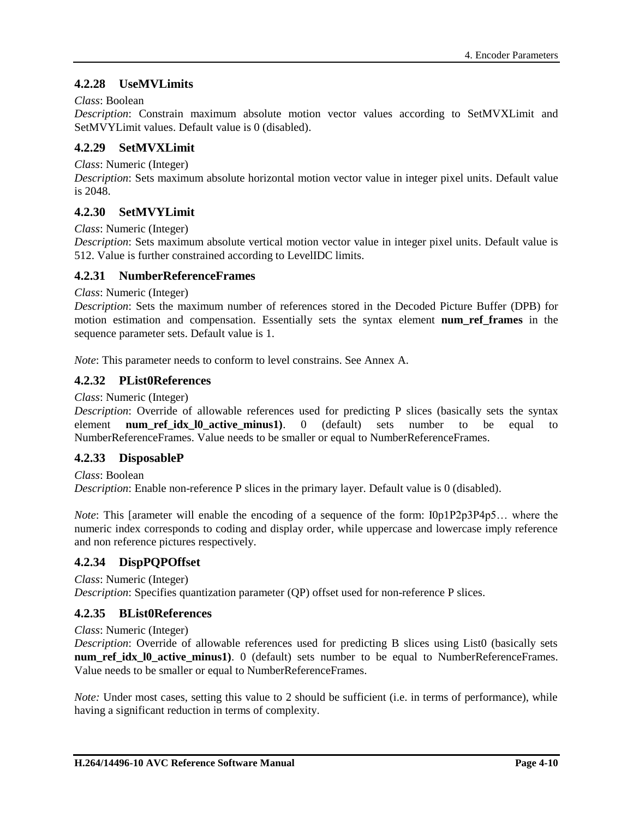## **4.2.28 UseMVLimits**

#### *Class*: Boolean

*Description*: Constrain maximum absolute motion vector values according to SetMVXLimit and SetMVYLimit values. Default value is 0 (disabled).

#### **4.2.29 SetMVXLimit**

*Class*: Numeric (Integer)

*Description*: Sets maximum absolute horizontal motion vector value in integer pixel units. Default value is 2048.

## **4.2.30 SetMVYLimit**

*Class*: Numeric (Integer)

*Description*: Sets maximum absolute vertical motion vector value in integer pixel units. Default value is 512. Value is further constrained according to LevelIDC limits.

## **4.2.31 NumberReferenceFrames**

*Class*: Numeric (Integer)

*Description*: Sets the maximum number of references stored in the Decoded Picture Buffer (DPB) for motion estimation and compensation. Essentially sets the syntax element **num\_ref\_frames** in the sequence parameter sets. Default value is 1.

*Note*: This parameter needs to conform to level constrains. See Annex A.

## **4.2.32 PList0References**

*Class*: Numeric (Integer)

*Description*: Override of allowable references used for predicting P slices (basically sets the syntax element **num\_ref\_idx\_l0\_active\_minus1)**. 0 (default) sets number to be equal to NumberReferenceFrames. Value needs to be smaller or equal to NumberReferenceFrames.

## **4.2.33 DisposableP**

*Class*: Boolean

*Description*: Enable non-reference P slices in the primary layer. Default value is 0 (disabled).

*Note*: This [arameter will enable the encoding of a sequence of the form: I0p1P2p3P4p5... where the numeric index corresponds to coding and display order, while uppercase and lowercase imply reference and non reference pictures respectively.

## **4.2.34 DispPQPOffset**

*Class*: Numeric (Integer)

*Description*: Specifies quantization parameter (QP) offset used for non-reference P slices.

## **4.2.35 BList0References**

*Class*: Numeric (Integer)

*Description*: Override of allowable references used for predicting B slices using List0 (basically sets **num ref idx 10 active minus1**). 0 (default) sets number to be equal to NumberReferenceFrames. Value needs to be smaller or equal to NumberReferenceFrames.

*Note:* Under most cases, setting this value to 2 should be sufficient (i.e. in terms of performance), while having a significant reduction in terms of complexity.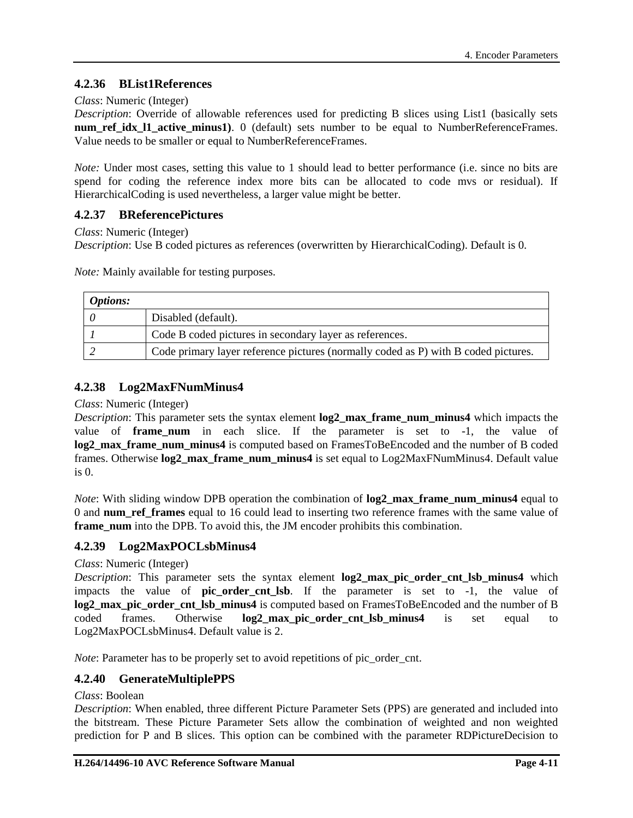## **4.2.36 BList1References**

#### *Class*: Numeric (Integer)

*Description*: Override of allowable references used for predicting B slices using List1 (basically sets **num\_ref\_idx\_11\_active\_minus1**). 0 (default) sets number to be equal to NumberReferenceFrames. Value needs to be smaller or equal to NumberReferenceFrames.

*Note:* Under most cases, setting this value to 1 should lead to better performance (i.e. since no bits are spend for coding the reference index more bits can be allocated to code mvs or residual). If HierarchicalCoding is used nevertheless, a larger value might be better.

## **4.2.37 BReferencePictures**

*Class*: Numeric (Integer)

*Description*: Use B coded pictures as references (overwritten by HierarchicalCoding). Default is 0.

*Note:* Mainly available for testing purposes.

| <b>Options:</b> |                                                                                    |
|-----------------|------------------------------------------------------------------------------------|
|                 | Disabled (default).                                                                |
|                 | Code B coded pictures in secondary layer as references.                            |
|                 | Code primary layer reference pictures (normally coded as P) with B coded pictures. |

## **4.2.38 Log2MaxFNumMinus4**

#### *Class*: Numeric (Integer)

*Description*: This parameter sets the syntax element **log2\_max\_frame\_num\_minus4** which impacts the value of **frame\_num** in each slice. If the parameter is set to -1, the value of **log2\_max\_frame\_num\_minus4** is computed based on FramesToBeEncoded and the number of B coded frames. Otherwise **log2\_max\_frame\_num\_minus4** is set equal to Log2MaxFNumMinus4. Default value is 0.

*Note*: With sliding window DPB operation the combination of **log2** max frame num minus4 equal to 0 and **num\_ref\_frames** equal to 16 could lead to inserting two reference frames with the same value of **frame num** into the DPB. To avoid this, the JM encoder prohibits this combination.

## **4.2.39 Log2MaxPOCLsbMinus4**

#### *Class*: Numeric (Integer)

*Description*: This parameter sets the syntax element **log2** max pic order cnt lsb minus4 which impacts the value of **pic\_order\_cnt\_lsb**. If the parameter is set to -1, the value of **log2** max pic order cnt Isb minus4 is computed based on FramesToBeEncoded and the number of B coded frames. Otherwise **log2\_max\_pic\_order\_cnt\_lsb\_minus4** is set equal to Log2MaxPOCLsbMinus4. Default value is 2.

*Note*: Parameter has to be properly set to avoid repetitions of pic\_order\_cnt.

## **4.2.40 GenerateMultiplePPS**

#### *Class*: Boolean

*Description*: When enabled, three different Picture Parameter Sets (PPS) are generated and included into the bitstream. These Picture Parameter Sets allow the combination of weighted and non weighted prediction for P and B slices. This option can be combined with the parameter RDPictureDecision to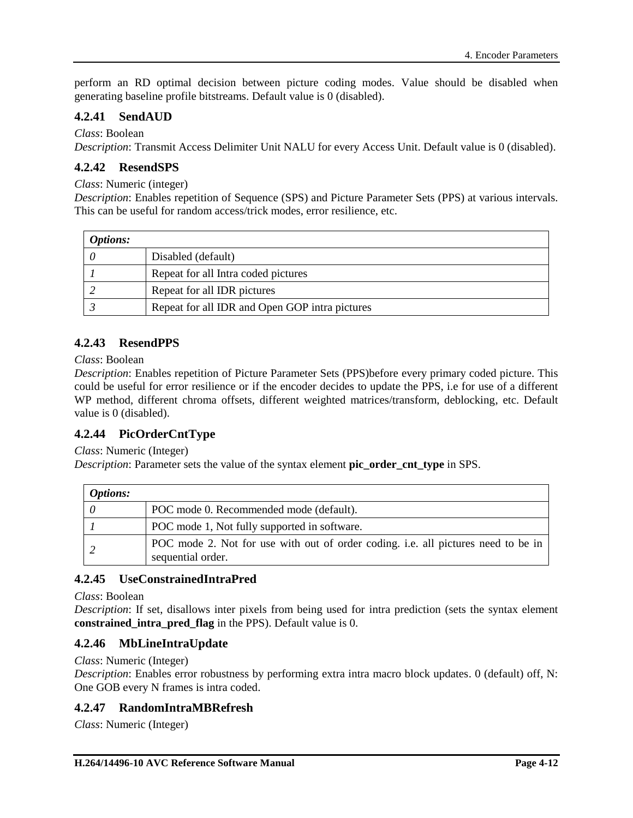perform an RD optimal decision between picture coding modes. Value should be disabled when generating baseline profile bitstreams. Default value is 0 (disabled).

## **4.2.41 SendAUD**

## *Class*: Boolean

*Description*: Transmit Access Delimiter Unit NALU for every Access Unit. Default value is 0 (disabled).

## **4.2.42 ResendSPS**

#### *Class*: Numeric (integer)

*Description*: Enables repetition of Sequence (SPS) and Picture Parameter Sets (PPS) at various intervals. This can be useful for random access/trick modes, error resilience, etc.

| <i>Options:</i> |                                                |
|-----------------|------------------------------------------------|
|                 | Disabled (default)                             |
|                 | Repeat for all Intra coded pictures            |
|                 | Repeat for all IDR pictures                    |
|                 | Repeat for all IDR and Open GOP intra pictures |

## **4.2.43 ResendPPS**

#### *Class*: Boolean

*Description*: Enables repetition of Picture Parameter Sets (PPS)before every primary coded picture. This could be useful for error resilience or if the encoder decides to update the PPS, i.e for use of a different WP method, different chroma offsets, different weighted matrices/transform, deblocking, etc. Default value is 0 (disabled).

## **4.2.44 PicOrderCntType**

*Class*: Numeric (Integer)

*Description*: Parameter sets the value of the syntax element **pic\_order\_cnt\_type** in SPS.

| <b>Options:</b> |                                                                                                        |
|-----------------|--------------------------------------------------------------------------------------------------------|
|                 | POC mode 0. Recommended mode (default).                                                                |
|                 | POC mode 1, Not fully supported in software.                                                           |
|                 | POC mode 2. Not for use with out of order coding, i.e. all pictures need to be in<br>sequential order. |

## **4.2.45 UseConstrainedIntraPred**

*Class*: Boolean

*Description*: If set, disallows inter pixels from being used for intra prediction (sets the syntax element **constrained\_intra\_pred\_flag** in the PPS). Default value is 0.

## **4.2.46 MbLineIntraUpdate**

*Class*: Numeric (Integer)

*Description*: Enables error robustness by performing extra intra macro block updates. 0 (default) off, N: One GOB every N frames is intra coded.

## **4.2.47 RandomIntraMBRefresh**

*Class*: Numeric (Integer)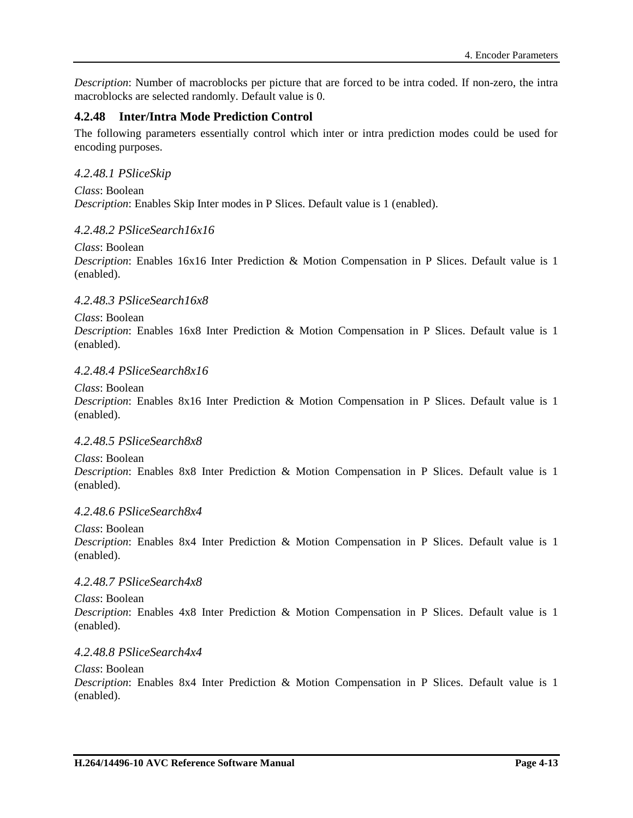*Description*: Number of macroblocks per picture that are forced to be intra coded. If non-zero, the intra macroblocks are selected randomly. Default value is 0.

## **4.2.48 Inter/Intra Mode Prediction Control**

The following parameters essentially control which inter or intra prediction modes could be used for encoding purposes.

### *4.2.48.1 PSliceSkip*

*Class*: Boolean *Description*: Enables Skip Inter modes in P Slices. Default value is 1 (enabled).

#### *4.2.48.2 PSliceSearch16x16*

*Class*: Boolean *Description*: Enables 16x16 Inter Prediction & Motion Compensation in P Slices. Default value is 1 (enabled).

### *4.2.48.3 PSliceSearch16x8*

*Class*: Boolean *Description*: Enables 16x8 Inter Prediction & Motion Compensation in P Slices. Default value is 1 (enabled).

#### *4.2.48.4 PSliceSearch8x16*

*Class*: Boolean

*Description*: Enables 8x16 Inter Prediction & Motion Compensation in P Slices. Default value is 1 (enabled).

#### *4.2.48.5 PSliceSearch8x8*

*Class*: Boolean *Description*: Enables 8x8 Inter Prediction & Motion Compensation in P Slices. Default value is 1 (enabled).

#### *4.2.48.6 PSliceSearch8x4*

*Class*: Boolean

*Description*: Enables 8x4 Inter Prediction & Motion Compensation in P Slices. Default value is 1 (enabled).

#### *4.2.48.7 PSliceSearch4x8*

*Class*: Boolean *Description*: Enables 4x8 Inter Prediction & Motion Compensation in P Slices. Default value is 1 (enabled).

#### *4.2.48.8 PSliceSearch4x4*

#### *Class*: Boolean

*Description*: Enables 8x4 Inter Prediction & Motion Compensation in P Slices. Default value is 1 (enabled).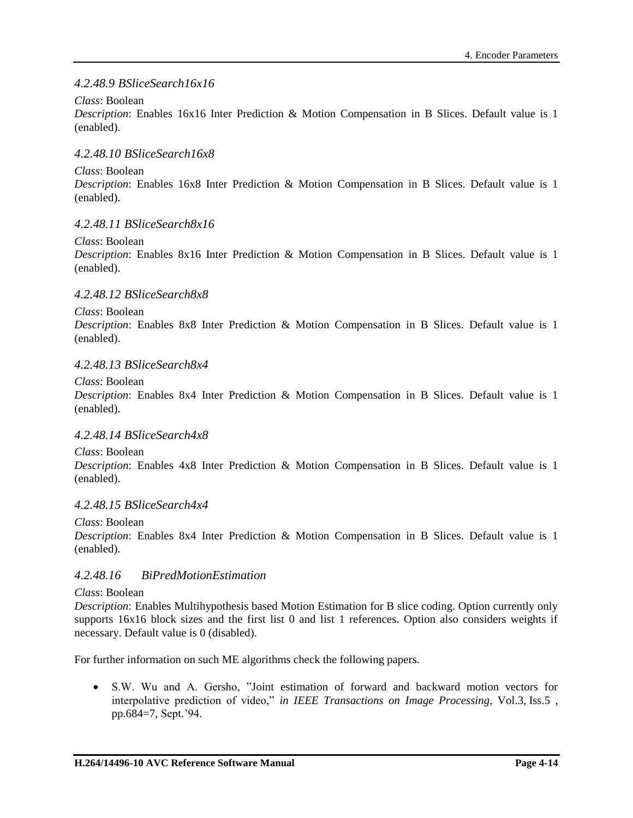## <span id="page-37-0"></span>*4.2.48.9 BSliceSearch16x16*

### *Class*: Boolean

*Description*: Enables 16x16 Inter Prediction & Motion Compensation in B Slices. Default value is 1 (enabled).

### *4.2.48.10 BSliceSearch16x8*

### *Class*: Boolean

*Description*: Enables 16x8 Inter Prediction & Motion Compensation in B Slices. Default value is 1 (enabled).

## *4.2.48.11 BSliceSearch8x16*

### *Class*: Boolean

*Description*: Enables 8x16 Inter Prediction & Motion Compensation in B Slices. Default value is 1 (enabled).

## *4.2.48.12 BSliceSearch8x8*

### *Class*: Boolean

*Description*: Enables 8x8 Inter Prediction & Motion Compensation in B Slices. Default value is 1 (enabled).

### *4.2.48.13 BSliceSearch8x4*

*Class*: Boolean

*Description*: Enables 8x4 Inter Prediction & Motion Compensation in B Slices. Default value is 1 (enabled).

### *4.2.48.14 BSliceSearch4x8*

*Class*: Boolean

*Description*: Enables 4x8 Inter Prediction & Motion Compensation in B Slices. Default value is 1 (enabled).

### *4.2.48.15 BSliceSearch4x4*

*Class*: Boolean

*Description*: Enables 8x4 Inter Prediction & Motion Compensation in B Slices. Default value is 1 (enabled).

## *4.2.48.16 BiPredMotionEstimation*

#### *Class*: Boolean

*Description*: Enables Multihypothesis based Motion Estimation for B slice coding. Option currently only supports 16x16 block sizes and the first list 0 and list 1 references. Option also considers weights if necessary. Default value is 0 (disabled).

For further information on such ME algorithms check the following papers.

 S.W. Wu and A. Gersho, "Joint estimation of forward and backward motion vectors for interpolative prediction of video," *in IEEE Transactions on Image Processing*, Vol.3, Iss.5 , pp.684=7, Sept.'94.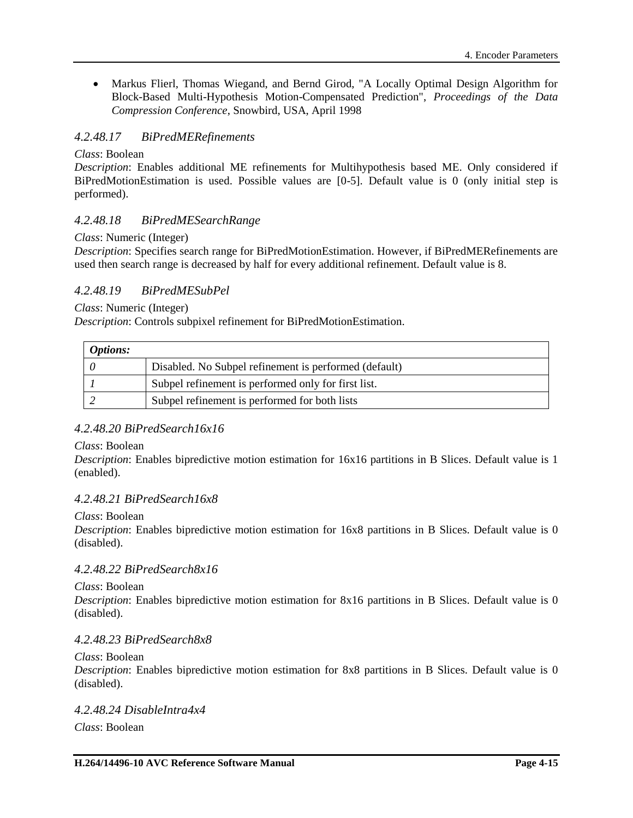• Markus Flierl, Thomas Wiegand, and Bernd Girod, "A Locally Optimal Design Algorithm for Block-Based Multi-Hypothesis Motion-Compensated Prediction", *Proceedings of the Data Compression Conference*, Snowbird, USA, April 1998

## *4.2.48.17 BiPredMERefinements*

#### *Class*: Boolean

*Description*: Enables additional ME refinements for Multihypothesis based ME. Only considered if BiPredMotionEstimation is used. Possible values are [0-5]. Default value is 0 (only initial step is performed).

### *4.2.48.18 BiPredMESearchRange*

#### *Class*: Numeric (Integer)

*Description*: Specifies search range for BiPredMotionEstimation. However, if BiPredMERefinements are used then search range is decreased by half for every additional refinement. Default value is 8.

## *4.2.48.19 BiPredMESubPel*

*Class*: Numeric (Integer)

*Description*: Controls subpixel refinement for BiPredMotionEstimation.

| <i>Options:</i> |                                                       |
|-----------------|-------------------------------------------------------|
|                 | Disabled. No Subpel refinement is performed (default) |
|                 | Subpel refinement is performed only for first list.   |
|                 | Subpel refinement is performed for both lists         |

### *4.2.48.20 BiPredSearch16x16*

*Class*: Boolean

*Description*: Enables bipredictive motion estimation for 16x16 partitions in B Slices. Default value is 1 (enabled).

### *4.2.48.21 BiPredSearch16x8*

#### *Class*: Boolean

*Description*: Enables bipredictive motion estimation for 16x8 partitions in B Slices. Default value is 0 (disabled).

### *4.2.48.22 BiPredSearch8x16*

#### *Class*: Boolean

*Description*: Enables bipredictive motion estimation for 8x16 partitions in B Slices. Default value is 0 (disabled).

### *4.2.48.23 BiPredSearch8x8*

#### *Class*: Boolean

*Description*: Enables bipredictive motion estimation for 8x8 partitions in B Slices. Default value is 0 (disabled).

*4.2.48.24 DisableIntra4x4 Class*: Boolean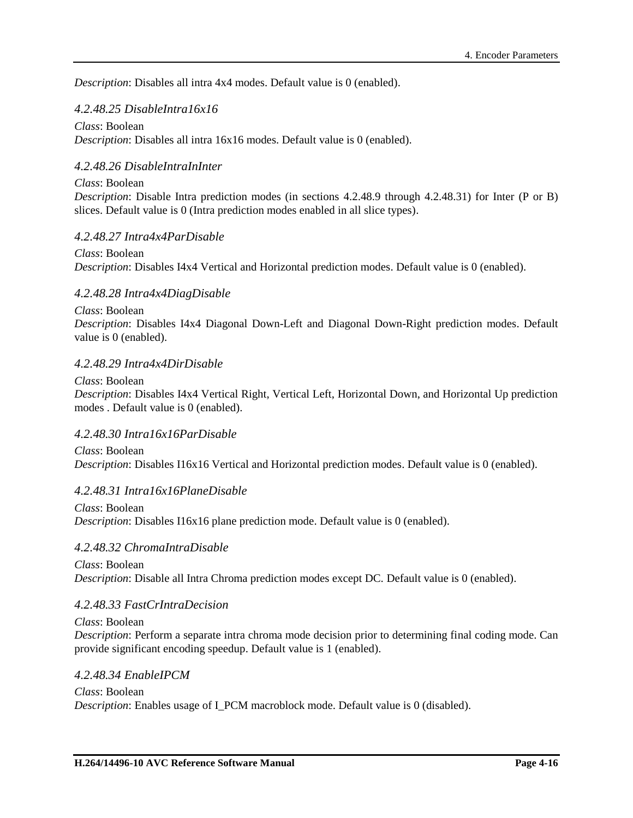*Description*: Disables all intra 4x4 modes. Default value is 0 (enabled).

### *4.2.48.25 DisableIntra16x16*

#### *Class*: Boolean

*Description*: Disables all intra 16x16 modes. Default value is 0 (enabled).

## *4.2.48.26 DisableIntraInInter*

#### *Class*: Boolean

*Description*: Disable Intra prediction modes (in sections [4.2.48.9](#page-37-0) through [4.2.48.31\)](#page-39-0) for Inter (P or B) slices. Default value is 0 (Intra prediction modes enabled in all slice types).

#### *4.2.48.27 Intra4x4ParDisable*

*Class*: Boolean *Description*: Disables I4x4 Vertical and Horizontal prediction modes. Default value is 0 (enabled).

#### *4.2.48.28 Intra4x4DiagDisable*

*Class*: Boolean

*Description*: Disables I4x4 Diagonal Down-Left and Diagonal Down-Right prediction modes. Default value is 0 (enabled).

### *4.2.48.29 Intra4x4DirDisable*

*Class*: Boolean *Description*: Disables I4x4 Vertical Right, Vertical Left, Horizontal Down, and Horizontal Up prediction modes . Default value is 0 (enabled).

#### *4.2.48.30 Intra16x16ParDisable*

*Class*: Boolean *Description*: Disables I16x16 Vertical and Horizontal prediction modes. Default value is 0 (enabled).

### <span id="page-39-0"></span>*4.2.48.31 Intra16x16PlaneDisable*

*Class*: Boolean *Description*: Disables I16x16 plane prediction mode. Default value is 0 (enabled).

#### *4.2.48.32 ChromaIntraDisable*

*Class*: Boolean *Description*: Disable all Intra Chroma prediction modes except DC. Default value is 0 (enabled).

#### *4.2.48.33 FastCrIntraDecision*

*Class*: Boolean *Description*: Perform a separate intra chroma mode decision prior to determining final coding mode. Can provide significant encoding speedup. Default value is 1 (enabled).

#### *4.2.48.34 EnableIPCM*

*Class*: Boolean *Description*: Enables usage of I\_PCM macroblock mode. Default value is 0 (disabled).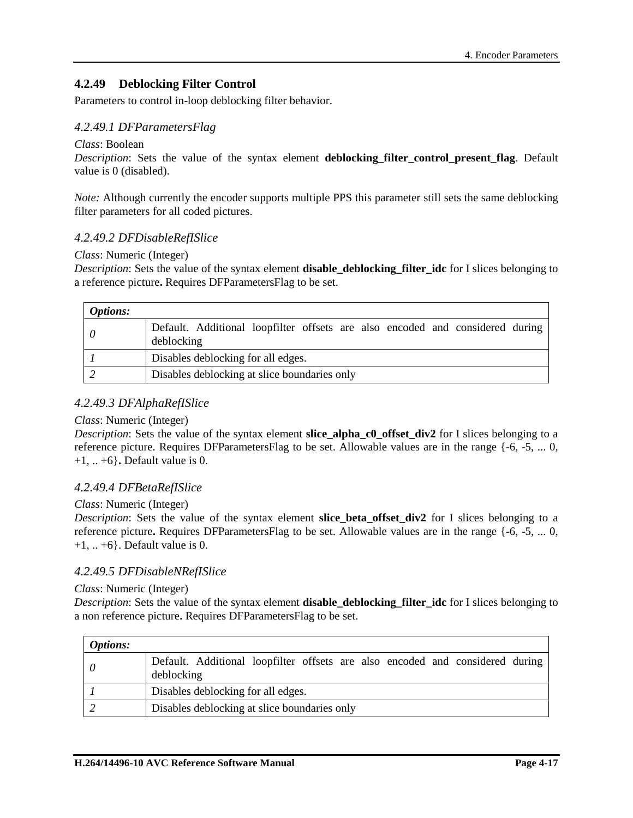## **4.2.49 Deblocking Filter Control**

Parameters to control in-loop deblocking filter behavior.

### *4.2.49.1 DFParametersFlag*

#### *Class*: Boolean

*Description*: Sets the value of the syntax element **deblocking\_filter\_control\_present\_flag**. Default value is 0 (disabled).

*Note:* Although currently the encoder supports multiple PPS this parameter still sets the same deblocking filter parameters for all coded pictures.

#### *4.2.49.2 DFDisableRefISlice*

#### *Class*: Numeric (Integer)

*Description*: Sets the value of the syntax element **disable deblocking filter idc** for I slices belonging to a reference picture**.** Requires DFParametersFlag to be set.

| <i>Options:</i> |                                                                                             |  |
|-----------------|---------------------------------------------------------------------------------------------|--|
|                 | Default. Additional loopfilter offsets are also encoded and considered during<br>deblocking |  |
|                 | Disables deblocking for all edges.                                                          |  |
|                 | Disables deblocking at slice boundaries only                                                |  |

### *4.2.49.3 DFAlphaRefISlice*

#### *Class*: Numeric (Integer)

*Description*: Sets the value of the syntax element **slice alpha c0 offset div2** for I slices belonging to a reference picture. Requires DFParametersFlag to be set. Allowable values are in the range {-6, -5, ... 0, +1, .. +6}**.** Default value is 0.

#### *4.2.49.4 DFBetaRefISlice*

#### *Class*: Numeric (Integer)

*Description*: Sets the value of the syntax element **slice\_beta\_offset\_div2** for I slices belonging to a reference picture**.** Requires DFParametersFlag to be set. Allowable values are in the range {-6, -5, ... 0,  $+1, ... +6$ . Default value is 0.

#### *4.2.49.5 DFDisableNRefISlice*

#### *Class*: Numeric (Integer)

*Description*: Sets the value of the syntax element **disable\_deblocking\_filter\_idc** for I slices belonging to a non reference picture**.** Requires DFParametersFlag to be set.

| <i>Options:</i> |                                                                                             |  |
|-----------------|---------------------------------------------------------------------------------------------|--|
| $\theta$        | Default. Additional loopfilter offsets are also encoded and considered during<br>deblocking |  |
|                 | Disables deblocking for all edges.                                                          |  |
|                 | Disables deblocking at slice boundaries only                                                |  |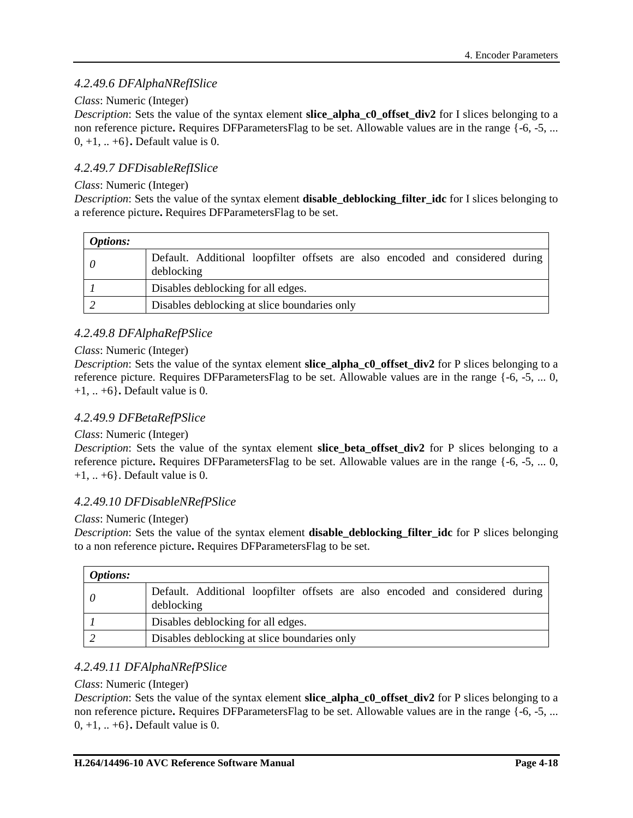## *4.2.49.6 DFAlphaNRefISlice*

### *Class*: Numeric (Integer)

*Description*: Sets the value of the syntax element **slice\_alpha\_c0\_offset\_div2** for I slices belonging to a non reference picture**.** Requires DFParametersFlag to be set. Allowable values are in the range {-6, -5, ... 0, +1, .. +6}**.** Default value is 0.

## *4.2.49.7 DFDisableRefISlice*

### *Class*: Numeric (Integer)

*Description*: Sets the value of the syntax element **disable\_deblocking\_filter\_idc** for I slices belonging to a reference picture**.** Requires DFParametersFlag to be set.

| <i>Options:</i> |                                                                                             |  |
|-----------------|---------------------------------------------------------------------------------------------|--|
|                 | Default. Additional loopfilter offsets are also encoded and considered during<br>deblocking |  |
|                 | Disables deblocking for all edges.                                                          |  |
|                 | Disables deblocking at slice boundaries only                                                |  |

## *4.2.49.8 DFAlphaRefPSlice*

### *Class*: Numeric (Integer)

*Description*: Sets the value of the syntax element **slice alpha c0 offset div2** for P slices belonging to a reference picture. Requires DFParametersFlag to be set. Allowable values are in the range {-6, -5, ... 0, +1, .. +6}**.** Default value is 0.

### *4.2.49.9 DFBetaRefPSlice*

### *Class*: Numeric (Integer)

*Description*: Sets the value of the syntax element **slice\_beta\_offset\_div2** for P slices belonging to a reference picture**.** Requires DFParametersFlag to be set. Allowable values are in the range {-6, -5, ... 0,  $+1, ... +6$ . Default value is 0.

### *4.2.49.10 DFDisableNRefPSlice*

### *Class*: Numeric (Integer)

*Description*: Sets the value of the syntax element **disable\_deblocking\_filter\_idc** for P slices belonging to a non reference picture**.** Requires DFParametersFlag to be set.

| <b>Options:</b> |                                                                                             |  |
|-----------------|---------------------------------------------------------------------------------------------|--|
|                 | Default. Additional loopfilter offsets are also encoded and considered during<br>deblocking |  |
|                 | Disables deblocking for all edges.                                                          |  |
|                 | Disables deblocking at slice boundaries only                                                |  |

## *4.2.49.11 DFAlphaNRefPSlice*

### *Class*: Numeric (Integer)

*Description*: Sets the value of the syntax element **slice\_alpha\_c0\_offset\_div2** for P slices belonging to a non reference picture**.** Requires DFParametersFlag to be set. Allowable values are in the range {-6, -5, ... 0, +1, .. +6}**.** Default value is 0.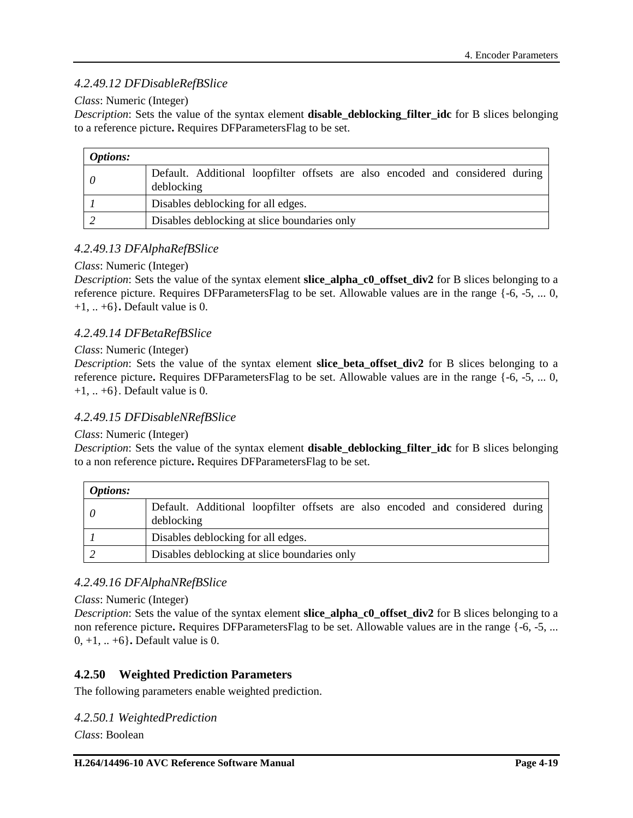## *4.2.49.12 DFDisableRefBSlice*

#### *Class*: Numeric (Integer)

*Description*: Sets the value of the syntax element **disable\_deblocking\_filter\_idc** for B slices belonging to a reference picture**.** Requires DFParametersFlag to be set.

| <i>Options:</i> |                                                                                             |  |
|-----------------|---------------------------------------------------------------------------------------------|--|
|                 | Default. Additional loopfilter offsets are also encoded and considered during<br>deblocking |  |
|                 | Disables deblocking for all edges.                                                          |  |
|                 | Disables deblocking at slice boundaries only                                                |  |

## *4.2.49.13 DFAlphaRefBSlice*

#### *Class*: Numeric (Integer)

*Description*: Sets the value of the syntax element **slice alpha c0 offset div2** for B slices belonging to a reference picture. Requires DFParametersFlag to be set. Allowable values are in the range {-6, -5, ... 0, +1, .. +6}**.** Default value is 0.

### *4.2.49.14 DFBetaRefBSlice*

#### *Class*: Numeric (Integer)

*Description*: Sets the value of the syntax element **slice\_beta\_offset\_div2** for B slices belonging to a reference picture**.** Requires DFParametersFlag to be set. Allowable values are in the range {-6, -5, ... 0,  $+1, ... +6$ . Default value is 0.

### *4.2.49.15 DFDisableNRefBSlice*

#### *Class*: Numeric (Integer)

*Description*: Sets the value of the syntax element **disable\_deblocking\_filter\_idc** for B slices belonging to a non reference picture**.** Requires DFParametersFlag to be set.

| <b>Options:</b> |                                                                                             |  |
|-----------------|---------------------------------------------------------------------------------------------|--|
|                 | Default. Additional loopfilter offsets are also encoded and considered during<br>deblocking |  |
|                 | Disables deblocking for all edges.                                                          |  |
|                 | Disables deblocking at slice boundaries only                                                |  |

### *4.2.49.16 DFAlphaNRefBSlice*

*Class*: Numeric (Integer)

*Description*: Sets the value of the syntax element **slice\_alpha\_c0\_offset\_div2** for B slices belonging to a non reference picture**.** Requires DFParametersFlag to be set. Allowable values are in the range {-6, -5, ... 0, +1, .. +6}**.** Default value is 0.

### **4.2.50 Weighted Prediction Parameters**

The following parameters enable weighted prediction.

*4.2.50.1 WeightedPrediction Class*: Boolean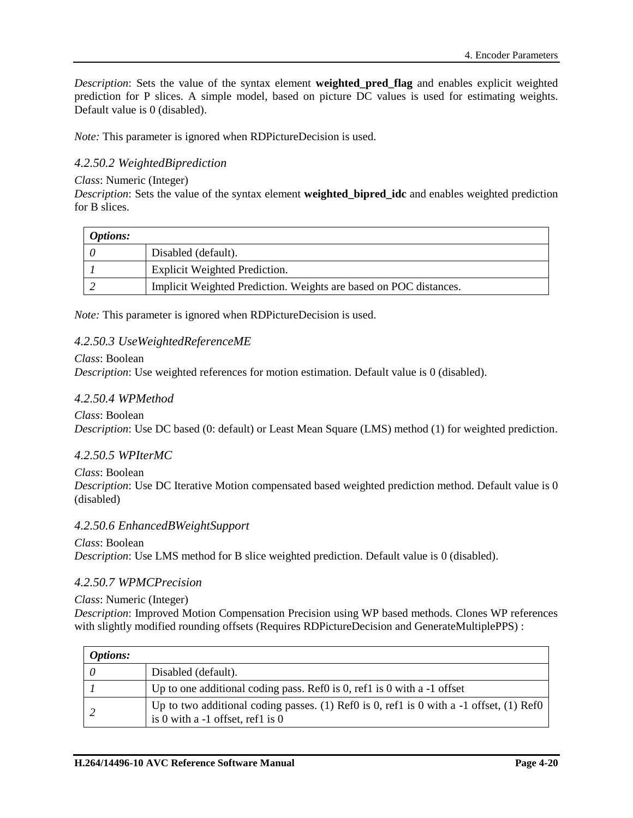*Description*: Sets the value of the syntax element **weighted\_pred\_flag** and enables explicit weighted prediction for P slices. A simple model, based on picture DC values is used for estimating weights. Default value is 0 (disabled).

*Note:* This parameter is ignored when RDPictureDecision is used.

## *4.2.50.2 WeightedBiprediction*

#### *Class*: Numeric (Integer)

*Description*: Sets the value of the syntax element **weighted\_bipred\_idc** and enables weighted prediction for B slices.

| <i>Options:</i> |                                                                   |
|-----------------|-------------------------------------------------------------------|
|                 | Disabled (default).                                               |
|                 | <b>Explicit Weighted Prediction.</b>                              |
|                 | Implicit Weighted Prediction. Weights are based on POC distances. |

*Note:* This parameter is ignored when RDPictureDecision is used.

#### *4.2.50.3 UseWeightedReferenceME*

#### *Class*: Boolean

*Description*: Use weighted references for motion estimation. Default value is 0 (disabled).

#### *4.2.50.4 WPMethod*

*Class*: Boolean *Description*: Use DC based (0: default) or Least Mean Square (LMS) method (1) for weighted prediction.

#### *4.2.50.5 WPIterMC*

*Class*: Boolean *Description*: Use DC Iterative Motion compensated based weighted prediction method. Default value is 0 (disabled)

#### *4.2.50.6 EnhancedBWeightSupport*

*Class*: Boolean *Description*: Use LMS method for B slice weighted prediction. Default value is 0 (disabled).

#### *4.2.50.7 WPMCPrecision*

#### *Class*: Numeric (Integer)

*Description*: Improved Motion Compensation Precision using WP based methods. Clones WP references with slightly modified rounding offsets (Requires RDPictureDecision and GenerateMultiplePPS) :

| <b>Options:</b> |                                                                                                                                 |
|-----------------|---------------------------------------------------------------------------------------------------------------------------------|
| - 0             | Disabled (default).                                                                                                             |
|                 | Up to one additional coding pass. Ref0 is 0, ref1 is 0 with a $-1$ offset                                                       |
|                 | Up to two additional coding passes. (1) Ref0 is 0, ref1 is 0 with a $-1$ offset, (1) Ref0<br>is 0 with a $-1$ offset, ref1 is 0 |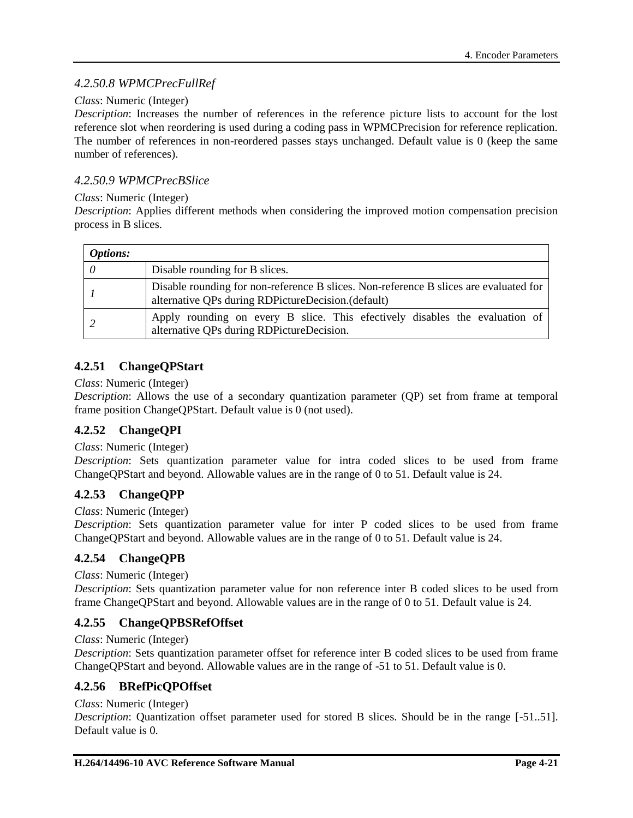## *4.2.50.8 WPMCPrecFullRef*

#### *Class*: Numeric (Integer)

*Description*: Increases the number of references in the reference picture lists to account for the lost reference slot when reordering is used during a coding pass in WPMCPrecision for reference replication. The number of references in non-reordered passes stays unchanged. Default value is 0 (keep the same number of references).

### *4.2.50.9 WPMCPrecBSlice*

#### *Class*: Numeric (Integer)

*Description*: Applies different methods when considering the improved motion compensation precision process in B slices.

| <b>Options:</b> |                                                                                                                                             |  |
|-----------------|---------------------------------------------------------------------------------------------------------------------------------------------|--|
| -0              | Disable rounding for B slices.                                                                                                              |  |
|                 | Disable rounding for non-reference B slices. Non-reference B slices are evaluated for<br>alternative QPs during RDPictureDecision.(default) |  |
|                 | Apply rounding on every B slice. This efectively disables the evaluation of<br>alternative QPs during RDPictureDecision.                    |  |

## **4.2.51 ChangeQPStart**

#### *Class*: Numeric (Integer)

*Description*: Allows the use of a secondary quantization parameter (QP) set from frame at temporal frame position ChangeQPStart. Default value is 0 (not used).

## **4.2.52 ChangeQPI**

#### *Class*: Numeric (Integer)

*Description*: Sets quantization parameter value for intra coded slices to be used from frame ChangeQPStart and beyond. Allowable values are in the range of 0 to 51. Default value is 24.

### **4.2.53 ChangeQPP**

#### *Class*: Numeric (Integer)

*Description*: Sets quantization parameter value for inter P coded slices to be used from frame ChangeQPStart and beyond. Allowable values are in the range of 0 to 51. Default value is 24.

### **4.2.54 ChangeQPB**

#### *Class*: Numeric (Integer)

*Description*: Sets quantization parameter value for non reference inter B coded slices to be used from frame ChangeQPStart and beyond. Allowable values are in the range of 0 to 51. Default value is 24.

### **4.2.55 ChangeQPBSRefOffset**

*Class*: Numeric (Integer)

*Description*: Sets quantization parameter offset for reference inter B coded slices to be used from frame ChangeQPStart and beyond. Allowable values are in the range of -51 to 51. Default value is 0.

### **4.2.56 BRefPicQPOffset**

### *Class*: Numeric (Integer)

*Description*: Quantization offset parameter used for stored B slices. Should be in the range [-51..51]. Default value is 0.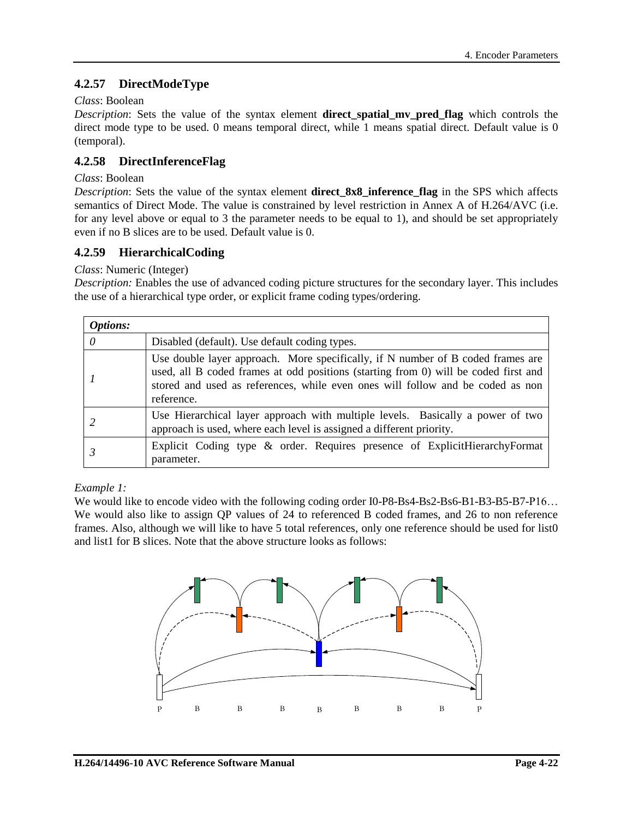## **4.2.57 DirectModeType**

### *Class*: Boolean

*Description*: Sets the value of the syntax element **direct spatial my pred flag** which controls the direct mode type to be used. 0 means temporal direct, while 1 means spatial direct. Default value is 0 (temporal).

## **4.2.58 DirectInferenceFlag**

#### *Class*: Boolean

*Description*: Sets the value of the syntax element **direct\_8x8\_inference\_flag** in the SPS which affects semantics of Direct Mode. The value is constrained by level restriction in Annex A of H.264/AVC (i.e. for any level above or equal to 3 the parameter needs to be equal to 1), and should be set appropriately even if no B slices are to be used. Default value is 0.

### **4.2.59 HierarchicalCoding**

#### *Class*: Numeric (Integer)

*Description:* Enables the use of advanced coding picture structures for the secondary layer. This includes the use of a hierarchical type order, or explicit frame coding types/ordering.

| <i>Options:</i> |                                                                                                                                                                                                                                                                        |
|-----------------|------------------------------------------------------------------------------------------------------------------------------------------------------------------------------------------------------------------------------------------------------------------------|
| 0               | Disabled (default). Use default coding types.                                                                                                                                                                                                                          |
|                 | Use double layer approach. More specifically, if N number of B coded frames are<br>used, all B coded frames at odd positions (starting from 0) will be coded first and<br>stored and used as references, while even ones will follow and be coded as non<br>reference. |
|                 | Use Hierarchical layer approach with multiple levels. Basically a power of two<br>approach is used, where each level is assigned a different priority.                                                                                                                 |
|                 | Explicit Coding type & order. Requires presence of ExplicitHierarchyFormat<br>parameter.                                                                                                                                                                               |

### *Example 1:*

We would like to encode video with the following coding order I0-P8-Bs4-Bs2-Bs6-B1-B3-B5-B7-P16... We would also like to assign OP values of 24 to referenced B coded frames, and 26 to non reference frames. Also, although we will like to have 5 total references, only one reference should be used for list0 and list1 for B slices. Note that the above structure looks as follows:

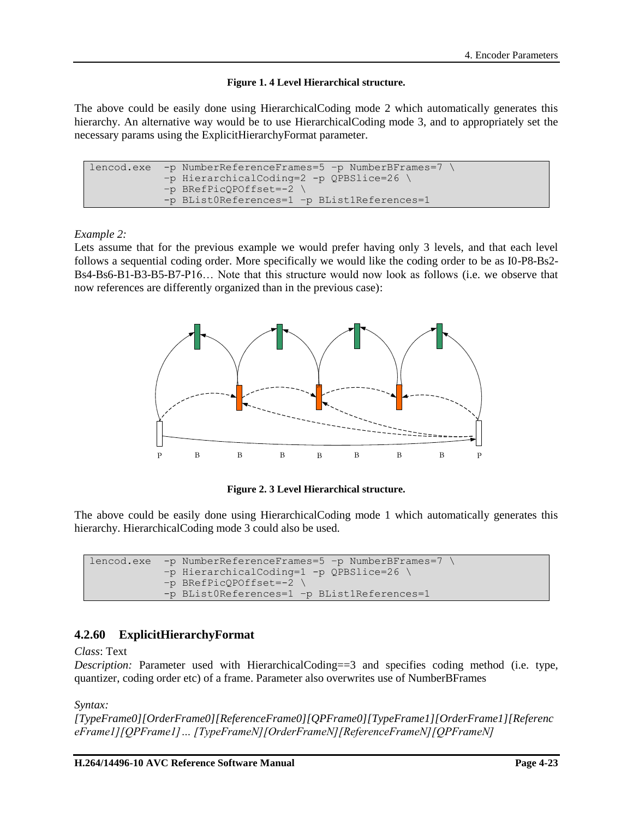#### **Figure 1. 4 Level Hierarchical structure.**

The above could be easily done using HierarchicalCoding mode 2 which automatically generates this hierarchy. An alternative way would be to use HierarchicalCoding mode 3, and to appropriately set the necessary params using the ExplicitHierarchyFormat parameter.

```
lencod.exe -p NumberReferenceFrames=5 –p NumberBFrames=7 \
        –p HierarchicalCoding=2 -p QPBSlice=26 \
        –p BRefPicQPOffset=-2 \
        -p BList0References=1 –p BList1References=1
```
#### *Example 2:*

Lets assume that for the previous example we would prefer having only 3 levels, and that each level follows a sequential coding order. More specifically we would like the coding order to be as I0-P8-Bs2- Bs4-Bs6-B1-B3-B5-B7-P16… Note that this structure would now look as follows (i.e. we observe that now references are differently organized than in the previous case):



**Figure 2. 3 Level Hierarchical structure.**

The above could be easily done using HierarchicalCoding mode 1 which automatically generates this hierarchy. HierarchicalCoding mode 3 could also be used.

```
lencod.exe -p NumberReferenceFrames=5 –p NumberBFrames=7 \
        –p HierarchicalCoding=1 -p QPBSlice=26 \
        –p BRefPicQPOffset=-2 \
        -p BList0References=1 –p BList1References=1
```
## <span id="page-46-0"></span>**4.2.60 ExplicitHierarchyFormat**

#### *Class*: Text

*Description:* Parameter used with HierarchicalCoding==3 and specifies coding method (i.e. type, quantizer, coding order etc) of a frame. Parameter also overwrites use of NumberBFrames

*Syntax:* 

*[TypeFrame0][OrderFrame0][ReferenceFrame0][QPFrame0][TypeFrame1][OrderFrame1][Referenc eFrame1][QPFrame1]… [TypeFrameN][OrderFrameN][ReferenceFrameN][QPFrameN]*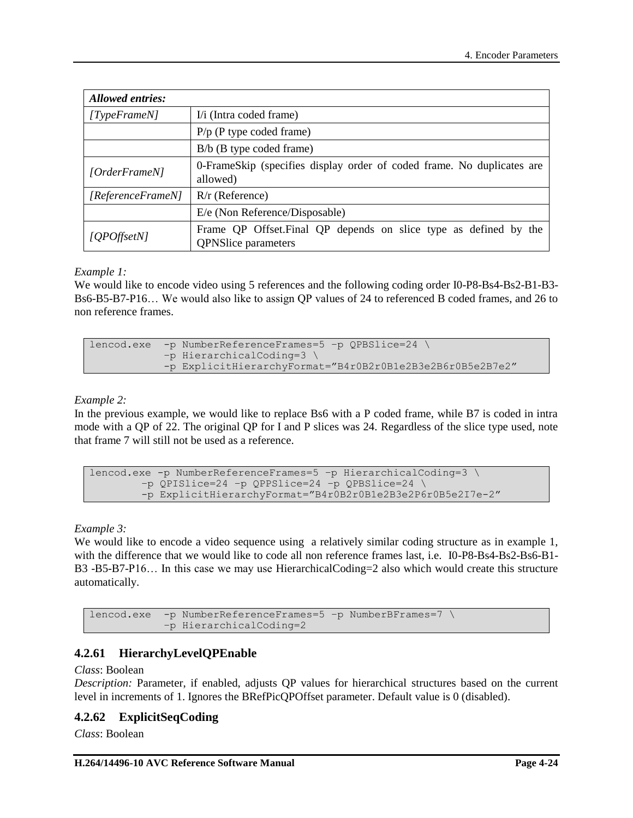| <b>Allowed entries:</b> |                                                                                                 |  |
|-------------------------|-------------------------------------------------------------------------------------------------|--|
| TypeFrameN              | I/i (Intra coded frame)                                                                         |  |
|                         | $P/p$ (P type coded frame)                                                                      |  |
|                         | $B/b$ (B type coded frame)                                                                      |  |
| [OrderFrame N]          | 0-FrameSkip (specifies display order of coded frame. No duplicates are<br>allowed)              |  |
| [ReferenceFrameN]       | $R/r$ (Reference)                                                                               |  |
|                         | E/e (Non Reference/Disposable)                                                                  |  |
| [QPOffsetN]             | Frame QP Offset. Final QP depends on slice type as defined by the<br><b>QPNSlice</b> parameters |  |

#### *Example 1:*

We would like to encode video using 5 references and the following coding order I0-P8-Bs4-Bs2-B1-B3-Bs6-B5-B7-P16… We would also like to assign QP values of 24 to referenced B coded frames, and 26 to non reference frames.

```
lencod.exe -p NumberReferenceFrames=5 –p QPBSlice=24 \
       –p HierarchicalCoding=3 \
       -p ExplicitHierarchyFormat="B4r0B2r0B1e2B3e2B6r0B5e2B7e2"
```
### *Example 2:*

In the previous example, we would like to replace Bs6 with a P coded frame, while B7 is coded in intra mode with a QP of 22. The original QP for I and P slices was 24. Regardless of the slice type used, note that frame 7 will still not be used as a reference.

```
lencod.exe -p NumberReferenceFrames=5 –p HierarchicalCoding=3 \
    –p QPISlice=24 –p QPPSlice=24 –p QPBSlice=24 \
    -p ExplicitHierarchyFormat="B4r0B2r0B1e2B3e2P6r0B5e2I7e-2"
```
*Example 3:* 

We would like to encode a video sequence using a relatively similar coding structure as in example 1, with the difference that we would like to code all non reference frames last, i.e. IO-P8-Bs4-Bs2-Bs6-B1-B3 -B5-B7-P16… In this case we may use HierarchicalCoding=2 also which would create this structure automatically.

```
lencod.exe -p NumberReferenceFrames=5 –p NumberBFrames=7 \
        –p HierarchicalCoding=2
```
## **4.2.61 HierarchyLevelQPEnable**

#### *Class*: Boolean

*Description:* Parameter, if enabled, adjusts QP values for hierarchical structures based on the current level in increments of 1. Ignores the BRefPicQPOffset parameter. Default value is 0 (disabled).

### **4.2.62 ExplicitSeqCoding**

*Class*: Boolean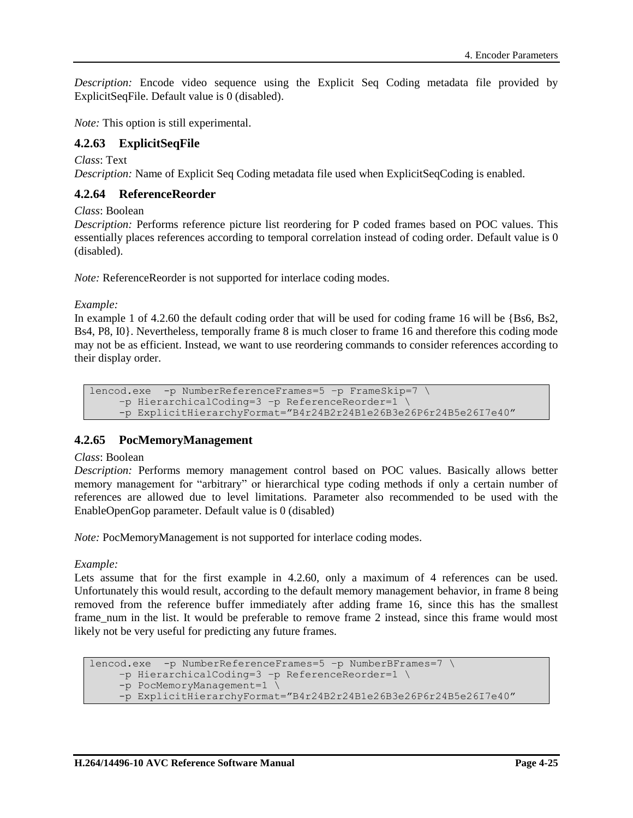*Description:* Encode video sequence using the Explicit Seq Coding metadata file provided by ExplicitSeqFile. Default value is 0 (disabled).

*Note:* This option is still experimental.

## **4.2.63 ExplicitSeqFile**

*Class*: Text

*Description:* Name of Explicit Seq Coding metadata file used when ExplicitSeqCoding is enabled.

### **4.2.64 ReferenceReorder**

*Class*: Boolean

*Description:* Performs reference picture list reordering for P coded frames based on POC values. This essentially places references according to temporal correlation instead of coding order. Default value is 0 (disabled).

*Note:* ReferenceReorder is not supported for interlace coding modes.

*Example:* 

In example 1 of [4.2.60](#page-46-0) the default coding order that will be used for coding frame 16 will be {Bs6, Bs2, Bs4, P8, I0}. Nevertheless, temporally frame 8 is much closer to frame 16 and therefore this coding mode may not be as efficient. Instead, we want to use reordering commands to consider references according to their display order.

```
lencod.exe -p NumberReferenceFrames=5 –p FrameSkip=7 \
–p HierarchicalCoding=3 –p ReferenceReorder=1 \
-p ExplicitHierarchyFormat="B4r24B2r24B1e26B3e26P6r24B5e26I7e40"
```
### **4.2.65 PocMemoryManagement**

#### *Class*: Boolean

*Description:* Performs memory management control based on POC values. Basically allows better memory management for "arbitrary" or hierarchical type coding methods if only a certain number of references are allowed due to level limitations. Parameter also recommended to be used with the EnableOpenGop parameter. Default value is 0 (disabled)

*Note:* PocMemoryManagement is not supported for interlace coding modes.

*Example:*

Lets assume that for the first example in [4.2.60,](#page-46-0) only a maximum of 4 references can be used. Unfortunately this would result, according to the default memory management behavior, in frame 8 being removed from the reference buffer immediately after adding frame 16, since this has the smallest frame\_num in the list. It would be preferable to remove frame 2 instead, since this frame would most likely not be very useful for predicting any future frames.

```
lencod.exe -p NumberReferenceFrames=5 –p NumberBFrames=7 \
–p HierarchicalCoding=3 –p ReferenceReorder=1 \
-p PocMemoryManagement=1 \
-p ExplicitHierarchyFormat="B4r24B2r24B1e26B3e26P6r24B5e26I7e40"
```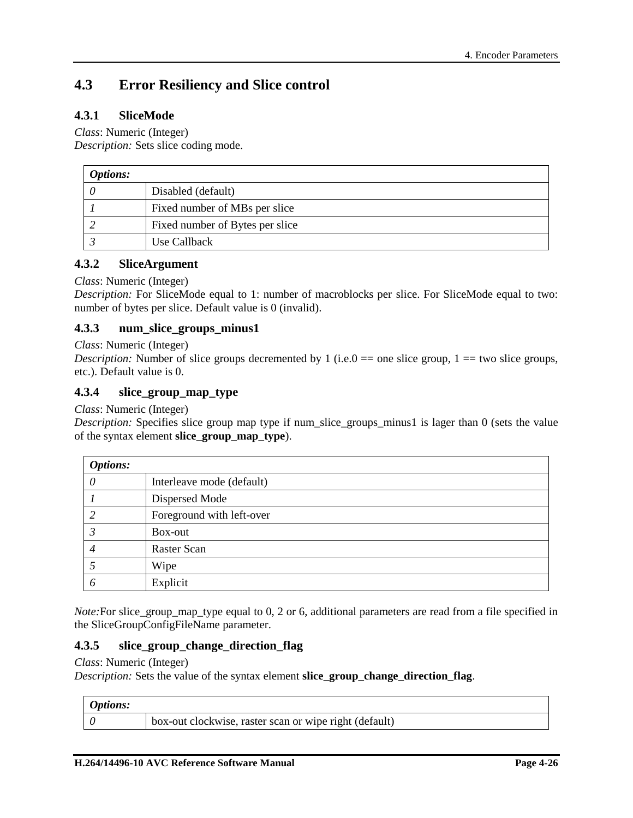# **4.3 Error Resiliency and Slice control**

## **4.3.1 SliceMode**

### *Class*: Numeric (Integer)

*Description:* Sets slice coding mode.

| <b>Options:</b> |                                 |
|-----------------|---------------------------------|
|                 | Disabled (default)              |
|                 | Fixed number of MBs per slice   |
|                 | Fixed number of Bytes per slice |
|                 | Use Callback                    |

### **4.3.2 SliceArgument**

#### *Class*: Numeric (Integer)

*Description:* For SliceMode equal to 1: number of macroblocks per slice. For SliceMode equal to two: number of bytes per slice. Default value is 0 (invalid).

### **4.3.3 num\_slice\_groups\_minus1**

*Class*: Numeric (Integer)

*Description:* Number of slice groups decremented by 1 (i.e.  $0 =$  one slice group,  $1 =$  two slice groups, etc.). Default value is 0.

## **4.3.4 slice\_group\_map\_type**

*Class*: Numeric (Integer)

*Description:* Specifies slice group map type if num\_slice\_groups\_minus1 is lager than 0 (sets the value of the syntax element **slice\_group\_map\_type**).

| <b>Options:</b> |                           |
|-----------------|---------------------------|
| 0               | Interleave mode (default) |
|                 | Dispersed Mode            |
|                 | Foreground with left-over |
|                 | Box-out                   |
| 4               | Raster Scan               |
|                 | Wipe                      |
| 6               | Explicit                  |

*Note*:For slice\_group\_map\_type equal to 0, 2 or 6, additional parameters are read from a file specified in the SliceGroupConfigFileName parameter.

#### **4.3.5 slice\_group\_change\_direction\_flag**

*Class*: Numeric (Integer)

*Description:* Sets the value of the syntax element **slice\_group\_change\_direction\_flag**.

| <i>Options:</i> |                                                        |
|-----------------|--------------------------------------------------------|
|                 | box-out clockwise, raster scan or wipe right (default) |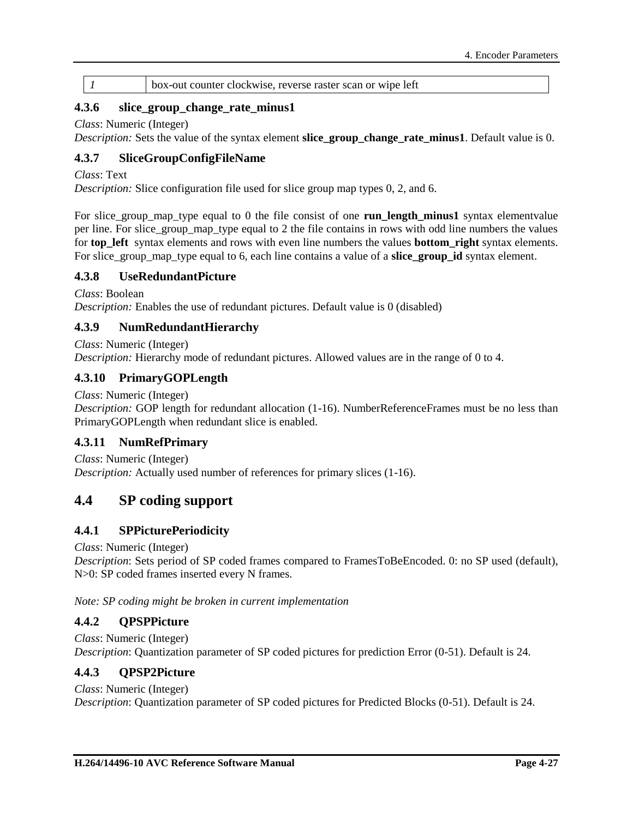*1* box-out counter clockwise, reverse raster scan or wipe left

### **4.3.6 slice\_group\_change\_rate\_minus1**

#### *Class*: Numeric (Integer)

*Description:* Sets the value of the syntax element **slice\_group\_change\_rate\_minus1**. Default value is 0.

### **4.3.7 SliceGroupConfigFileName**

*Class*: Text

*Description:* Slice configuration file used for slice group map types 0, 2, and 6.

For slice group map type equal to 0 the file consist of one **run length minus1** syntax elementvalue per line. For slice\_group\_map\_type equal to 2 the file contains in rows with odd line numbers the values for **top** left syntax elements and rows with even line numbers the values **bottom** right syntax elements. For slice\_group\_map\_type equal to 6, each line contains a value of a **slice\_group\_id** syntax element.

#### **4.3.8 UseRedundantPicture**

*Class*: Boolean

*Description:* Enables the use of redundant pictures. Default value is 0 (disabled)

#### **4.3.9 NumRedundantHierarchy**

*Class*: Numeric (Integer)

*Description:* Hierarchy mode of redundant pictures. Allowed values are in the range of 0 to 4.

#### **4.3.10 PrimaryGOPLength**

*Class*: Numeric (Integer)

*Description:* GOP length for redundant allocation (1-16). NumberReferenceFrames must be no less than PrimaryGOPLength when redundant slice is enabled.

#### **4.3.11 NumRefPrimary**

*Class*: Numeric (Integer) *Description:* Actually used number of references for primary slices (1-16).

## **4.4 SP coding support**

#### **4.4.1 SPPicturePeriodicity**

*Class*: Numeric (Integer)

*Description*: Sets period of SP coded frames compared to FramesToBeEncoded. 0: no SP used (default), N>0: SP coded frames inserted every N frames.

*Note: SP coding might be broken in current implementation*

#### **4.4.2 QPSPPicture**

*Class*: Numeric (Integer) *Description*: Quantization parameter of SP coded pictures for prediction Error (0-51). Default is 24.

#### **4.4.3 QPSP2Picture**

*Class*: Numeric (Integer)

*Description*: Quantization parameter of SP coded pictures for Predicted Blocks (0-51). Default is 24.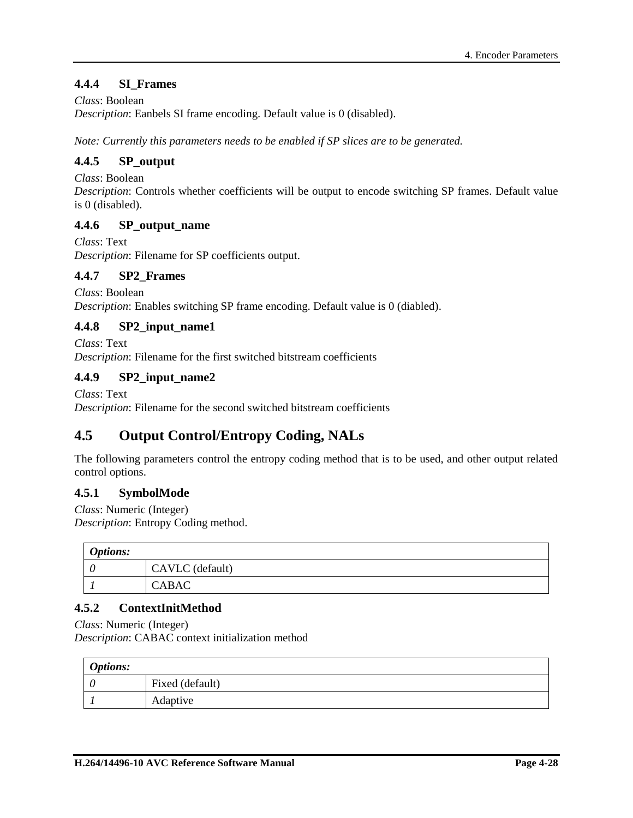## **4.4.4 SI\_Frames**

*Class*: Boolean

*Description*: Eanbels SI frame encoding. Default value is 0 (disabled).

*Note: Currently this parameters needs to be enabled if SP slices are to be generated.* 

## **4.4.5 SP\_output**

*Class*: Boolean

*Description*: Controls whether coefficients will be output to encode switching SP frames. Default value is 0 (disabled).

### **4.4.6 SP\_output\_name**

*Class*: Text *Description*: Filename for SP coefficients output.

#### **4.4.7 SP2\_Frames**

*Class*: Boolean *Description*: Enables switching SP frame encoding. Default value is 0 (diabled).

### **4.4.8 SP2\_input\_name1**

*Class*: Text *Description*: Filename for the first switched bitstream coefficients

#### **4.4.9 SP2\_input\_name2**

*Class*: Text

*Description*: Filename for the second switched bitstream coefficients

# **4.5 Output Control/Entropy Coding, NALs**

The following parameters control the entropy coding method that is to be used, and other output related control options.

### **4.5.1 SymbolMode**

*Class*: Numeric (Integer)

*Description*: Entropy Coding method.

| <b>Options:</b> |                 |
|-----------------|-----------------|
|                 | CAVLC (default) |
|                 | <b>CABAC</b>    |

### **4.5.2 ContextInitMethod**

*Class*: Numeric (Integer)

*Description*: CABAC context initialization method

| <b>Options:</b> |                 |
|-----------------|-----------------|
|                 | Fixed (default) |
|                 | Adaptive        |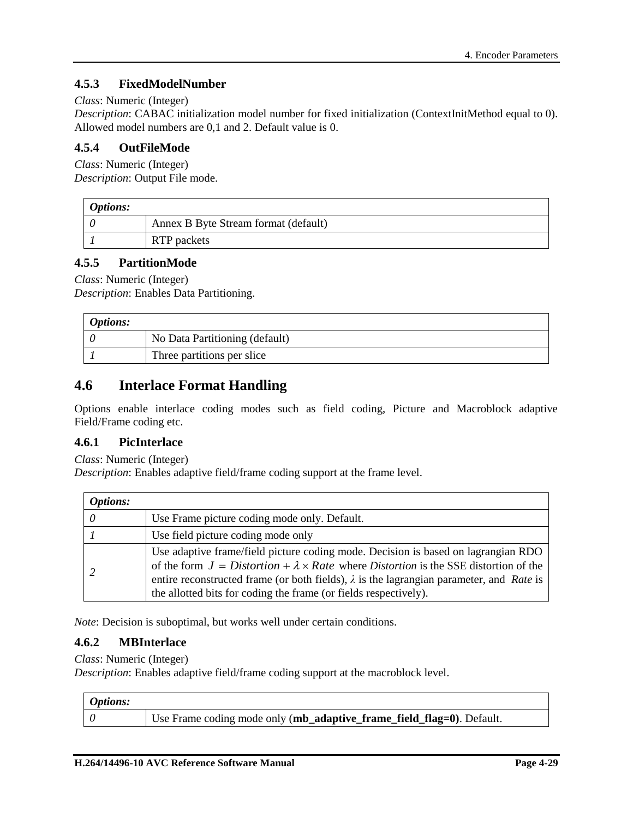## **4.5.3 FixedModelNumber**

#### *Class*: Numeric (Integer)

*Description*: CABAC initialization model number for fixed initialization (ContextInitMethod equal to 0). Allowed model numbers are 0,1 and 2. Default value is 0.

### **4.5.4 OutFileMode**

*Class*: Numeric (Integer) *Description*: Output File mode.

| <b>Options:</b> |                                      |
|-----------------|--------------------------------------|
|                 | Annex B Byte Stream format (default) |
|                 | RTP packets                          |

### **4.5.5 PartitionMode**

*Class*: Numeric (Integer)

*Description*: Enables Data Partitioning.

| <b>Options:</b> |                                |
|-----------------|--------------------------------|
|                 | No Data Partitioning (default) |
|                 | Three partitions per slice     |

## **4.6 Interlace Format Handling**

Options enable interlace coding modes such as field coding, Picture and Macroblock adaptive Field/Frame coding etc.

### **4.6.1 PicInterlace**

*Class*: Numeric (Integer)

*Description*: Enables adaptive field/frame coding support at the frame level.

| Options: |                                                                                                                                                                                                                                                                                                                                                              |
|----------|--------------------------------------------------------------------------------------------------------------------------------------------------------------------------------------------------------------------------------------------------------------------------------------------------------------------------------------------------------------|
|          | Use Frame picture coding mode only. Default.                                                                                                                                                                                                                                                                                                                 |
|          | Use field picture coding mode only                                                                                                                                                                                                                                                                                                                           |
|          | Use adaptive frame/field picture coding mode. Decision is based on lagrangian RDO<br>of the form $J = Distortion + \lambda \times Rate$ where Distortion is the SSE distortion of the<br>entire reconstructed frame (or both fields), $\lambda$ is the lagrangian parameter, and Rate is<br>the allotted bits for coding the frame (or fields respectively). |

*Note*: Decision is suboptimal, but works well under certain conditions.

### **4.6.2 MBInterlace**

*Class*: Numeric (Integer)

*Description*: Enables adaptive field/frame coding support at the macroblock level.

| <i><b>Options:</b></i> |                                                                       |
|------------------------|-----------------------------------------------------------------------|
|                        | Use Frame coding mode only (mb_adaptive_frame_field_flag=0). Default. |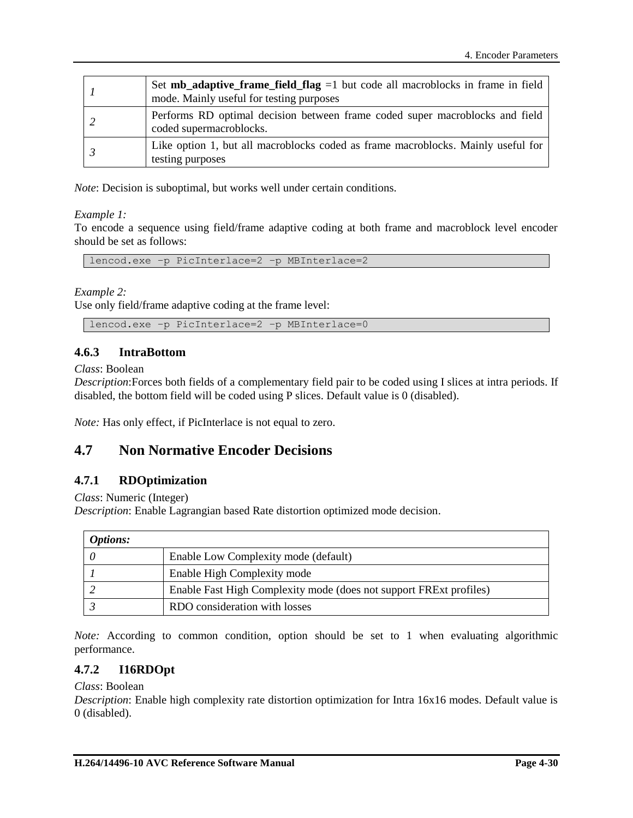| Set $mb\_adaptive\_frame\_field\_flag = 1$ but code all macroblocks in frame in field<br>mode. Mainly useful for testing purposes |
|-----------------------------------------------------------------------------------------------------------------------------------|
| Performs RD optimal decision between frame coded super macroblocks and field<br>coded supermacroblocks.                           |
| Like option 1, but all macroblocks coded as frame macroblocks. Mainly useful for<br>testing purposes                              |

*Note*: Decision is suboptimal, but works well under certain conditions.

#### *Example 1:*

To encode a sequence using field/frame adaptive coding at both frame and macroblock level encoder should be set as follows:

lencod.exe –p PicInterlace=2 –p MBInterlace=2

*Example 2:* 

Use only field/frame adaptive coding at the frame level:

lencod.exe –p PicInterlace=2 –p MBInterlace=0

## **4.6.3 IntraBottom**

*Class*: Boolean

*Description*:Forces both fields of a complementary field pair to be coded using I slices at intra periods. If disabled, the bottom field will be coded using P slices. Default value is 0 (disabled).

*Note:* Has only effect, if PicInterlace is not equal to zero.

## **4.7 Non Normative Encoder Decisions**

### **4.7.1 RDOptimization**

*Class*: Numeric (Integer)

*Description*: Enable Lagrangian based Rate distortion optimized mode decision.

| <i>Options:</i> |                                                                    |
|-----------------|--------------------------------------------------------------------|
|                 | Enable Low Complexity mode (default)                               |
|                 | Enable High Complexity mode                                        |
|                 | Enable Fast High Complexity mode (does not support FRExt profiles) |
|                 | RDO consideration with losses                                      |

*Note:* According to common condition, option should be set to 1 when evaluating algorithmic performance.

### **4.7.2 I16RDOpt**

#### *Class*: Boolean

*Description*: Enable high complexity rate distortion optimization for Intra 16x16 modes. Default value is 0 (disabled).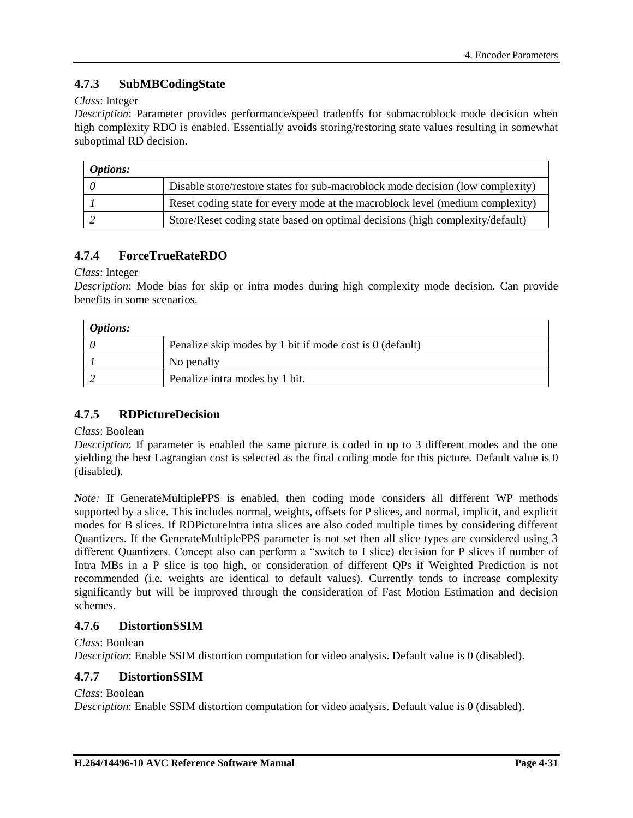## **4.7.3 SubMBCodingState**

### *Class*: Integer

*Description*: Parameter provides performance/speed tradeoffs for submacroblock mode decision when high complexity RDO is enabled. Essentially avoids storing/restoring state values resulting in somewhat suboptimal RD decision.

| <i>Options:</i> |                                                                                |
|-----------------|--------------------------------------------------------------------------------|
|                 | Disable store/restore states for sub-macroblock mode decision (low complexity) |
|                 | Reset coding state for every mode at the macroblock level (medium complexity)  |
|                 | Store/Reset coding state based on optimal decisions (high complexity/default)  |

## **4.7.4 ForceTrueRateRDO**

*Class*: Integer

*Description*: Mode bias for skip or intra modes during high complexity mode decision. Can provide benefits in some scenarios.

| <b>Options:</b> |                                                          |
|-----------------|----------------------------------------------------------|
|                 | Penalize skip modes by 1 bit if mode cost is 0 (default) |
|                 | No penalty                                               |
|                 | Penalize intra modes by 1 bit.                           |

## **4.7.5 RDPictureDecision**

#### *Class*: Boolean

*Description*: If parameter is enabled the same picture is coded in up to 3 different modes and the one yielding the best Lagrangian cost is selected as the final coding mode for this picture. Default value is 0 (disabled).

*Note:* If GenerateMultiplePPS is enabled, then coding mode considers all different WP methods supported by a slice. This includes normal, weights, offsets for P slices, and normal, implicit, and explicit modes for B slices. If RDPictureIntra intra slices are also coded multiple times by considering different Quantizers. If the GenerateMultiplePPS parameter is not set then all slice types are considered using 3 different Quantizers. Concept also can perform a "switch to I slice) decision for P slices if number of Intra MBs in a P slice is too high, or consideration of different QPs if Weighted Prediction is not recommended (i.e. weights are identical to default values). Currently tends to increase complexity significantly but will be improved through the consideration of Fast Motion Estimation and decision schemes.

## **4.7.6 DistortionSSIM**

*Class*: Boolean

*Description*: Enable SSIM distortion computation for video analysis. Default value is 0 (disabled).

## **4.7.7 DistortionSSIM**

*Class*: Boolean

*Description*: Enable SSIM distortion computation for video analysis. Default value is 0 (disabled).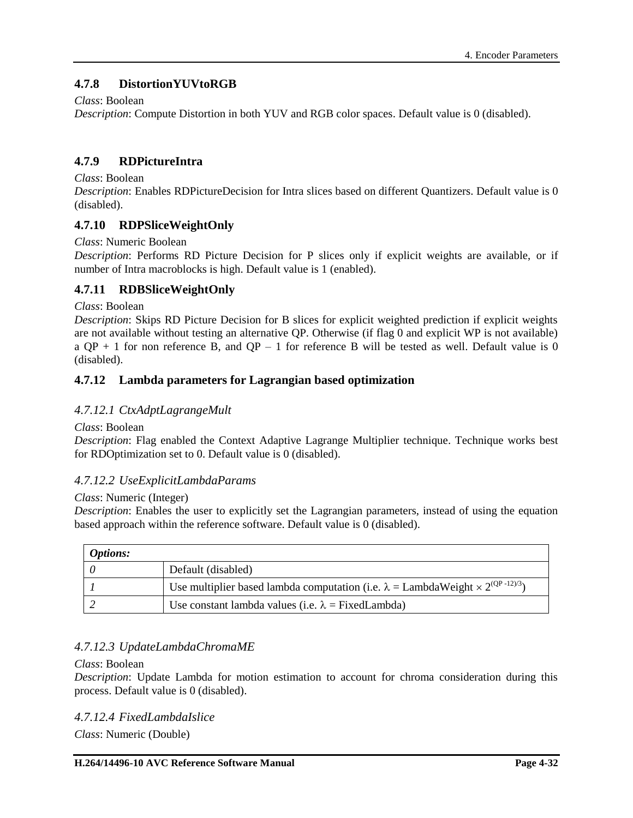## **4.7.8 DistortionYUVtoRGB**

### *Class*: Boolean

*Description*: Compute Distortion in both YUV and RGB color spaces. Default value is 0 (disabled).

## **4.7.9 RDPictureIntra**

#### *Class*: Boolean

*Description*: Enables RDPictureDecision for Intra slices based on different Quantizers. Default value is 0 (disabled).

## **4.7.10 RDPSliceWeightOnly**

### *Class*: Numeric Boolean

*Description*: Performs RD Picture Decision for P slices only if explicit weights are available, or if number of Intra macroblocks is high. Default value is 1 (enabled).

## **4.7.11 RDBSliceWeightOnly**

#### *Class*: Boolean

*Description*: Skips RD Picture Decision for B slices for explicit weighted prediction if explicit weights are not available without testing an alternative QP. Otherwise (if flag 0 and explicit WP is not available) a  $QP + 1$  for non reference B, and  $QP - 1$  for reference B will be tested as well. Default value is 0 (disabled).

### **4.7.12 Lambda parameters for Lagrangian based optimization**

### *4.7.12.1 CtxAdptLagrangeMult*

#### *Class*: Boolean

*Description*: Flag enabled the Context Adaptive Lagrange Multiplier technique. Technique works best for RDOptimization set to 0. Default value is 0 (disabled).

### *4.7.12.2 UseExplicitLambdaParams*

#### *Class*: Numeric (Integer)

*Description*: Enables the user to explicitly set the Lagrangian parameters, instead of using the equation based approach within the reference software. Default value is 0 (disabled).

| <i>Options:</i> |                                                                                                   |
|-----------------|---------------------------------------------------------------------------------------------------|
|                 | Default (disabled)                                                                                |
|                 | Use multiplier based lambda computation (i.e. $\lambda =$ LambdaWeight $\times 2^{(QP - 12)/3}$ ) |
|                 | Use constant lambda values (i.e. $\lambda$ = FixedLambda)                                         |

### *4.7.12.3 UpdateLambdaChromaME*

#### *Class*: Boolean

*Description*: Update Lambda for motion estimation to account for chroma consideration during this process. Default value is 0 (disabled).

### *4.7.12.4 FixedLambdaIslice*

*Class*: Numeric (Double)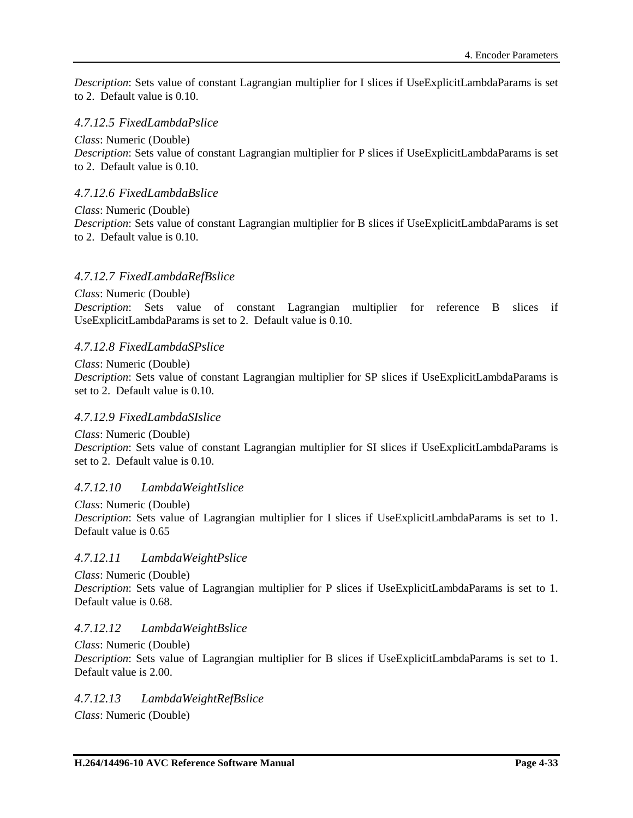*Description*: Sets value of constant Lagrangian multiplier for I slices if UseExplicitLambdaParams is set to 2. Default value is 0.10.

## *4.7.12.5 FixedLambdaPslice*

*Class*: Numeric (Double) *Description*: Sets value of constant Lagrangian multiplier for P slices if UseExplicitLambdaParams is set to 2. Default value is 0.10.

## *4.7.12.6 FixedLambdaBslice*

*Class*: Numeric (Double)

*Description*: Sets value of constant Lagrangian multiplier for B slices if UseExplicitLambdaParams is set to 2. Default value is 0.10.

## *4.7.12.7 FixedLambdaRefBslice*

*Class*: Numeric (Double) *Description*: Sets value of constant Lagrangian multiplier for reference B slices if UseExplicitLambdaParams is set to 2. Default value is 0.10.

### *4.7.12.8 FixedLambdaSPslice*

*Class*: Numeric (Double)

*Description*: Sets value of constant Lagrangian multiplier for SP slices if UseExplicitLambdaParams is set to 2. Default value is 0.10.

### *4.7.12.9 FixedLambdaSIslice*

*Class*: Numeric (Double) *Description*: Sets value of constant Lagrangian multiplier for SI slices if UseExplicitLambdaParams is set to 2. Default value is 0.10.

## *4.7.12.10 LambdaWeightIslice*

*Class*: Numeric (Double) *Description*: Sets value of Lagrangian multiplier for I slices if UseExplicitLambdaParams is set to 1. Default value is 0.65

## *4.7.12.11 LambdaWeightPslice*

*Class*: Numeric (Double)

*Description*: Sets value of Lagrangian multiplier for P slices if UseExplicitLambdaParams is set to 1. Default value is 0.68.

### *4.7.12.12 LambdaWeightBslice*

#### *Class*: Numeric (Double)

*Description*: Sets value of Lagrangian multiplier for B slices if UseExplicitLambdaParams is set to 1. Default value is 2.00.

### *4.7.12.13 LambdaWeightRefBslice*

*Class*: Numeric (Double)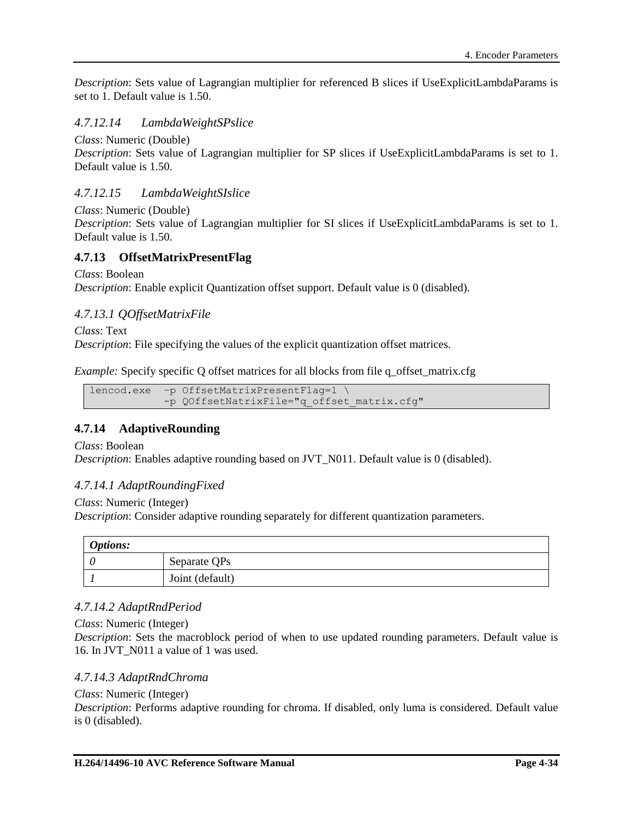*Description*: Sets value of Lagrangian multiplier for referenced B slices if UseExplicitLambdaParams is set to 1. Default value is 1.50.

## *4.7.12.14 LambdaWeightSPslice*

*Class*: Numeric (Double)

*Description*: Sets value of Lagrangian multiplier for SP slices if UseExplicitLambdaParams is set to 1. Default value is 1.50.

## *4.7.12.15 LambdaWeightSIslice*

*Class*: Numeric (Double)

*Description*: Sets value of Lagrangian multiplier for SI slices if UseExplicitLambdaParams is set to 1. Default value is 1.50.

## **4.7.13 OffsetMatrixPresentFlag**

*Class*: Boolean

*Description*: Enable explicit Quantization offset support. Default value is 0 (disabled).

### *4.7.13.1 QOffsetMatrixFile*

*Class*: Text *Description*: File specifying the values of the explicit quantization offset matrices.

*Example:* Specify specific Q offset matrices for all blocks from file q offset matrix.cfg

```
lencod.exe –p OffsetMatrixPresentFlag=1 \
        -p QOffsetNatrixFile="q_offset_matrix.cfg"
```
## **4.7.14 AdaptiveRounding**

*Class*: Boolean

*Description*: Enables adaptive rounding based on JVT\_N011. Default value is 0 (disabled).

### *4.7.14.1 AdaptRoundingFixed*

*Class*: Numeric (Integer)

*Description*: Consider adaptive rounding separately for different quantization parameters.

| <b>Options:</b> |                 |  |
|-----------------|-----------------|--|
|                 | Separate QPs    |  |
|                 | Joint (default) |  |

### *4.7.14.2 AdaptRndPeriod*

*Class*: Numeric (Integer)

*Description*: Sets the macroblock period of when to use updated rounding parameters. Default value is 16. In JVT\_N011 a value of 1 was used.

#### *4.7.14.3 AdaptRndChroma*

#### *Class*: Numeric (Integer)

*Description*: Performs adaptive rounding for chroma. If disabled, only luma is considered. Default value is 0 (disabled).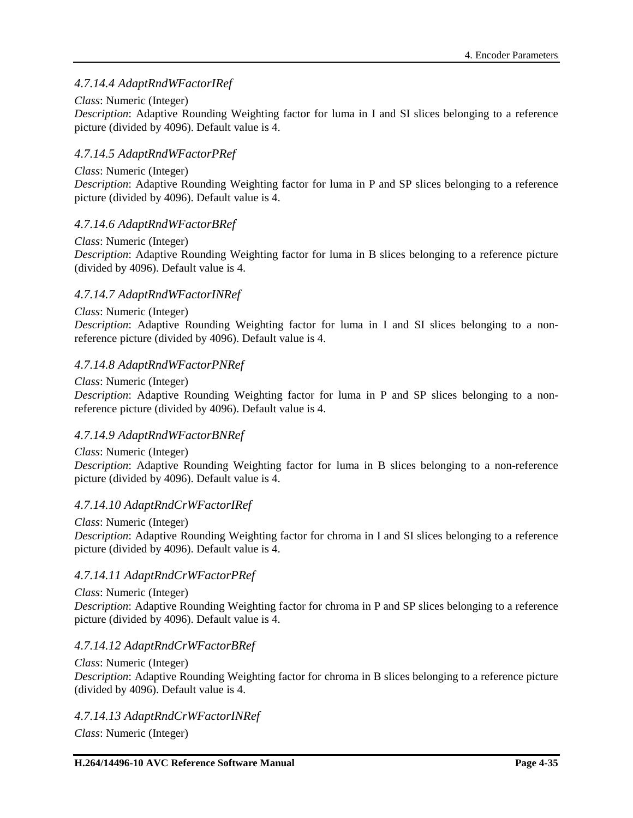## *4.7.14.4 AdaptRndWFactorIRef*

### *Class*: Numeric (Integer)

*Description*: Adaptive Rounding Weighting factor for luma in I and SI slices belonging to a reference picture (divided by 4096). Default value is 4.

### *4.7.14.5 AdaptRndWFactorPRef*

#### *Class*: Numeric (Integer)

*Description*: Adaptive Rounding Weighting factor for luma in P and SP slices belonging to a reference picture (divided by 4096). Default value is 4.

### *4.7.14.6 AdaptRndWFactorBRef*

## *Class*: Numeric (Integer)

*Description*: Adaptive Rounding Weighting factor for luma in B slices belonging to a reference picture (divided by 4096). Default value is 4.

### *4.7.14.7 AdaptRndWFactorINRef*

#### *Class*: Numeric (Integer)

*Description*: Adaptive Rounding Weighting factor for luma in I and SI slices belonging to a nonreference picture (divided by 4096). Default value is 4.

### *4.7.14.8 AdaptRndWFactorPNRef*

#### *Class*: Numeric (Integer)

*Description*: Adaptive Rounding Weighting factor for luma in P and SP slices belonging to a nonreference picture (divided by 4096). Default value is 4.

### *4.7.14.9 AdaptRndWFactorBNRef*

*Class*: Numeric (Integer) *Description*: Adaptive Rounding Weighting factor for luma in B slices belonging to a non-reference picture (divided by 4096). Default value is 4.

### *4.7.14.10 AdaptRndCrWFactorIRef*

*Class*: Numeric (Integer) *Description*: Adaptive Rounding Weighting factor for chroma in I and SI slices belonging to a reference picture (divided by 4096). Default value is 4.

### *4.7.14.11 AdaptRndCrWFactorPRef*

*Class*: Numeric (Integer) *Description*: Adaptive Rounding Weighting factor for chroma in P and SP slices belonging to a reference picture (divided by 4096). Default value is 4.

#### *4.7.14.12 AdaptRndCrWFactorBRef*

#### *Class*: Numeric (Integer) *Description*: Adaptive Rounding Weighting factor for chroma in B slices belonging to a reference picture (divided by 4096). Default value is 4.

*4.7.14.13 AdaptRndCrWFactorINRef*

*Class*: Numeric (Integer)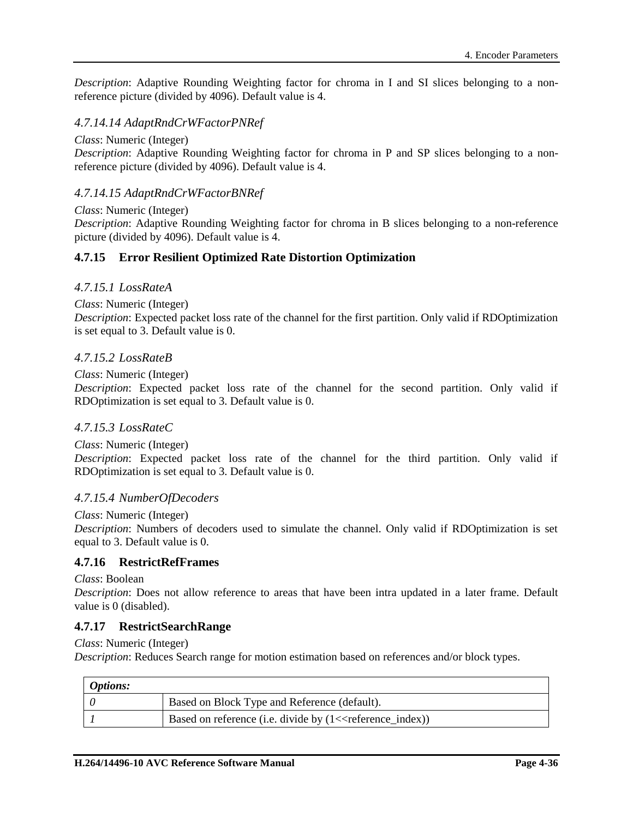*Description*: Adaptive Rounding Weighting factor for chroma in I and SI slices belonging to a nonreference picture (divided by 4096). Default value is 4.

## *4.7.14.14 AdaptRndCrWFactorPNRef*

*Class*: Numeric (Integer)

*Description*: Adaptive Rounding Weighting factor for chroma in P and SP slices belonging to a nonreference picture (divided by 4096). Default value is 4.

## *4.7.14.15 AdaptRndCrWFactorBNRef*

*Class*: Numeric (Integer) *Description*: Adaptive Rounding Weighting factor for chroma in B slices belonging to a non-reference picture (divided by 4096). Default value is 4.

### **4.7.15 Error Resilient Optimized Rate Distortion Optimization**

#### *4.7.15.1 LossRateA*

*Class*: Numeric (Integer)

*Description*: Expected packet loss rate of the channel for the first partition. Only valid if RDOptimization is set equal to 3. Default value is 0.

#### *4.7.15.2 LossRateB*

*Class*: Numeric (Integer)

*Description*: Expected packet loss rate of the channel for the second partition. Only valid if RDOptimization is set equal to 3. Default value is 0.

### *4.7.15.3 LossRateC*

*Class*: Numeric (Integer) *Description*: Expected packet loss rate of the channel for the third partition. Only valid if RDOptimization is set equal to 3. Default value is 0.

#### *4.7.15.4 NumberOfDecoders*

#### *Class*: Numeric (Integer)

*Description*: Numbers of decoders used to simulate the channel. Only valid if RDOptimization is set equal to 3. Default value is 0.

### **4.7.16 RestrictRefFrames**

*Class*: Boolean

*Description*: Does not allow reference to areas that have been intra updated in a later frame. Default value is 0 (disabled).

#### **4.7.17 RestrictSearchRange**

*Class*: Numeric (Integer)

*Description*: Reduces Search range for motion estimation based on references and/or block types.

| <i><b>Options:</b></i> |                                                                          |
|------------------------|--------------------------------------------------------------------------|
|                        | Based on Block Type and Reference (default).                             |
|                        | Based on reference (i.e. divide by $(1 \leq r \leq 1)$ reference_index)) |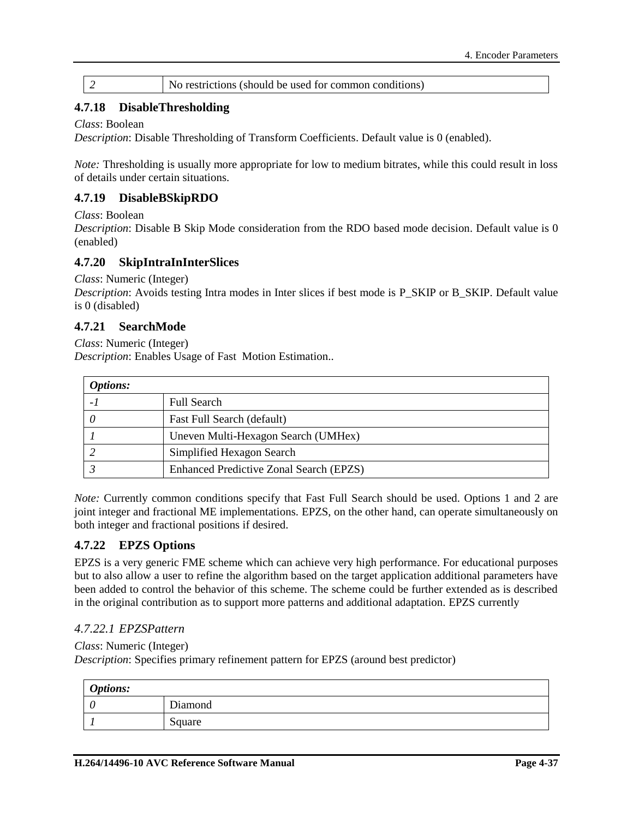# 2 No restrictions (should be used for common conditions)

## **4.7.18 DisableThresholding**

#### *Class*: Boolean

*Description*: Disable Thresholding of Transform Coefficients. Default value is 0 (enabled).

*Note:* Thresholding is usually more appropriate for low to medium bitrates, while this could result in loss of details under certain situations.

## **4.7.19 DisableBSkipRDO**

*Class*: Boolean

*Description*: Disable B Skip Mode consideration from the RDO based mode decision. Default value is 0 (enabled)

## **4.7.20 SkipIntraInInterSlices**

*Class*: Numeric (Integer)

*Description*: Avoids testing Intra modes in Inter slices if best mode is P\_SKIP or B\_SKIP. Default value is 0 (disabled)

## **4.7.21 SearchMode**

*Class*: Numeric (Integer) *Description*: Enables Usage of Fast Motion Estimation..

| <b>Options:</b> |                                                |
|-----------------|------------------------------------------------|
|                 | <b>Full Search</b>                             |
|                 | Fast Full Search (default)                     |
|                 | Uneven Multi-Hexagon Search (UMHex)            |
|                 | Simplified Hexagon Search                      |
|                 | <b>Enhanced Predictive Zonal Search (EPZS)</b> |

*Note:* Currently common conditions specify that Fast Full Search should be used. Options 1 and 2 are joint integer and fractional ME implementations. EPZS, on the other hand, can operate simultaneously on both integer and fractional positions if desired.

## **4.7.22 EPZS Options**

EPZS is a very generic FME scheme which can achieve very high performance. For educational purposes but to also allow a user to refine the algorithm based on the target application additional parameters have been added to control the behavior of this scheme. The scheme could be further extended as is described in the original contribution as to support more patterns and additional adaptation. EPZS currently

### *4.7.22.1 EPZSPattern*

#### *Class*: Numeric (Integer)

*Description*: Specifies primary refinement pattern for EPZS (around best predictor)

| <b>Options:</b> |         |
|-----------------|---------|
| U               | Diamond |
|                 | Square  |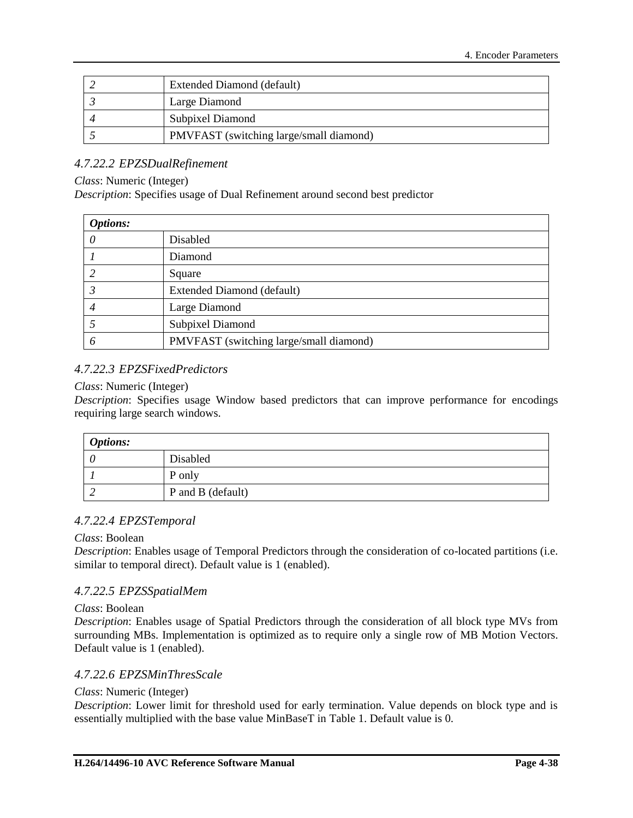| Extended Diamond (default)              |  |
|-----------------------------------------|--|
| Large Diamond                           |  |
| <b>Subpixel Diamond</b>                 |  |
| PMVFAST (switching large/small diamond) |  |

## *4.7.22.2 EPZSDualRefinement*

#### *Class*: Numeric (Integer)

*Description*: Specifies usage of Dual Refinement around second best predictor

| <b>Options:</b> |                                         |
|-----------------|-----------------------------------------|
|                 | Disabled                                |
|                 | Diamond                                 |
|                 | Square                                  |
|                 | Extended Diamond (default)              |
|                 | Large Diamond                           |
|                 | Subpixel Diamond                        |
| O               | PMVFAST (switching large/small diamond) |

### *4.7.22.3 EPZSFixedPredictors*

#### *Class*: Numeric (Integer)

*Description*: Specifies usage Window based predictors that can improve performance for encodings requiring large search windows.

| <b>Options:</b> |                   |
|-----------------|-------------------|
|                 | Disabled          |
|                 | P only            |
|                 | P and B (default) |

### *4.7.22.4 EPZSTemporal*

#### *Class*: Boolean

*Description*: Enables usage of Temporal Predictors through the consideration of co-located partitions (i.e. similar to temporal direct). Default value is 1 (enabled).

### *4.7.22.5 EPZSSpatialMem*

#### *Class*: Boolean

*Description*: Enables usage of Spatial Predictors through the consideration of all block type MVs from surrounding MBs. Implementation is optimized as to require only a single row of MB Motion Vectors. Default value is 1 (enabled).

#### *4.7.22.6 EPZSMinThresScale*

#### *Class*: Numeric (Integer)

*Description*: Lower limit for threshold used for early termination. Value depends on block type and is essentially multiplied with the base value MinBaseT in [Table 1.](#page-62-0) Default value is 0.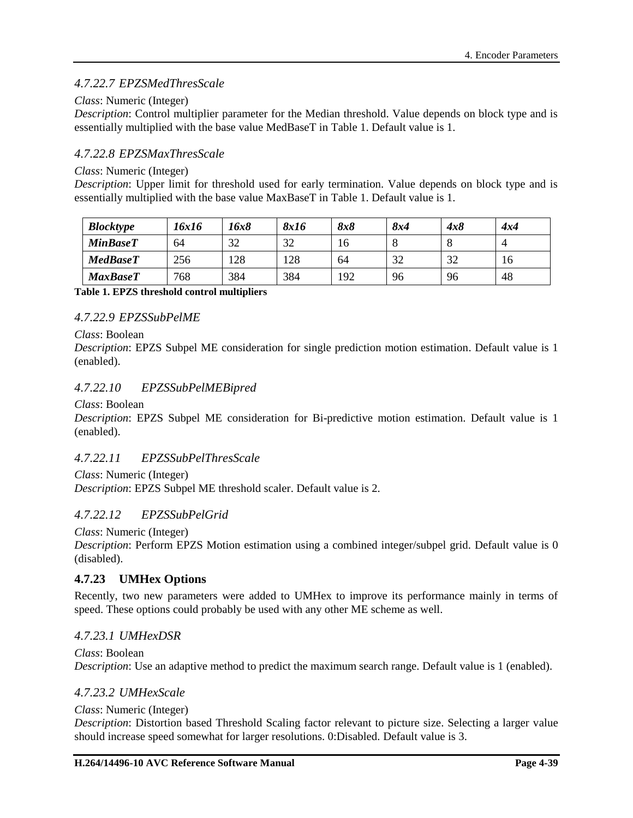## *4.7.22.7 EPZSMedThresScale*

### *Class*: Numeric (Integer)

*Description*: Control multiplier parameter for the Median threshold. Value depends on block type and is essentially multiplied with the base value MedBaseT in [Table 1.](#page-62-0) Default value is 1.

### *4.7.22.8 EPZSMaxThresScale*

#### *Class*: Numeric (Integer)

*Description*: Upper limit for threshold used for early termination. Value depends on block type and is essentially multiplied with the base value MaxBaseT in [Table 1.](#page-62-0) Default value is 1.

| <b>Blocktype</b> | 16x16 | 16x8 | 8x16 | 8x8 | 8x4 | 4x8 | 4x4 |
|------------------|-------|------|------|-----|-----|-----|-----|
| <b>MinBaseT</b>  | 64    | 32   | 32   | 16  | O   |     |     |
| <b>MedBaseT</b>  | 256   | 28   | 128  | 64  | 32  | 32  | 16  |
| <b>MaxBaseT</b>  | 768   | 384  | 384  | 192 | 96  | 96  | 48  |

<span id="page-62-0"></span>**Table 1. EPZS threshold control multipliers**

### *4.7.22.9 EPZSSubPelME*

#### *Class*: Boolean

*Description*: EPZS Subpel ME consideration for single prediction motion estimation. Default value is 1 (enabled).

## *4.7.22.10 EPZSSubPelMEBipred*

#### *Class*: Boolean

*Description*: EPZS Subpel ME consideration for Bi-predictive motion estimation. Default value is 1 (enabled).

### *4.7.22.11 EPZSSubPelThresScale*

*Class*: Numeric (Integer) *Description*: EPZS Subpel ME threshold scaler. Default value is 2.

## *4.7.22.12 EPZSSubPelGrid*

*Class*: Numeric (Integer)

*Description*: Perform EPZS Motion estimation using a combined integer/subpel grid. Default value is 0 (disabled).

### **4.7.23 UMHex Options**

Recently, two new parameters were added to UMHex to improve its performance mainly in terms of speed. These options could probably be used with any other ME scheme as well.

### *4.7.23.1 UMHexDSR*

*Class*: Boolean *Description*: Use an adaptive method to predict the maximum search range. Default value is 1 (enabled).

### *4.7.23.2 UMHexScale*

#### *Class*: Numeric (Integer)

*Description*: Distortion based Threshold Scaling factor relevant to picture size. Selecting a larger value should increase speed somewhat for larger resolutions. 0:Disabled. Default value is 3.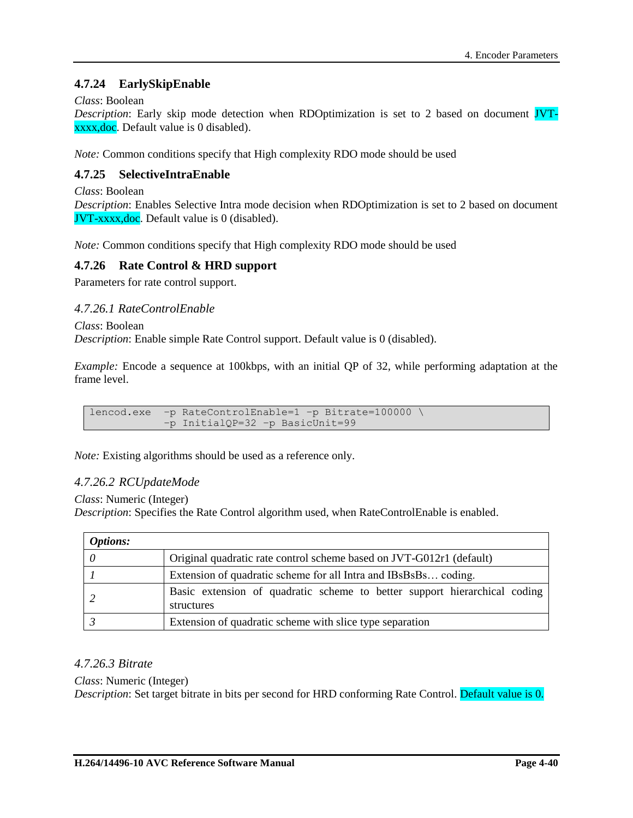## **4.7.24 EarlySkipEnable**

### *Class*: Boolean

*Description*: Early skip mode detection when RDOptimization is set to 2 based on document JVTxxxx,doc. Default value is 0 disabled).

*Note:* Common conditions specify that High complexity RDO mode should be used

## **4.7.25 SelectiveIntraEnable**

*Class*: Boolean

*Description*: Enables Selective Intra mode decision when RDOptimization is set to 2 based on document JVT-xxxx,doc. Default value is 0 (disabled).

*Note:* Common conditions specify that High complexity RDO mode should be used

## **4.7.26 Rate Control & HRD support**

Parameters for rate control support.

*4.7.26.1 RateControlEnable*

*Class*: Boolean *Description*: Enable simple Rate Control support. Default value is 0 (disabled).

*Example:* Encode a sequence at 100kbps, with an initial QP of 32, while performing adaptation at the frame level.

lencod.exe –p RateControlEnable=1 –p Bitrate=100000 \ –p InitialQP=32 –p BasicUnit=99

*Note:* Existing algorithms should be used as a reference only.

### *4.7.26.2 RCUpdateMode*

*Class*: Numeric (Integer)

*Description*: Specifies the Rate Control algorithm used, when RateControlEnable is enabled.

| <b>Options:</b> |                                                                                         |
|-----------------|-----------------------------------------------------------------------------------------|
|                 | Original quadratic rate control scheme based on JVT-G012r1 (default)                    |
|                 | Extension of quadratic scheme for all Intra and IBsBsBs coding.                         |
|                 | Basic extension of quadratic scheme to better support hierarchical coding<br>structures |
|                 | Extension of quadratic scheme with slice type separation                                |

### *4.7.26.3 Bitrate*

#### *Class*: Numeric (Integer)

*Description*: Set target bitrate in bits per second for HRD conforming Rate Control. Default value is 0.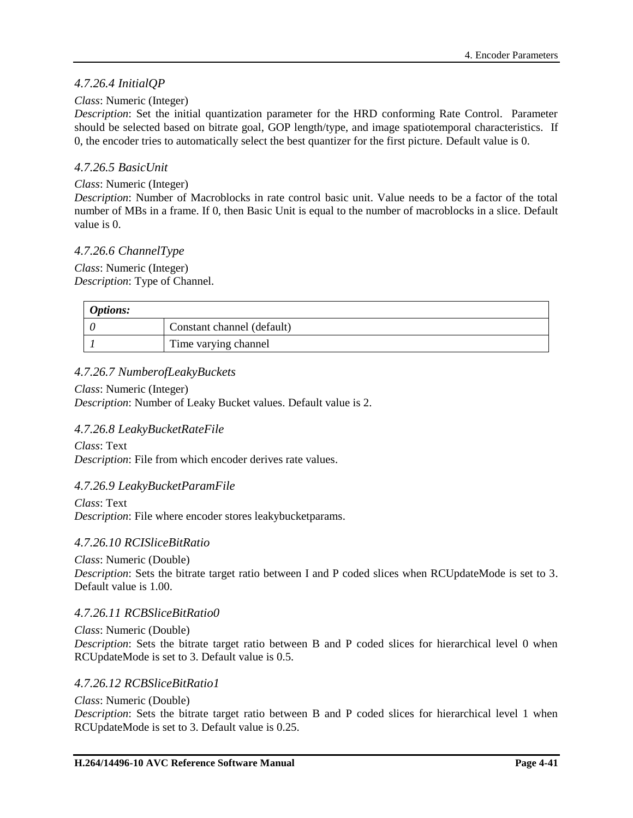## *4.7.26.4 InitialQP*

### *Class*: Numeric (Integer)

*Description*: Set the initial quantization parameter for the HRD conforming Rate Control. Parameter should be selected based on bitrate goal, GOP length/type, and image spatiotemporal characteristics. If 0, the encoder tries to automatically select the best quantizer for the first picture. Default value is 0.

## *4.7.26.5 BasicUnit*

### *Class*: Numeric (Integer)

*Description*: Number of Macroblocks in rate control basic unit. Value needs to be a factor of the total number of MBs in a frame. If 0, then Basic Unit is equal to the number of macroblocks in a slice. Default value is 0.

## *4.7.26.6 ChannelType*

*Class*: Numeric (Integer) *Description*: Type of Channel.

| <i>Options:</i> |                            |  |
|-----------------|----------------------------|--|
|                 | Constant channel (default) |  |
|                 | Time varying channel       |  |

## *4.7.26.7 NumberofLeakyBuckets*

*Class*: Numeric (Integer) *Description*: Number of Leaky Bucket values. Default value is 2.

### *4.7.26.8 LeakyBucketRateFile*

*Class*: Text *Description*: File from which encoder derives rate values.

### *4.7.26.9 LeakyBucketParamFile*

*Class*: Text *Description*: File where encoder stores leakybucketparams.

### *4.7.26.10 RCISliceBitRatio*

*Class*: Numeric (Double)

*Description*: Sets the bitrate target ratio between I and P coded slices when RCUpdateMode is set to 3. Default value is 1.00.

### *4.7.26.11 RCBSliceBitRatio0*

*Class*: Numeric (Double) *Description*: Sets the bitrate target ratio between B and P coded slices for hierarchical level 0 when RCUpdateMode is set to 3. Default value is 0.5.

## *4.7.26.12 RCBSliceBitRatio1*

*Class*: Numeric (Double)

*Description*: Sets the bitrate target ratio between B and P coded slices for hierarchical level 1 when RCUpdateMode is set to 3. Default value is 0.25.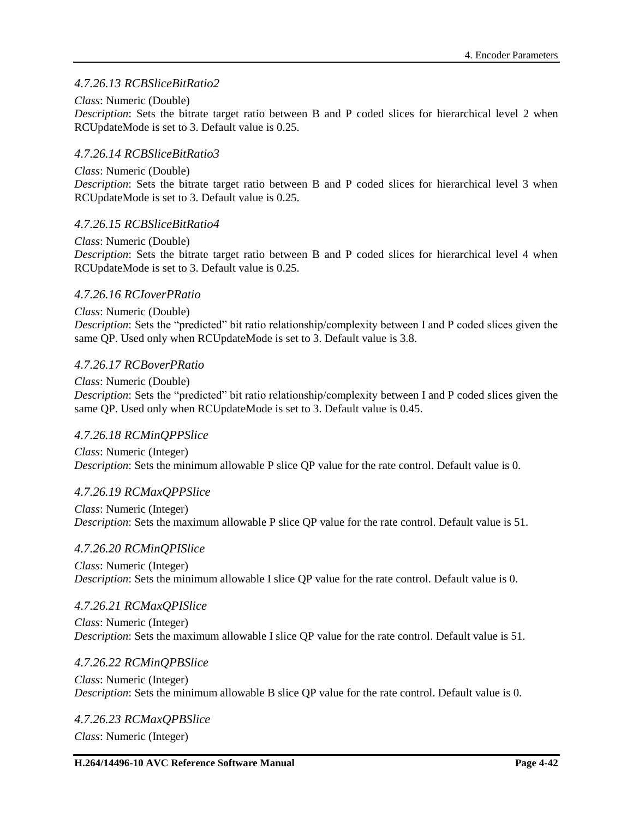### *4.7.26.13 RCBSliceBitRatio2*

### *Class*: Numeric (Double)

*Description*: Sets the bitrate target ratio between B and P coded slices for hierarchical level 2 when RCUpdateMode is set to 3. Default value is 0.25.

### *4.7.26.14 RCBSliceBitRatio3*

#### *Class*: Numeric (Double)

*Description*: Sets the bitrate target ratio between B and P coded slices for hierarchical level 3 when RCUpdateMode is set to 3. Default value is 0.25.

#### *4.7.26.15 RCBSliceBitRatio4*

#### *Class*: Numeric (Double)

*Description*: Sets the bitrate target ratio between B and P coded slices for hierarchical level 4 when RCUpdateMode is set to 3. Default value is 0.25.

#### *4.7.26.16 RCIoverPRatio*

#### *Class*: Numeric (Double) *Description*: Sets the "predicted" bit ratio relationship/complexity between I and P coded slices given the same QP. Used only when RCUpdateMode is set to 3. Default value is 3.8.

#### *4.7.26.17 RCBoverPRatio*

#### *Class*: Numeric (Double)

*Description*: Sets the "predicted" bit ratio relationship/complexity between I and P coded slices given the same QP. Used only when RCUpdateMode is set to 3. Default value is 0.45.

#### *4.7.26.18 RCMinQPPSlice*

*Class*: Numeric (Integer) *Description*: Sets the minimum allowable P slice QP value for the rate control. Default value is 0.

#### *4.7.26.19 RCMaxQPPSlice*

*Class*: Numeric (Integer) *Description*: Sets the maximum allowable P slice QP value for the rate control. Default value is 51.

#### *4.7.26.20 RCMinQPISlice*

*Class*: Numeric (Integer) *Description*: Sets the minimum allowable I slice QP value for the rate control. Default value is 0.

#### *4.7.26.21 RCMaxQPISlice*

*Class*: Numeric (Integer) *Description*: Sets the maximum allowable I slice QP value for the rate control. Default value is 51.

### *4.7.26.22 RCMinQPBSlice*

*Class*: Numeric (Integer) *Description*: Sets the minimum allowable B slice QP value for the rate control. Default value is 0.

# *4.7.26.23 RCMaxQPBSlice*

*Class*: Numeric (Integer)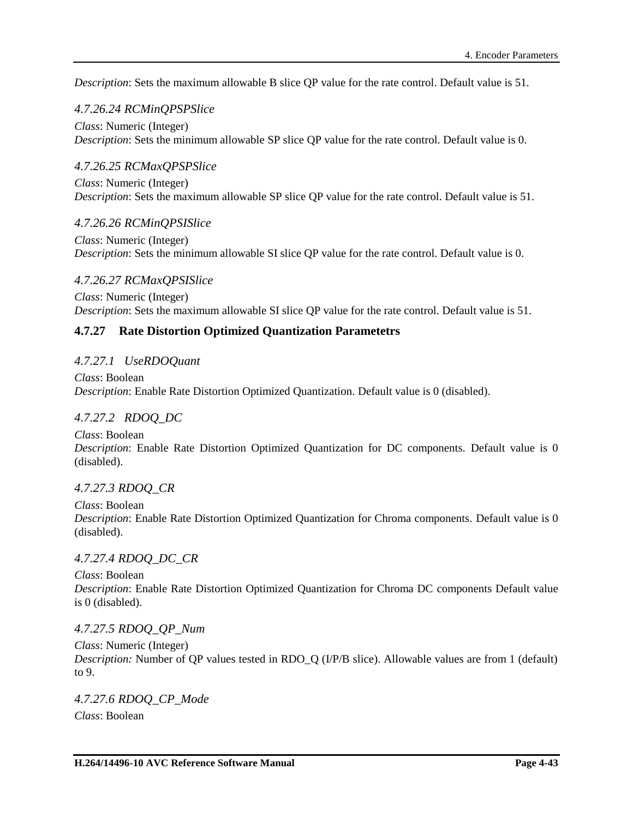*Description*: Sets the maximum allowable B slice QP value for the rate control. Default value is 51.

## *4.7.26.24 RCMinQPSPSlice*

*Class*: Numeric (Integer) *Description*: Sets the minimum allowable SP slice QP value for the rate control. Default value is 0.

## *4.7.26.25 RCMaxQPSPSlice*

*Class*: Numeric (Integer) *Description*: Sets the maximum allowable SP slice QP value for the rate control. Default value is 51.

## *4.7.26.26 RCMinQPSISlice*

*Class*: Numeric (Integer) *Description*: Sets the minimum allowable SI slice QP value for the rate control. Default value is 0.

## *4.7.26.27 RCMaxQPSISlice*

*Class*: Numeric (Integer) *Description*: Sets the maximum allowable SI slice QP value for the rate control. Default value is 51.

## **4.7.27 Rate Distortion Optimized Quantization Parametetrs**

## *4.7.27.1 UseRDOQuant*

*Class*: Boolean *Description*: Enable Rate Distortion Optimized Quantization. Default value is 0 (disabled).

### *4.7.27.2 RDOQ\_DC*

*Class*: Boolean *Description*: Enable Rate Distortion Optimized Quantization for DC components. Default value is 0 (disabled).

## *4.7.27.3 RDOQ\_CR*

*Class*: Boolean *Description*: Enable Rate Distortion Optimized Quantization for Chroma components. Default value is 0 (disabled).

## *4.7.27.4 RDOQ\_DC\_CR*

*Class*: Boolean *Description*: Enable Rate Distortion Optimized Quantization for Chroma DC components Default value is 0 (disabled).

### *4.7.27.5 RDOQ\_QP\_Num*

*Class*: Numeric (Integer) *Description:* Number of QP values tested in RDO\_Q (I/P/B slice). Allowable values are from 1 (default) to 9.

## *4.7.27.6 RDOQ\_CP\_Mode Class*: Boolean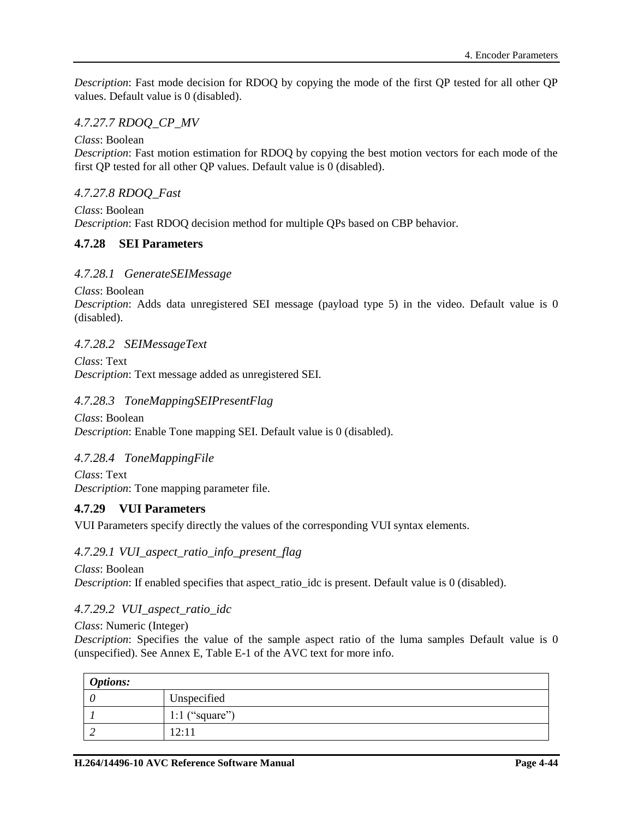*Description*: Fast mode decision for RDOQ by copying the mode of the first QP tested for all other QP values. Default value is 0 (disabled).

## *4.7.27.7 RDOQ\_CP\_MV*

*Class*: Boolean

*Description*: Fast motion estimation for RDOQ by copying the best motion vectors for each mode of the first QP tested for all other QP values. Default value is 0 (disabled).

## *4.7.27.8 RDOQ\_Fast*

*Class*: Boolean *Description*: Fast RDOQ decision method for multiple QPs based on CBP behavior.

## **4.7.28 SEI Parameters**

## *4.7.28.1 GenerateSEIMessage*

*Class*: Boolean

*Description*: Adds data unregistered SEI message (payload type 5) in the video. Default value is 0 (disabled).

### *4.7.28.2 SEIMessageText*

*Class*: Text *Description*: Text message added as unregistered SEI.

## *4.7.28.3 ToneMappingSEIPresentFlag*

*Class*: Boolean *Description*: Enable Tone mapping SEI. Default value is 0 (disabled).

## *4.7.28.4 ToneMappingFile*

*Class*: Text *Description*: Tone mapping parameter file.

## **4.7.29 VUI Parameters**

VUI Parameters specify directly the values of the corresponding VUI syntax elements.

### *4.7.29.1 VUI\_aspect\_ratio\_info\_present\_flag*

*Class*: Boolean *Description*: If enabled specifies that aspect ratio idc is present. Default value is 0 (disabled).

## *4.7.29.2 VUI\_aspect\_ratio\_idc*

*Class*: Numeric (Integer)

*Description*: Specifies the value of the sample aspect ratio of the luma samples Default value is 0 (unspecified). See Annex E, Table E-1 of the AVC text for more info.

| <b>Options:</b> |                |
|-----------------|----------------|
|                 | Unspecified    |
|                 | 1:1 ("square") |
|                 | 12:11          |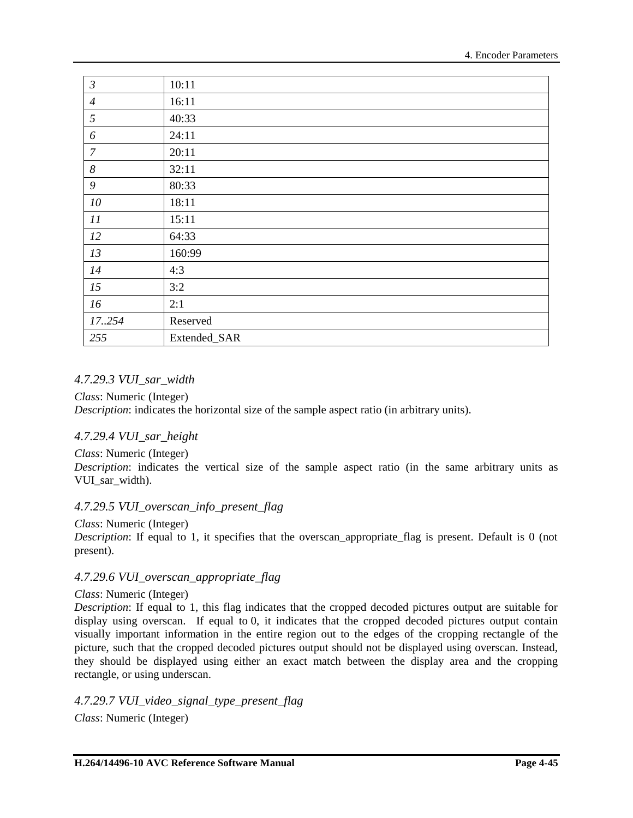| $\mathfrak{Z}$   | 10:11        |
|------------------|--------------|
| $\overline{4}$   | 16:11        |
| $\mathfrak{H}$   | 40:33        |
| 6                | 24:11        |
| $\boldsymbol{7}$ | 20:11        |
| $\boldsymbol{8}$ | 32:11        |
| 9                | 80:33        |
| 10               | 18:11        |
| 11               | 15:11        |
| 12               | 64:33        |
| 13               | 160:99       |
| 14               | 4:3          |
| 15               | 3:2          |
| 16               | 2:1          |
| 17.254           | Reserved     |
| 255              | Extended_SAR |

## *4.7.29.3 VUI\_sar\_width*

*Class*: Numeric (Integer) *Description*: indicates the horizontal size of the sample aspect ratio (in arbitrary units).

## *4.7.29.4 VUI\_sar\_height*

*Class*: Numeric (Integer) *Description*: indicates the vertical size of the sample aspect ratio (in the same arbitrary units as VUI\_sar\_width).

## *4.7.29.5 VUI\_overscan\_info\_present\_flag*

*Class*: Numeric (Integer)

*Description*: If equal to 1, it specifies that the overscan appropriate flag is present. Default is 0 (not present).

## *4.7.29.6 VUI\_overscan\_appropriate\_flag*

### *Class*: Numeric (Integer)

*Description*: If equal to 1, this flag indicates that the cropped decoded pictures output are suitable for display using overscan. If equal to 0, it indicates that the cropped decoded pictures output contain visually important information in the entire region out to the edges of the cropping rectangle of the picture, such that the cropped decoded pictures output should not be displayed using overscan. Instead, they should be displayed using either an exact match between the display area and the cropping rectangle, or using underscan.

*4.7.29.7 VUI\_video\_signal\_type\_present\_flag Class*: Numeric (Integer)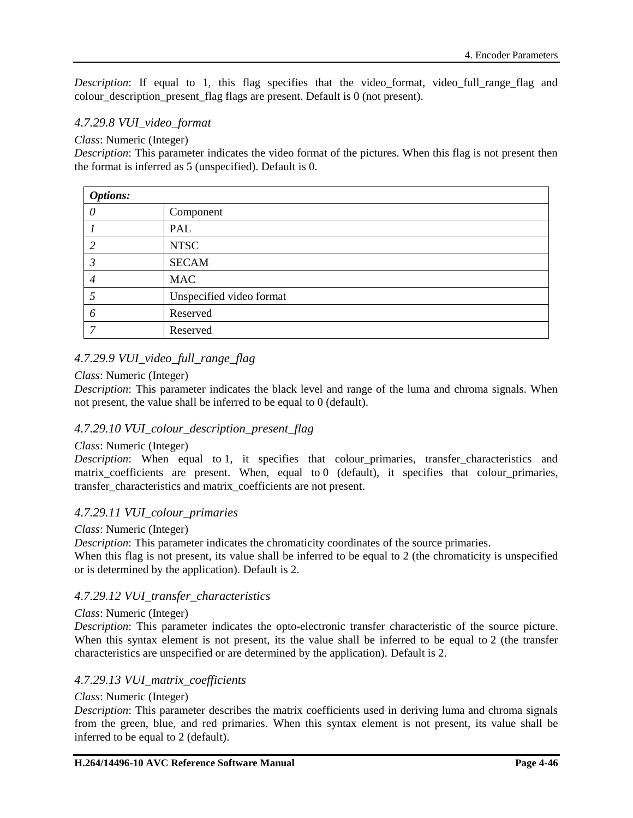*Description*: If equal to 1, this flag specifies that the video format, video full range flag and colour\_description\_present\_flag flags are present. Default is 0 (not present).

## *4.7.29.8 VUI\_video\_format*

*Class*: Numeric (Integer)

*Description*: This parameter indicates the video format of the pictures. When this flag is not present then the format is inferred as 5 (unspecified). Default is 0.

| <b>Options:</b> |                          |  |
|-----------------|--------------------------|--|
| ( )             | Component                |  |
|                 | PAL                      |  |
| ာ               | <b>NTSC</b>              |  |
|                 | <b>SECAM</b>             |  |
|                 | <b>MAC</b>               |  |
|                 | Unspecified video format |  |
| 6               | Reserved                 |  |
| ⇁               | Reserved                 |  |

## *4.7.29.9 VUI\_video\_full\_range\_flag*

#### *Class*: Numeric (Integer)

*Description*: This parameter indicates the black level and range of the luma and chroma signals. When not present, the value shall be inferred to be equal to 0 (default).

### *4.7.29.10 VUI\_colour\_description\_present\_flag*

#### *Class*: Numeric (Integer)

*Description*: When equal to 1, it specifies that colour\_primaries, transfer\_characteristics and matrix coefficients are present. When, equal to  $0$  (default), it specifies that colour primaries, transfer characteristics and matrix coefficients are not present.

### *4.7.29.11 VUI\_colour\_primaries*

#### *Class*: Numeric (Integer)

*Description*: This parameter indicates the chromaticity coordinates of the source primaries. When this flag is not present, its value shall be inferred to be equal to 2 (the chromaticity is unspecified or is determined by the application). Default is 2.

#### *4.7.29.12 VUI\_transfer\_characteristics*

#### *Class*: Numeric (Integer)

*Description*: This parameter indicates the opto-electronic transfer characteristic of the source picture. When this syntax element is not present, its the value shall be inferred to be equal to 2 (the transfer characteristics are unspecified or are determined by the application). Default is 2.

#### *4.7.29.13 VUI\_matrix\_coefficients*

#### *Class*: Numeric (Integer)

*Description*: This parameter describes the matrix coefficients used in deriving luma and chroma signals from the green, blue, and red primaries. When this syntax element is not present, its value shall be inferred to be equal to 2 (default).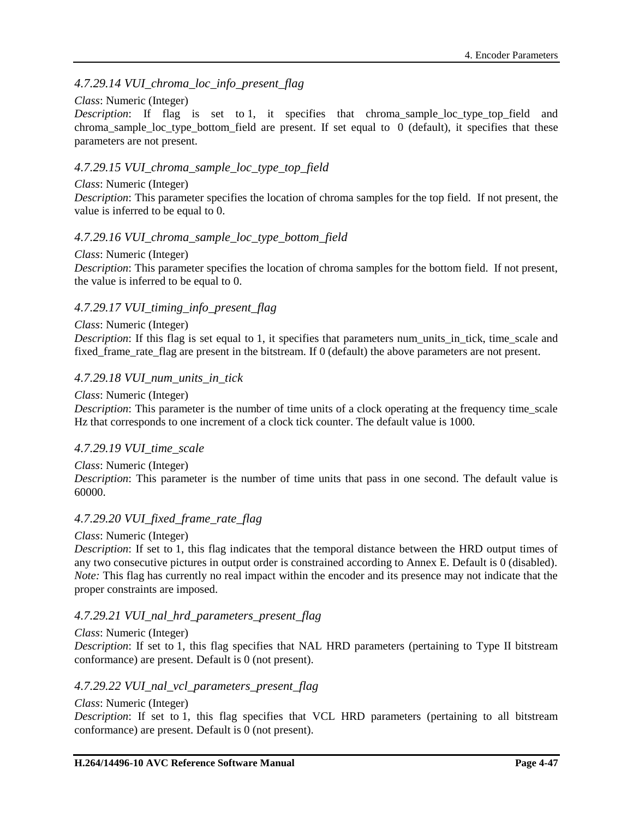## *4.7.29.14 VUI\_chroma\_loc\_info\_present\_flag*

#### *Class*: Numeric (Integer)

*Description*: If flag is set to 1, it specifies that chroma sample loc type top field and chroma sample loc type bottom field are present. If set equal to  $\theta$  (default), it specifies that these parameters are not present.

### *4.7.29.15 VUI\_chroma\_sample\_loc\_type\_top\_field*

#### *Class*: Numeric (Integer)

*Description*: This parameter specifies the location of chroma samples for the top field. If not present, the value is inferred to be equal to 0.

### *4.7.29.16 VUI\_chroma\_sample\_loc\_type\_bottom\_field*

#### *Class*: Numeric (Integer)

*Description*: This parameter specifies the location of chroma samples for the bottom field. If not present, the value is inferred to be equal to 0.

### *4.7.29.17 VUI\_timing\_info\_present\_flag*

#### *Class*: Numeric (Integer)

*Description*: If this flag is set equal to 1, it specifies that parameters num\_units\_in\_tick, time\_scale and fixed frame rate flag are present in the bitstream. If 0 (default) the above parameters are not present.

#### *4.7.29.18 VUI\_num\_units\_in\_tick*

#### *Class*: Numeric (Integer)

*Description*: This parameter is the number of time units of a clock operating at the frequency time scale Hz that corresponds to one increment of a clock tick counter. The default value is 1000.

#### *4.7.29.19 VUI\_time\_scale*

#### *Class*: Numeric (Integer)

*Description*: This parameter is the number of time units that pass in one second. The default value is 60000.

#### *4.7.29.20 VUI\_fixed\_frame\_rate\_flag*

#### *Class*: Numeric (Integer)

*Description*: If set to 1, this flag indicates that the temporal distance between the HRD output times of any two consecutive pictures in output order is constrained according to Annex E. Default is 0 (disabled). *Note:* This flag has currently no real impact within the encoder and its presence may not indicate that the proper constraints are imposed.

#### *4.7.29.21 VUI\_nal\_hrd\_parameters\_present\_flag*

#### *Class*: Numeric (Integer)

*Description*: If set to 1, this flag specifies that NAL HRD parameters (pertaining to Type II bitstream conformance) are present. Default is 0 (not present).

#### *4.7.29.22 VUI\_nal\_vcl\_parameters\_present\_flag*

#### *Class*: Numeric (Integer)

*Description*: If set to 1, this flag specifies that VCL HRD parameters (pertaining to all bitstream conformance) are present. Default is 0 (not present).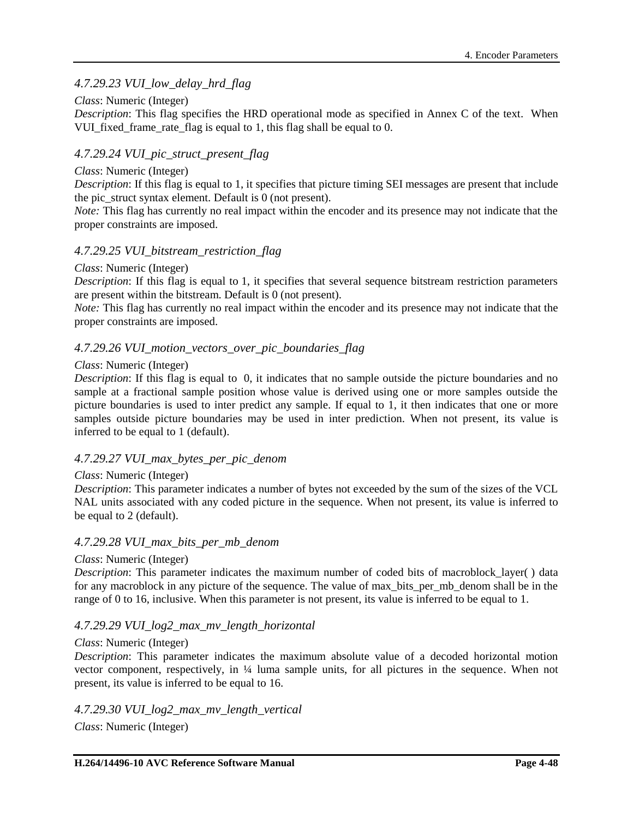## *4.7.29.23 VUI\_low\_delay\_hrd\_flag*

### *Class*: Numeric (Integer)

*Description*: This flag specifies the HRD operational mode as specified in Annex C of the text. When VUI fixed frame rate flag is equal to 1, this flag shall be equal to 0.

### *4.7.29.24 VUI\_pic\_struct\_present\_flag*

#### *Class*: Numeric (Integer)

*Description*: If this flag is equal to 1, it specifies that picture timing SEI messages are present that include the pic struct syntax element. Default is 0 (not present).

*Note:* This flag has currently no real impact within the encoder and its presence may not indicate that the proper constraints are imposed.

### *4.7.29.25 VUI\_bitstream\_restriction\_flag*

#### *Class*: Numeric (Integer)

*Description*: If this flag is equal to 1, it specifies that several sequence bitstream restriction parameters are present within the bitstream. Default is 0 (not present).

*Note:* This flag has currently no real impact within the encoder and its presence may not indicate that the proper constraints are imposed.

### *4.7.29.26 VUI\_motion\_vectors\_over\_pic\_boundaries\_flag*

#### *Class*: Numeric (Integer)

*Description*: If this flag is equal to 0, it indicates that no sample outside the picture boundaries and no sample at a fractional sample position whose value is derived using one or more samples outside the picture boundaries is used to inter predict any sample. If equal to 1, it then indicates that one or more samples outside picture boundaries may be used in inter prediction. When not present, its value is inferred to be equal to 1 (default).

### *4.7.29.27 VUI\_max\_bytes\_per\_pic\_denom*

#### *Class*: Numeric (Integer)

*Description*: This parameter indicates a number of bytes not exceeded by the sum of the sizes of the VCL NAL units associated with any coded picture in the sequence. When not present, its value is inferred to be equal to 2 (default).

#### *4.7.29.28 VUI\_max\_bits\_per\_mb\_denom*

#### *Class*: Numeric (Integer)

*Description*: This parameter indicates the maximum number of coded bits of macroblock layer() data for any macroblock in any picture of the sequence. The value of max\_bits\_per\_mb\_denom shall be in the range of 0 to 16, inclusive. When this parameter is not present, its value is inferred to be equal to 1.

### *4.7.29.29 VUI\_log2\_max\_mv\_length\_horizontal*

#### *Class*: Numeric (Integer)

*Description*: This parameter indicates the maximum absolute value of a decoded horizontal motion vector component, respectively, in ¼ luma sample units, for all pictures in the sequence. When not present, its value is inferred to be equal to 16.

*4.7.29.30 VUI\_log2\_max\_mv\_length\_vertical*

*Class*: Numeric (Integer)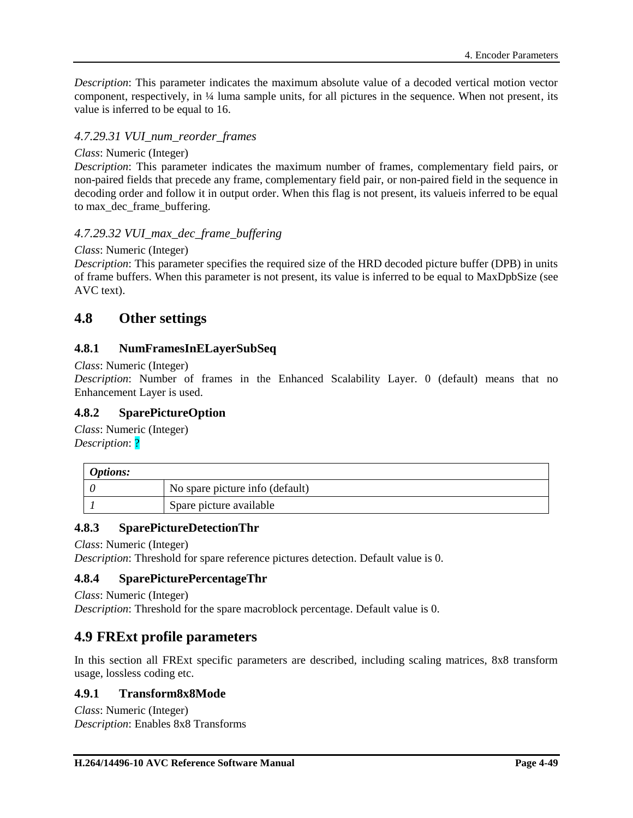*Description*: This parameter indicates the maximum absolute value of a decoded vertical motion vector component, respectively, in ¼ luma sample units, for all pictures in the sequence. When not present, its value is inferred to be equal to 16.

### *4.7.29.31 VUI\_num\_reorder\_frames*

#### *Class*: Numeric (Integer)

*Description*: This parameter indicates the maximum number of frames, complementary field pairs, or non-paired fields that precede any frame, complementary field pair, or non-paired field in the sequence in decoding order and follow it in output order. When this flag is not present, its valueis inferred to be equal to max dec frame buffering.

### *4.7.29.32 VUI\_max\_dec\_frame\_buffering*

#### *Class*: Numeric (Integer)

*Description*: This parameter specifies the required size of the HRD decoded picture buffer (DPB) in units of frame buffers. When this parameter is not present, its value is inferred to be equal to MaxDpbSize (see AVC text).

## **4.8 Other settings**

### **4.8.1 NumFramesInELayerSubSeq**

#### *Class*: Numeric (Integer)

*Description*: Number of frames in the Enhanced Scalability Layer. 0 (default) means that no Enhancement Layer is used.

### **4.8.2 SparePictureOption**

*Class*: Numeric (Integer) *Description*: ?

| <i>Options:</i> |                                 |
|-----------------|---------------------------------|
|                 | No spare picture info (default) |
|                 | Spare picture available         |

### **4.8.3 SparePictureDetectionThr**

*Class*: Numeric (Integer)

*Description*: Threshold for spare reference pictures detection. Default value is 0.

### **4.8.4 SparePicturePercentageThr**

*Class*: Numeric (Integer) *Description*: Threshold for the spare macroblock percentage. Default value is 0.

## **4.9 FRExt profile parameters**

In this section all FRExt specific parameters are described, including scaling matrices, 8x8 transform usage, lossless coding etc.

### **4.9.1 Transform8x8Mode**

*Class*: Numeric (Integer) *Description*: Enables 8x8 Transforms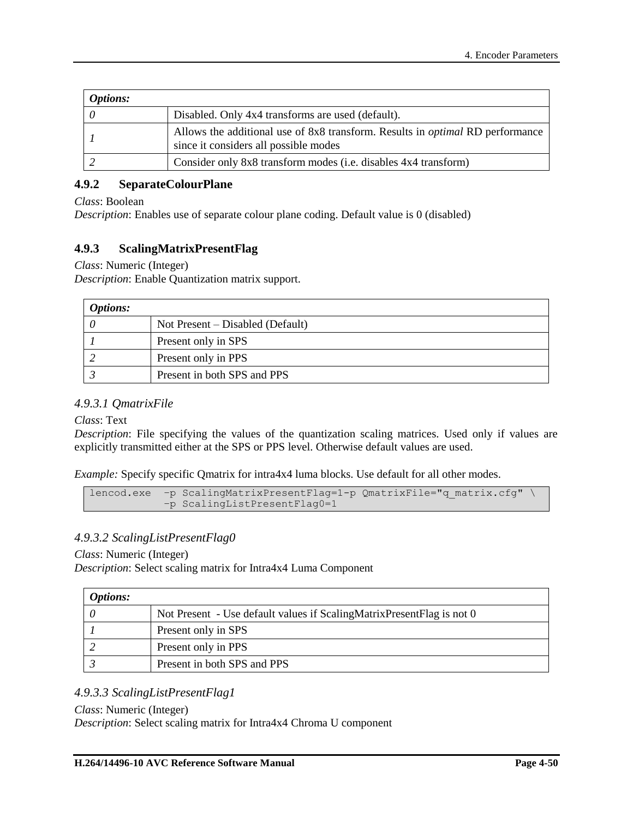| <b>Options:</b> |                                                                                                                               |
|-----------------|-------------------------------------------------------------------------------------------------------------------------------|
|                 | Disabled. Only 4x4 transforms are used (default).                                                                             |
|                 | Allows the additional use of 8x8 transform. Results in <i>optimal</i> RD performance<br>since it considers all possible modes |
|                 | Consider only 8x8 transform modes (i.e. disables 4x4 transform)                                                               |

### **4.9.2 SeparateColourPlane**

*Class*: Boolean

*Description*: Enables use of separate colour plane coding. Default value is 0 (disabled)

### **4.9.3 ScalingMatrixPresentFlag**

*Class*: Numeric (Integer)

*Description*: Enable Quantization matrix support.

| <b>Options:</b> |                                    |
|-----------------|------------------------------------|
|                 | Not Present $-$ Disabled (Default) |
|                 | Present only in SPS                |
|                 | Present only in PPS                |
|                 | Present in both SPS and PPS        |

### *4.9.3.1 QmatrixFile*

*Class*: Text

*Description*: File specifying the values of the quantization scaling matrices. Used only if values are explicitly transmitted either at the SPS or PPS level. Otherwise default values are used.

*Example:* Specify specific Qmatrix for intra4x4 luma blocks. Use default for all other modes.

```
lencod.exe -p ScalingMatrixPresentFlag=1-p QmatrixFile="q matrix.cfg" \
           –p ScalingListPresentFlag0=1
```
### *4.9.3.2 ScalingListPresentFlag0*

*Class*: Numeric (Integer)

*Description*: Select scaling matrix for Intra4x4 Luma Component

| <i>Options:</i> |                                                                       |
|-----------------|-----------------------------------------------------------------------|
|                 | Not Present - Use default values if ScalingMatrixPresentFlag is not 0 |
|                 | Present only in SPS                                                   |
|                 | Present only in PPS                                                   |
|                 | Present in both SPS and PPS                                           |

### *4.9.3.3 ScalingListPresentFlag1*

#### *Class*: Numeric (Integer)

*Description*: Select scaling matrix for Intra4x4 Chroma U component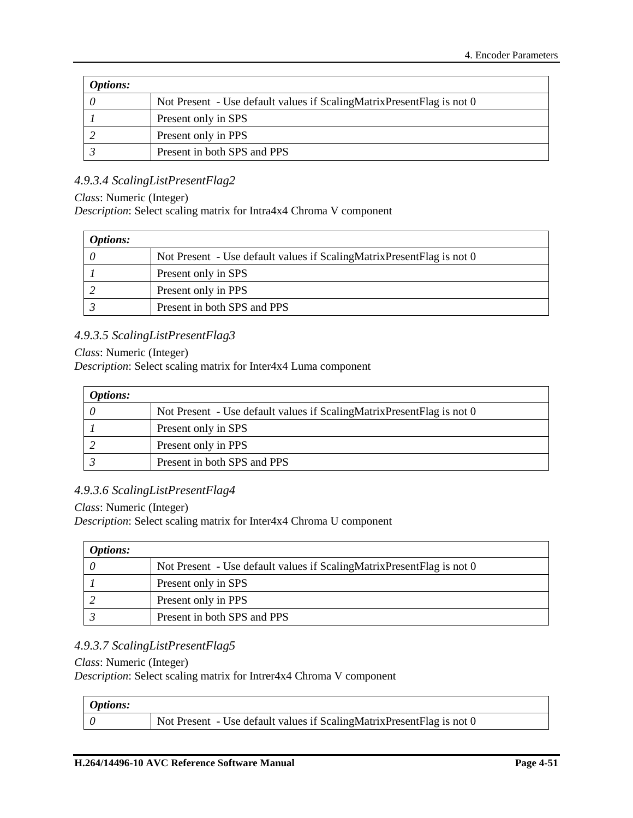| <i>Options:</i> |                                                                       |
|-----------------|-----------------------------------------------------------------------|
|                 | Not Present - Use default values if ScalingMatrixPresentFlag is not 0 |
|                 | Present only in SPS                                                   |
|                 | Present only in PPS                                                   |
|                 | Present in both SPS and PPS                                           |

### *4.9.3.4 ScalingListPresentFlag2*

#### *Class*: Numeric (Integer)

*Description*: Select scaling matrix for Intra4x4 Chroma V component

| <i>Options:</i> |                                                                       |
|-----------------|-----------------------------------------------------------------------|
|                 | Not Present - Use default values if ScalingMatrixPresentFlag is not 0 |
|                 | Present only in SPS                                                   |
|                 | Present only in PPS                                                   |
|                 | Present in both SPS and PPS                                           |

## *4.9.3.5 ScalingListPresentFlag3*

#### *Class*: Numeric (Integer)

*Description*: Select scaling matrix for Inter4x4 Luma component

| <i>Options:</i> |                                                                       |
|-----------------|-----------------------------------------------------------------------|
|                 | Not Present - Use default values if ScalingMatrixPresentFlag is not 0 |
|                 | Present only in SPS                                                   |
|                 | Present only in PPS                                                   |
|                 | Present in both SPS and PPS                                           |

### *4.9.3.6 ScalingListPresentFlag4*

#### *Class*: Numeric (Integer)

*Description*: Select scaling matrix for Inter4x4 Chroma U component

| <i>Options:</i> |                                                                       |
|-----------------|-----------------------------------------------------------------------|
|                 | Not Present - Use default values if ScalingMatrixPresentFlag is not 0 |
|                 | Present only in SPS                                                   |
|                 | Present only in PPS                                                   |
|                 | Present in both SPS and PPS                                           |

### *4.9.3.7 ScalingListPresentFlag5*

#### *Class*: Numeric (Integer)

*Description*: Select scaling matrix for Intrer4x4 Chroma V component

| <i><b>Options:</b></i> |                                                                       |
|------------------------|-----------------------------------------------------------------------|
|                        | Not Present - Use default values if ScalingMatrixPresentFlag is not 0 |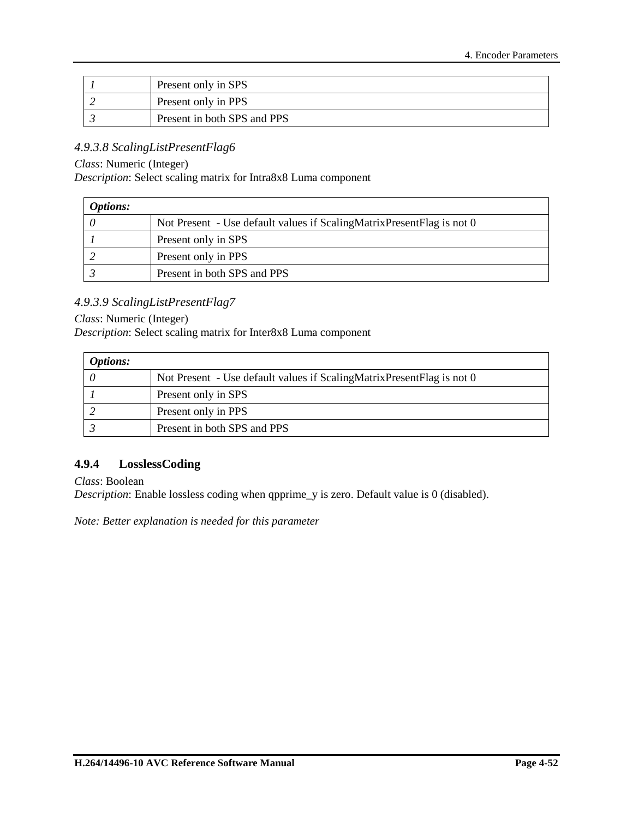| Present only in SPS         |
|-----------------------------|
| Present only in PPS         |
| Present in both SPS and PPS |

### *4.9.3.8 ScalingListPresentFlag6*

*Class*: Numeric (Integer)

*Description*: Select scaling matrix for Intra8x8 Luma component

| <i>Options:</i> |                                                                       |
|-----------------|-----------------------------------------------------------------------|
|                 | Not Present - Use default values if ScalingMatrixPresentFlag is not 0 |
|                 | Present only in SPS                                                   |
|                 | Present only in PPS                                                   |
|                 | Present in both SPS and PPS                                           |

### *4.9.3.9 ScalingListPresentFlag7*

#### *Class*: Numeric (Integer)

*Description*: Select scaling matrix for Inter8x8 Luma component

| <i>Options:</i> |                                                                       |
|-----------------|-----------------------------------------------------------------------|
|                 | Not Present - Use default values if ScalingMatrixPresentFlag is not 0 |
|                 | Present only in SPS                                                   |
|                 | Present only in PPS                                                   |
|                 | Present in both SPS and PPS                                           |

### **4.9.4 LosslessCoding**

*Class*: Boolean

*Description*: Enable lossless coding when qpprime\_y is zero. Default value is 0 (disabled).

*Note: Better explanation is needed for this parameter*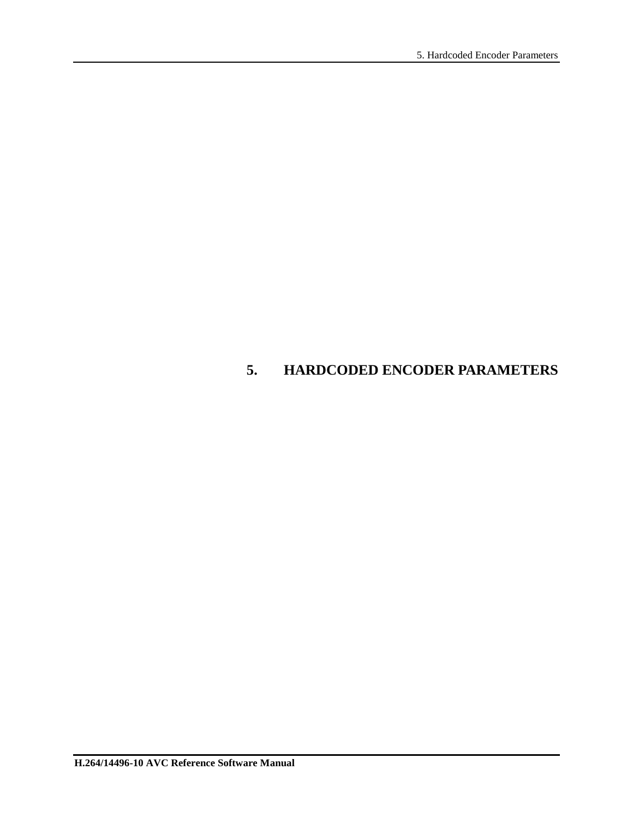# **5. HARDCODED ENCODER PARAMETERS**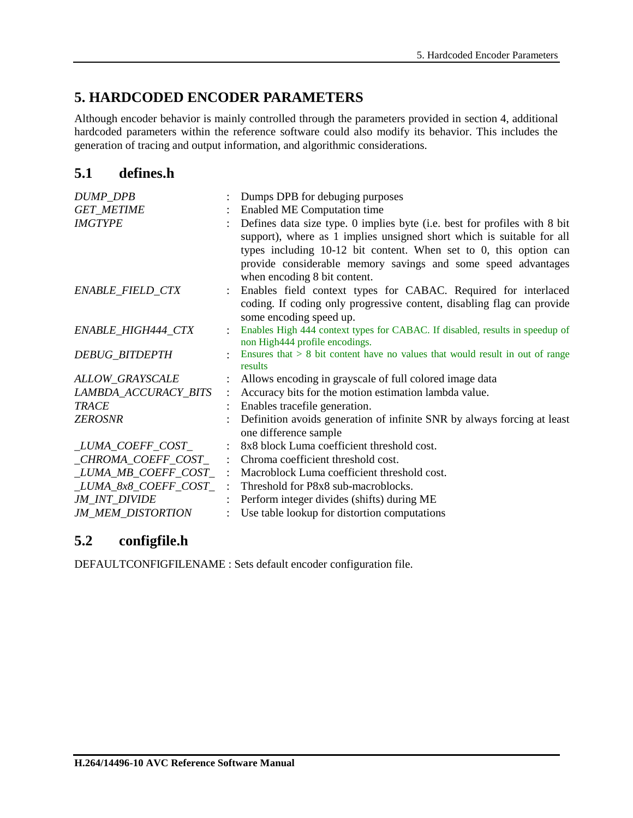# **5. HARDCODED ENCODER PARAMETERS**

Although encoder behavior is mainly controlled through the parameters provided in section [4,](#page-23-0) additional hardcoded parameters within the reference software could also modify its behavior. This includes the generation of tracing and output information, and algorithmic considerations.

## **5.1 defines.h**

| DUMP_DPB                 |                           | Dumps DPB for debuging purposes                                                                                                                                                                                                                                                                                            |  |  |  |
|--------------------------|---------------------------|----------------------------------------------------------------------------------------------------------------------------------------------------------------------------------------------------------------------------------------------------------------------------------------------------------------------------|--|--|--|
| <b>GET_METIME</b>        |                           | Enabled ME Computation time                                                                                                                                                                                                                                                                                                |  |  |  |
| <b>IMGTYPE</b>           |                           | Defines data size type. 0 implies byte (i.e. best for profiles with 8 bit<br>support), where as 1 implies unsigned short which is suitable for all<br>types including $10-12$ bit content. When set to 0, this option can<br>provide considerable memory savings and some speed advantages<br>when encoding 8 bit content. |  |  |  |
| ENABLE_FIELD_CTX         |                           | Enables field context types for CABAC. Required for interlaced<br>coding. If coding only progressive content, disabling flag can provide<br>some encoding speed up.                                                                                                                                                        |  |  |  |
| ENABLE_HIGH444_CTX       | $\bullet$                 | Enables High 444 context types for CABAC. If disabled, results in speedup of<br>non High444 profile encodings.                                                                                                                                                                                                             |  |  |  |
| <b>DEBUG_BITDEPTH</b>    |                           | Ensures that $> 8$ bit content have no values that would result in out of range<br>results                                                                                                                                                                                                                                 |  |  |  |
| ALLOW_GRAYSCALE          |                           | : Allows encoding in grayscale of full colored image data                                                                                                                                                                                                                                                                  |  |  |  |
| LAMBDA_ACCURACY_BITS     | $\mathbb{R}^{\mathbb{Z}}$ | Accuracy bits for the motion estimation lambda value.                                                                                                                                                                                                                                                                      |  |  |  |
| <b>TRACE</b>             |                           | Enables tracefile generation.                                                                                                                                                                                                                                                                                              |  |  |  |
| <b>ZEROSNR</b>           |                           | Definition avoids generation of infinite SNR by always forcing at least<br>one difference sample                                                                                                                                                                                                                           |  |  |  |
| LUMA_COEFF_COST_         |                           | 8x8 block Luma coefficient threshold cost.                                                                                                                                                                                                                                                                                 |  |  |  |
| $CHROMA$ $COEFF$ $COST$  | $\mathcal{L}$             | Chroma coefficient threshold cost.                                                                                                                                                                                                                                                                                         |  |  |  |
|                          |                           | <i>LUMA_MB_COEFF_COST_</i> : Macroblock Luma coefficient threshold cost.                                                                                                                                                                                                                                                   |  |  |  |
| $LUMA_8x8_COEFF_COST_$ : |                           | Threshold for P8x8 sub-macroblocks.                                                                                                                                                                                                                                                                                        |  |  |  |
| JM_INT_DIVIDE            |                           | Perform integer divides (shifts) during ME                                                                                                                                                                                                                                                                                 |  |  |  |
| <b>JM_MEM_DISTORTION</b> |                           | Use table lookup for distortion computations                                                                                                                                                                                                                                                                               |  |  |  |

## **5.2 configfile.h**

DEFAULTCONFIGFILENAME : Sets default encoder configuration file.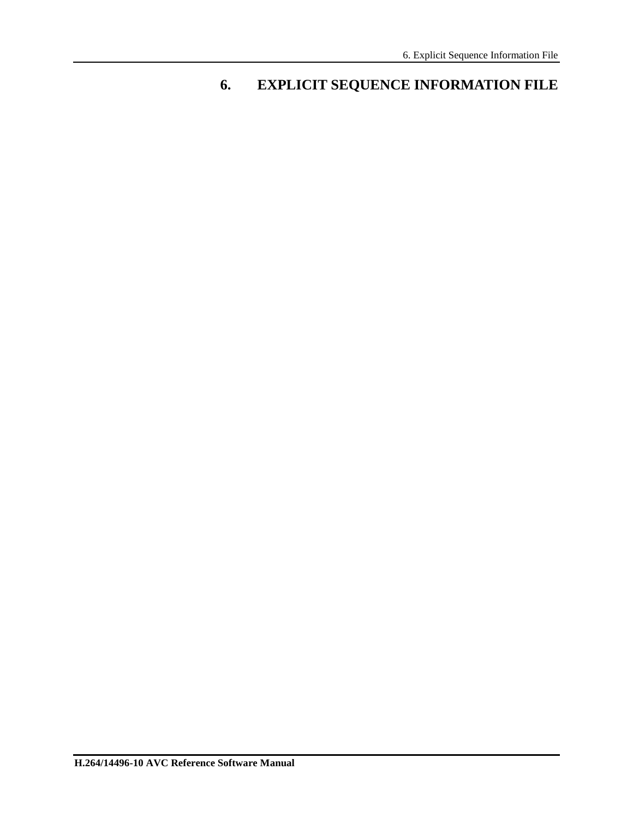# **6. EXPLICIT SEQUENCE INFORMATION FILE**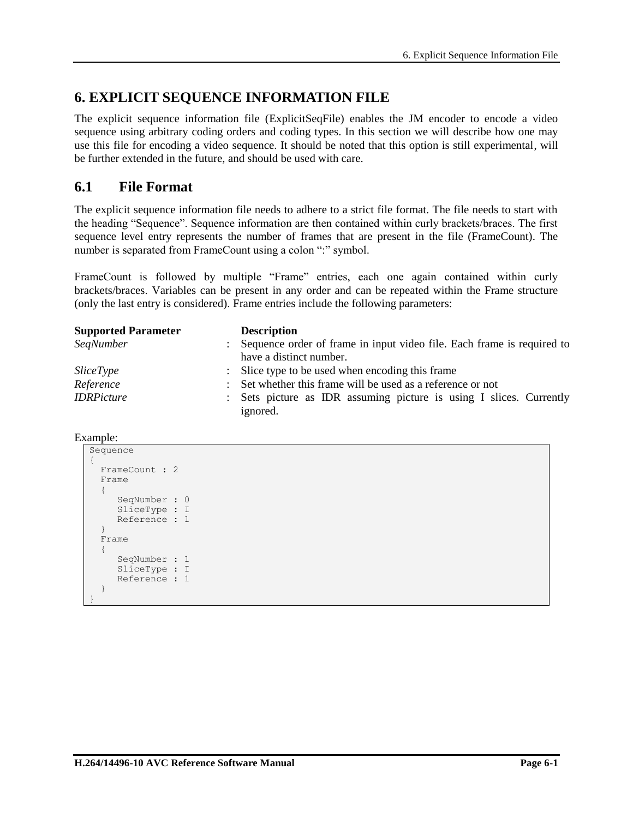# **6. EXPLICIT SEQUENCE INFORMATION FILE**

The explicit sequence information file (ExplicitSeqFile) enables the JM encoder to encode a video sequence using arbitrary coding orders and coding types. In this section we will describe how one may use this file for encoding a video sequence. It should be noted that this option is still experimental, will be further extended in the future, and should be used with care.

## **6.1 File Format**

The explicit sequence information file needs to adhere to a strict file format. The file needs to start with the heading "Sequence". Sequence information are then contained within curly brackets/braces. The first sequence level entry represents the number of frames that are present in the file (FrameCount). The number is separated from FrameCount using a colon ":" symbol.

FrameCount is followed by multiple "Frame" entries, each one again contained within curly brackets/braces. Variables can be present in any order and can be repeated within the Frame structure (only the last entry is considered). Frame entries include the following parameters:

| <b>Supported Parameter</b> |               | <b>Description</b>                                                              |  |  |  |  |
|----------------------------|---------------|---------------------------------------------------------------------------------|--|--|--|--|
| <b>SegNumber</b>           |               | Sequence order of frame in input video file. Each frame is required to          |  |  |  |  |
|                            |               | have a distinct number.                                                         |  |  |  |  |
| <i>SliceType</i>           |               | : Slice type to be used when encoding this frame                                |  |  |  |  |
| Reference                  | $\mathcal{L}$ | Set whether this frame will be used as a reference or not                       |  |  |  |  |
| <b>IDRPicture</b>          |               | : Sets picture as IDR assuming picture is using I slices. Currently<br>ignored. |  |  |  |  |

Example:

```
Sequence 
{
   FrameCount : 2
   Frame 
\left\{ \begin{array}{c} \end{array} \right\} SeqNumber : 0
        SliceType : I
        Reference : 1
 }
   Frame 
\{ SeqNumber : 1
        SliceType : I
        Reference : 1
    }
}
```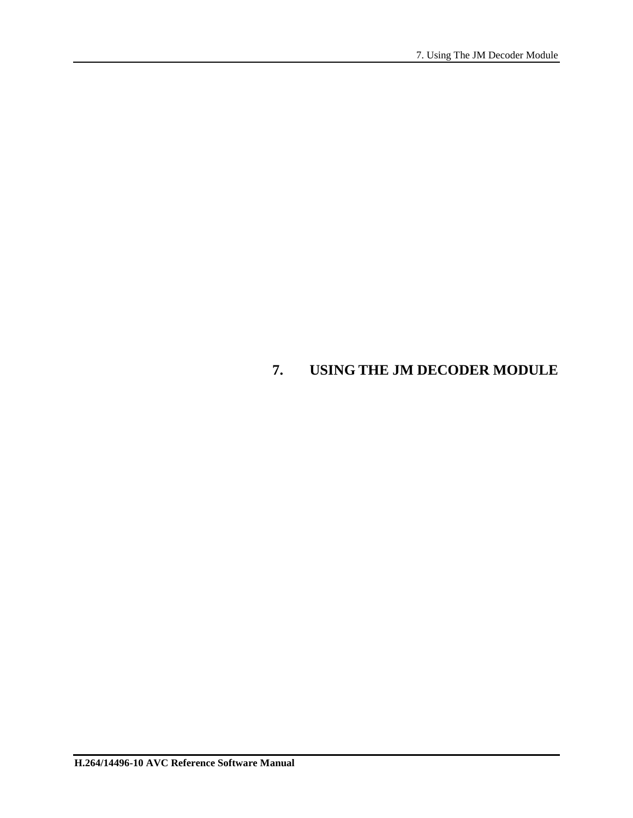# **7. USING THE JM DECODER MODULE**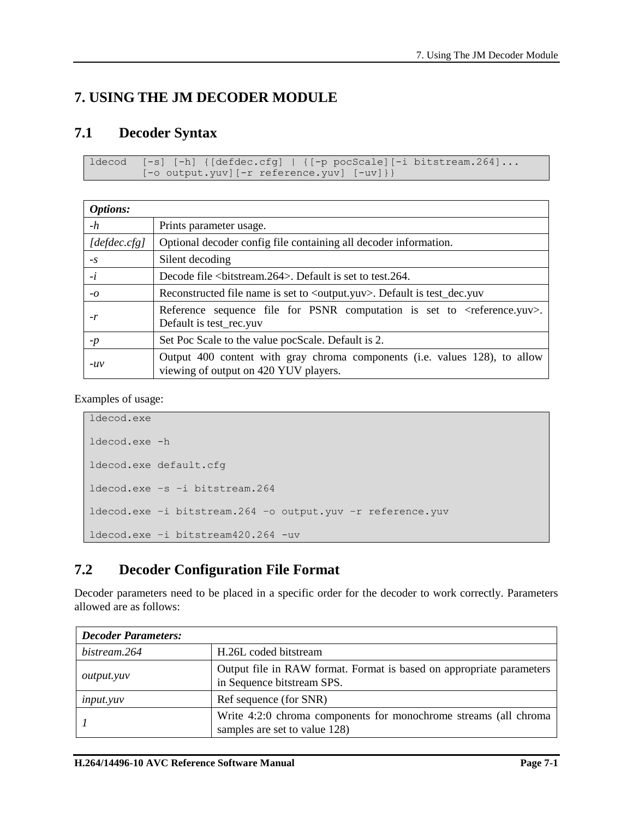# **7. USING THE JM DECODER MODULE**

## **7.1 Decoder Syntax**

```
ldecod [-s] [-h] {[defdec.cfg] | {[-p pocScale][-i bitstream.264]...
        [-o output.yuv][-r reference.yuv] [-uv]}}
```

| <b>Options:</b> |                                                                                                                       |
|-----------------|-----------------------------------------------------------------------------------------------------------------------|
| $-h$            | Prints parameter usage.                                                                                               |
| [defdec.cfg]    | Optional decoder config file containing all decoder information.                                                      |
| $-S$            | Silent decoding                                                                                                       |
| $-i$            | Decode file<br>bitstream.264>. Default is set to test.264.                                                            |
| $-0$            | Reconstructed file name is set to <output.yuv>. Default is test_dec.yuv</output.yuv>                                  |
| $-r$            | Reference sequence file for PSNR computation is set to $\langle$ reference.yuv $\rangle$ .<br>Default is test_rec.yuv |
| $-p$            | Set Poc Scale to the value pocScale. Default is 2.                                                                    |
| $-uv$           | Output 400 content with gray chroma components (i.e. values 128), to allow<br>viewing of output on 420 YUV players.   |

Examples of usage:

```
ldecod.exe
ldecod.exe -h
ldecod.exe default.cfg
ldecod.exe –s –i bitstream.264
ldecod.exe –i bitstream.264 –o output.yuv –r reference.yuv
ldecod.exe –i bitstream420.264 -uv
```
# **7.2 Decoder Configuration File Format**

Decoder parameters need to be placed in a specific order for the decoder to work correctly. Parameters allowed are as follows:

| <b>Decoder Parameters:</b> |                                                                                                    |
|----------------------------|----------------------------------------------------------------------------------------------------|
| bistream.264               | H.26L coded bitstream                                                                              |
| <i>output.yuv</i>          | Output file in RAW format. Format is based on appropriate parameters<br>in Sequence bitstream SPS. |
| <i>input.yuv</i>           | Ref sequence (for SNR)                                                                             |
|                            | Write 4:2:0 chroma components for monochrome streams (all chroma<br>samples are set to value 128)  |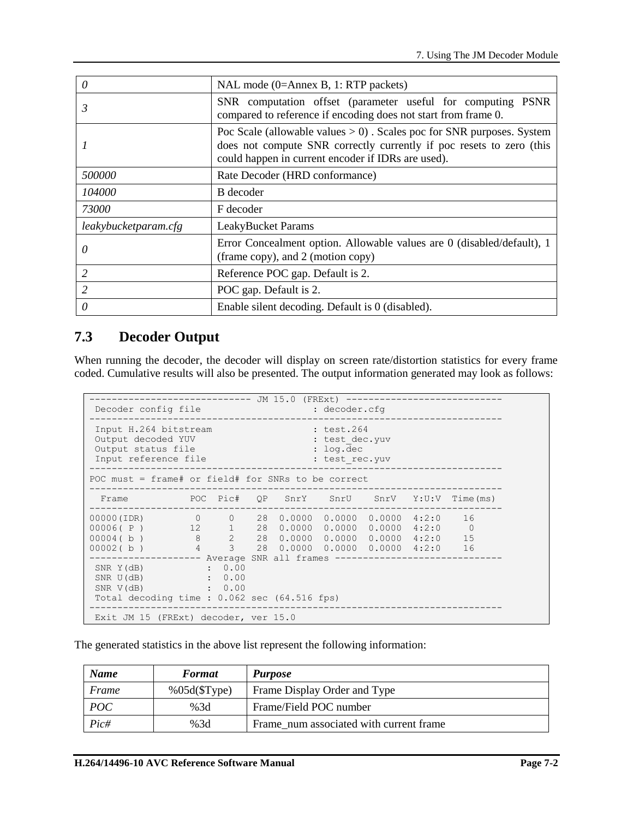| 0                    | NAL mode (0=Annex B, 1: RTP packets)                                                                                                                                                                   |  |  |  |
|----------------------|--------------------------------------------------------------------------------------------------------------------------------------------------------------------------------------------------------|--|--|--|
| 3                    | SNR computation offset (parameter useful for computing PSNR<br>compared to reference if encoding does not start from frame 0.                                                                          |  |  |  |
|                      | Poc Scale (allowable values $> 0$ ). Scales poc for SNR purposes. System<br>does not compute SNR correctly currently if poc resets to zero (this<br>could happen in current encoder if IDRs are used). |  |  |  |
| 500000               | Rate Decoder (HRD conformance)                                                                                                                                                                         |  |  |  |
| 104000               | B decoder                                                                                                                                                                                              |  |  |  |
| 73000                | F decoder                                                                                                                                                                                              |  |  |  |
| leakybucketparam.cfg | <b>LeakyBucket Params</b>                                                                                                                                                                              |  |  |  |
| 0                    | Error Concealment option. Allowable values are 0 (disabled/default), 1<br>(frame copy), and 2 (motion copy)                                                                                            |  |  |  |
| $\overline{2}$       | Reference POC gap. Default is 2.                                                                                                                                                                       |  |  |  |
| $\mathfrak{D}$       | POC gap. Default is 2.                                                                                                                                                                                 |  |  |  |
| 0                    | Enable silent decoding. Default is 0 (disabled).                                                                                                                                                       |  |  |  |

# **7.3 Decoder Output**

When running the decoder, the decoder will display on screen rate/distortion statistics for every frame coded. Cumulative results will also be presented. The output information generated may look as follows:

| Decoder config file                                                                                                                                                             |                    |  | JM 15.0 (FRExt) -------<br>: decoder.cfg                      |  |   |
|---------------------------------------------------------------------------------------------------------------------------------------------------------------------------------|--------------------|--|---------------------------------------------------------------|--|---|
| Input H.264 bitstream<br>Output decoded YUV<br>Output status file<br>Input reference file                                                                                       |                    |  | : test.264<br>: test dec.yuv<br>$:$ log.dec<br>: test rec.yuv |  |   |
| POC must = frame# or field# for SNRs to be correct                                                                                                                              |                    |  |                                                               |  |   |
| Frame  POC Pic# QP SnrY SnrU SnrV Y:U:V Time(ms)                                                                                                                                |                    |  |                                                               |  |   |
| $00000(1DR)$ 0 0 28 0.0000 0.0000 0.0000 4:2:0 16<br>00006(P) 12 1 28<br>$00004( b )$ 8 2 28 0.0000 0.0000 0.0000 4:2:0 15<br>$00002( b )$ 4 3 28 0.0000 0.0000 0.0000 4:2:0 16 |                    |  | $0.0000$ $0.0000$ $0.0000$ $4:2:0$                            |  | 0 |
| $SNR Y(dB)$ : 0.00<br>$SNR U(dB)$ : 0.00<br>SNR V(dB)<br>Total decoding time: $0.062$ sec $(64.516$ fps)                                                                        | $\sim$ $\sim$ 0.00 |  |                                                               |  |   |
| Exit JM 15 (FRExt) decoder, ver 15.0                                                                                                                                            |                    |  |                                                               |  |   |

The generated statistics in the above list represent the following information:

| <b>Name</b> | <b>Format</b> | <b>Purpose</b>                          |
|-------------|---------------|-----------------------------------------|
| Frame       | %05d(SType)   | Frame Display Order and Type            |
| <i>POC</i>  | %3d           | Frame/Field POC number                  |
| Pic#        | %3d           | Frame num associated with current frame |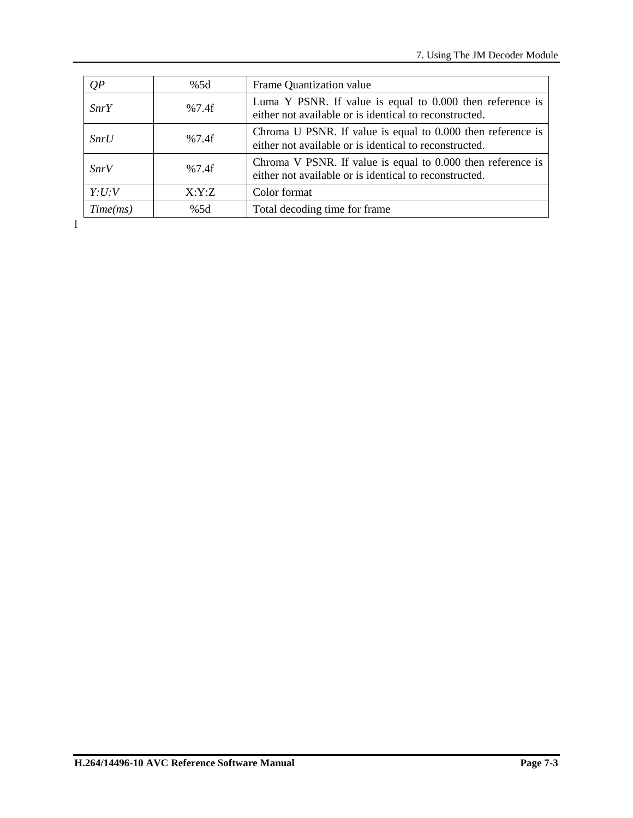| QP          | %5d   | Frame Quantization value                                                                                              |
|-------------|-------|-----------------------------------------------------------------------------------------------------------------------|
| <i>SnrY</i> | %7.4f | Luma Y PSNR. If value is equal to 0.000 then reference is<br>either not available or is identical to reconstructed.   |
| SnrU        | %7.4f | Chroma U PSNR. If value is equal to 0.000 then reference is<br>either not available or is identical to reconstructed. |
| <i>SnrV</i> | %7.4f | Chroma V PSNR. If value is equal to 0.000 then reference is<br>either not available or is identical to reconstructed. |
| Y:U:V       | X:Y:Z | Color format                                                                                                          |
| Time(ms)    | %5d   | Total decoding time for frame                                                                                         |

l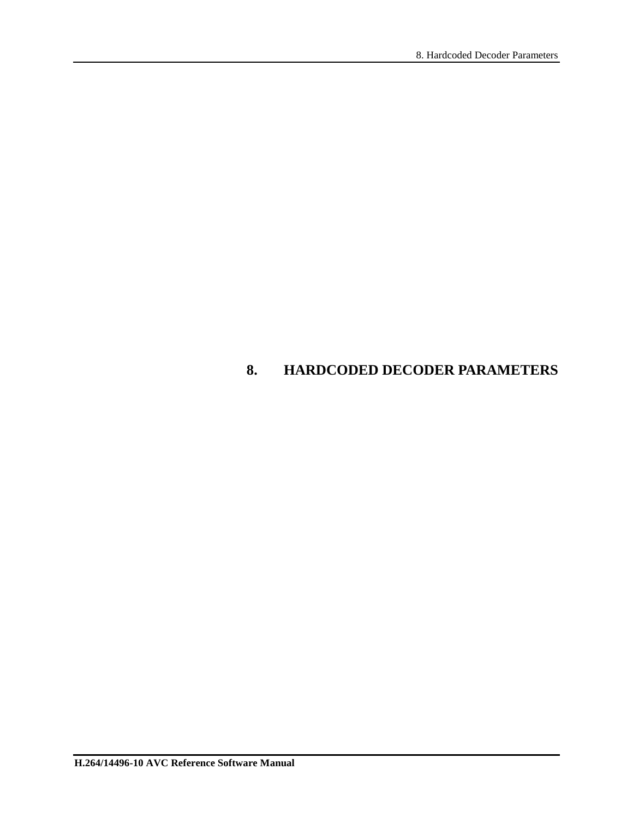# **8. HARDCODED DECODER PARAMETERS**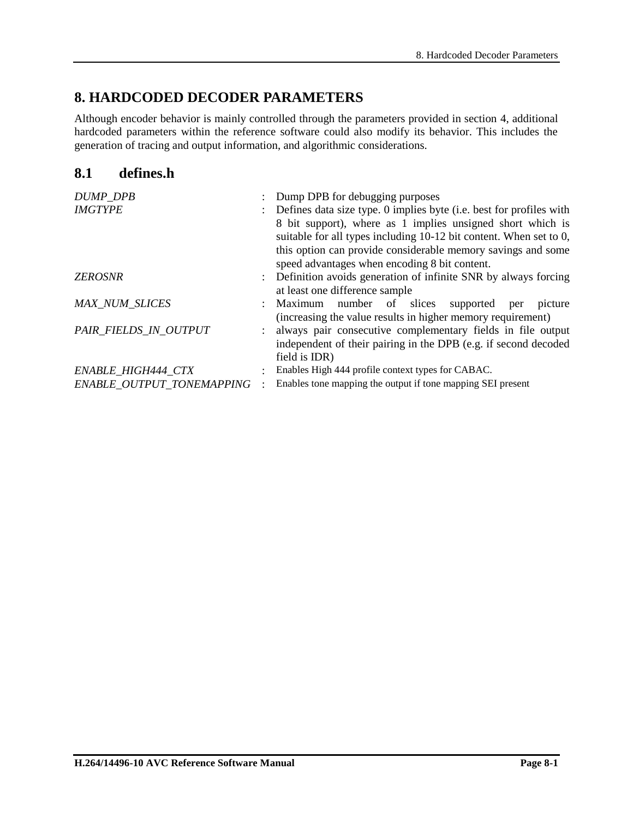# **8. HARDCODED DECODER PARAMETERS**

Although encoder behavior is mainly controlled through the parameters provided in section [4,](#page-23-0) additional hardcoded parameters within the reference software could also modify its behavior. This includes the generation of tracing and output information, and algorithmic considerations.

## **8.1 defines.h**

| <b>DUMP_DPB</b>           |   | Dump DPB for debugging purposes                                     |  |  |  |  |
|---------------------------|---|---------------------------------------------------------------------|--|--|--|--|
| <b>IMGTYPE</b>            |   | Defines data size type. 0 implies byte (i.e. best for profiles with |  |  |  |  |
|                           |   | 8 bit support), where as 1 implies unsigned short which is          |  |  |  |  |
|                           |   | suitable for all types including 10-12 bit content. When set to 0,  |  |  |  |  |
|                           |   | this option can provide considerable memory savings and some        |  |  |  |  |
|                           |   | speed advantages when encoding 8 bit content.                       |  |  |  |  |
| <b>ZEROSNR</b>            |   | Definition avoids generation of infinite SNR by always forcing      |  |  |  |  |
|                           |   | at least one difference sample                                      |  |  |  |  |
| <b>MAX_NUM_SLICES</b>     |   | Maximum number of slices<br>supported per<br>picture                |  |  |  |  |
|                           |   | (increasing the value results in higher memory requirement)         |  |  |  |  |
| PAIR_FIELDS_IN_OUTPUT     |   | always pair consecutive complementary fields in file output         |  |  |  |  |
|                           |   | independent of their pairing in the DPB (e.g. if second decoded     |  |  |  |  |
|                           |   | field is IDR)                                                       |  |  |  |  |
| ENABLE_HIGH444_CTX        | ۰ | Enables High 444 profile context types for CABAC.                   |  |  |  |  |
| ENABLE OUTPUT TONEMAPPING |   | Enables tone mapping the output if tone mapping SEI present         |  |  |  |  |
|                           |   |                                                                     |  |  |  |  |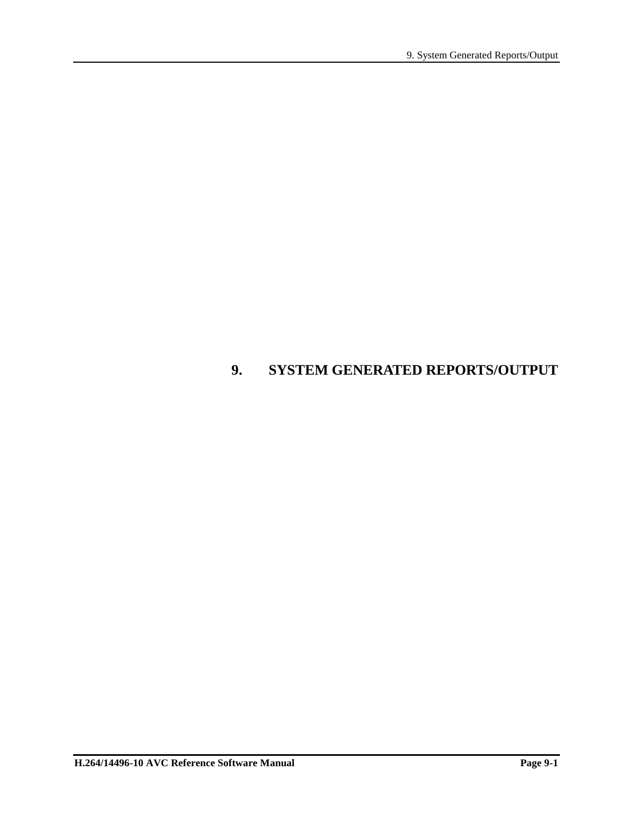# **9. SYSTEM GENERATED REPORTS/OUTPUT**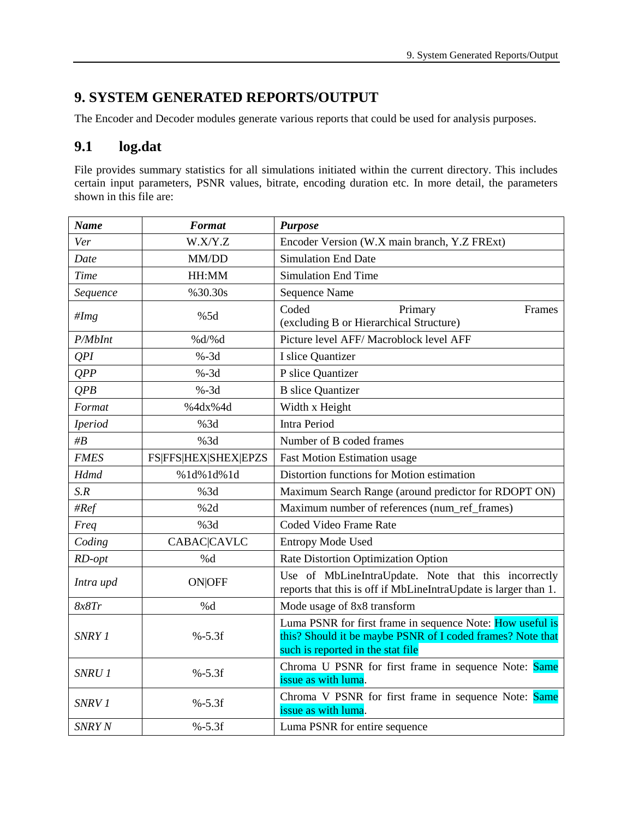# **9. SYSTEM GENERATED REPORTS/OUTPUT**

The Encoder and Decoder modules generate various reports that could be used for analysis purposes.

## **9.1 log.dat**

File provides summary statistics for all simulations initiated within the current directory. This includes certain input parameters, PSNR values, bitrate, encoding duration etc. In more detail, the parameters shown in this file are:

| <b>Name</b>       | <b>Format</b>        | <b>Purpose</b>                                                                                                                                               |  |  |
|-------------------|----------------------|--------------------------------------------------------------------------------------------------------------------------------------------------------------|--|--|
| Ver               | W.X/Y.Z              | Encoder Version (W.X main branch, Y.Z FRExt)                                                                                                                 |  |  |
| Date              | MM/DD                | <b>Simulation End Date</b>                                                                                                                                   |  |  |
| <b>Time</b>       | HH:MM                | <b>Simulation End Time</b>                                                                                                                                   |  |  |
| Sequence          | %30.30s              | <b>Sequence Name</b>                                                                                                                                         |  |  |
| #Img              | %5d                  | Coded<br>Primary<br>Frames<br>(excluding B or Hierarchical Structure)                                                                                        |  |  |
| P/MbInt           | % $d$ /% $d$         | Picture level AFF/ Macroblock level AFF                                                                                                                      |  |  |
| QPI               | $% -3d$              | I slice Quantizer                                                                                                                                            |  |  |
| QPP               | $% -3d$              | P slice Quantizer                                                                                                                                            |  |  |
| QPB               | $% -3d$              | <b>B</b> slice Quantizer                                                                                                                                     |  |  |
| Format            | %4dx%4d              | Width x Height                                                                                                                                               |  |  |
| <b>Iperiod</b>    | %3d                  | <b>Intra Period</b>                                                                                                                                          |  |  |
| $\#B$             | %3d                  | Number of B coded frames                                                                                                                                     |  |  |
| <b>FMES</b>       | FS FFS HEX SHEX EPZS | <b>Fast Motion Estimation usage</b>                                                                                                                          |  |  |
| <b>Hdmd</b>       | %1d%1d%1d            | Distortion functions for Motion estimation                                                                                                                   |  |  |
| S.R               | %3d                  | Maximum Search Range (around predictor for RDOPT ON)                                                                                                         |  |  |
| #Ref              | %2d                  | Maximum number of references (num_ref_frames)                                                                                                                |  |  |
| Freq              | %3d                  | Coded Video Frame Rate                                                                                                                                       |  |  |
| Coding            | <b>CABAC CAVLC</b>   | <b>Entropy Mode Used</b>                                                                                                                                     |  |  |
| RD-opt            | %d                   | Rate Distortion Optimization Option                                                                                                                          |  |  |
| Intra upd         | <b>ON OFF</b>        | Use of MbLineIntraUpdate. Note that this incorrectly<br>reports that this is off if MbLineIntraUpdate is larger than 1.                                      |  |  |
| 8x8Tr             | %d                   | Mode usage of 8x8 transform                                                                                                                                  |  |  |
| SNRY 1            | $% -5.3f$            | Luma PSNR for first frame in sequence Note: How useful is<br>this? Should it be maybe PSNR of I coded frames? Note that<br>such is reported in the stat file |  |  |
| SNRU 1            | $% -5.3f$            | Chroma U PSNR for first frame in sequence Note: Same<br>issue as with luma.                                                                                  |  |  |
| SNRV <sub>1</sub> | $% -5.3f$            | Chroma V PSNR for first frame in sequence Note: Same<br>issue as with luma.                                                                                  |  |  |
| SNRY N            | $% -5.3f$            | Luma PSNR for entire sequence                                                                                                                                |  |  |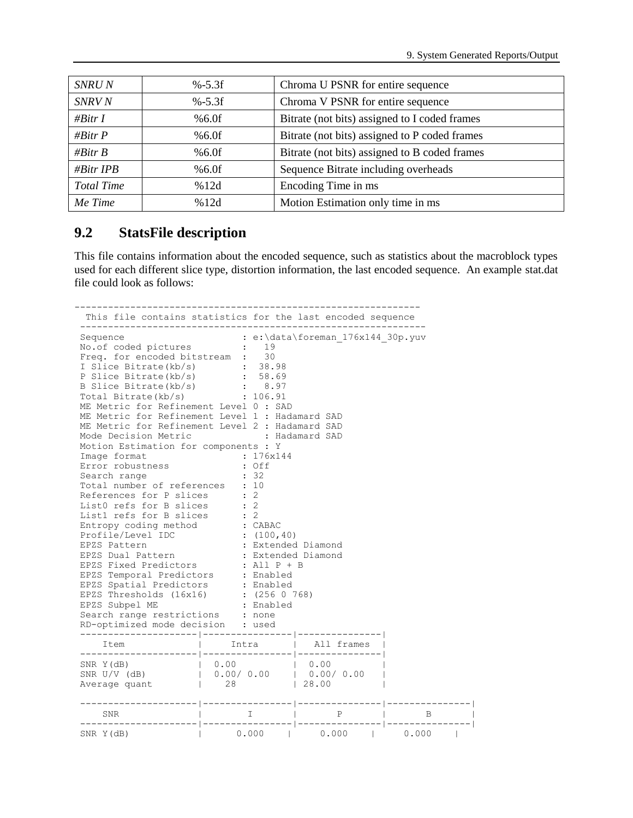| $% -5.3f$ | Chroma U PSNR for entire sequence             |
|-----------|-----------------------------------------------|
| $% -5.3f$ | Chroma V PSNR for entire sequence             |
| %6.0f     | Bitrate (not bits) assigned to I coded frames |
| $%6.0$ f  | Bitrate (not bits) assigned to P coded frames |
| $%6.0$ f  | Bitrate (not bits) assigned to B coded frames |
| %6.0f     | Sequence Bitrate including overheads          |
| %12d      | Encoding Time in ms                           |
| %12d      | Motion Estimation only time in ms             |
|           |                                               |

### **9.2 StatsFile description**

This file contains information about the encoded sequence, such as statistics about the macroblock types used for each different slice type, distortion information, the last encoded sequence. An example stat.dat file could look as follows:

--------------------------------------------------------------

```
 This file contains statistics for the last encoded sequence 
--------------------------------------------------------------
Sequence : e:\data\foreman_176x144_30p.yuv
No.of coded pictures : 19
Freq. for encoded bitstream : 30
I Slice Bitrate(kb/s) : 38.98<br>P Slice Bitrate(kb/s) : 58.69
P Slice Bitrate(kb/s)
B Slice Bitrate(kb/s) : 8.97
Total Bitrate(kb/s) : 106.91
ME Metric for Refinement Level 0 : SAD
ME Metric for Refinement Level 1 : Hadamard SAD
ME Metric for Refinement Level 2 : Hadamard SAD
Mode Decision Metric : Hadamard SAD
Motion Estimation for components : Y
Image format : 176x144
Error robustness : Off
Search range : 32
Total number of references : 10
References for P slices : 2
List0 refs for B slices : 2
List1 refs for B slices : 2
Entropy coding method : CABAC
Profile/Level IDC : (100,40)
EPZS Pattern : Extended Diamond
EPZS Dual Pattern : Extended Diamond
EPZS Fixed Predictors : All P + B
EPZS Temporal Predictors : Enabled
EPZS Spatial Predictors : Enabled
EPZS Thresholds (16x16) : (256 0 768)
EPZS Subpel ME : Enabled
Search range restrictions : none
RD-optimized mode decision : used
---------------------|----------------|---------------|
  Item | Intra | All frames |
---------------------|----------------|---------------|
SNR Y(dB) | 0.00 | 0.00 |
SNR U/V (dB) | 0.00/ 0.00 | 0.00/ 0.00 |
Average quant \vert 28 | 28.00 |
---------------------|----------------|---------------|---------------|
  SNR | I | P | B |
---------------------|----------------|---------------|---------------|
SNR Y(dB) | 0.000 | 0.000 | 0.000 |
```